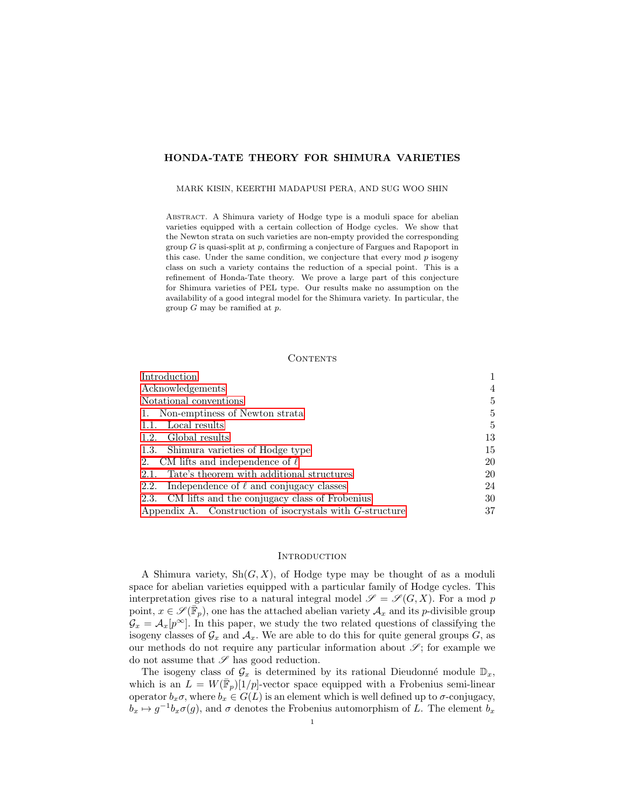# HONDA-TATE THEORY FOR SHIMURA VARIETIES

MARK KISIN, KEERTHI MADAPUSI PERA, AND SUG WOO SHIN

Abstract. A Shimura variety of Hodge type is a moduli space for abelian varieties equipped with a certain collection of Hodge cycles. We show that the Newton strata on such varieties are non-empty provided the corresponding group  $G$  is quasi-split at  $p$ , confirming a conjecture of Fargues and Rapoport in this case. Under the same condition, we conjecture that every mod  $p$  isogeny class on such a variety contains the reduction of a special point. This is a refinement of Honda-Tate theory. We prove a large part of this conjecture for Shimura varieties of PEL type. Our results make no assumption on the availability of a good integral model for the Shimura variety. In particular, the group  $G$  may be ramified at  $p$ .

#### **CONTENTS**

| Introduction                                                |    |
|-------------------------------------------------------------|----|
| Acknowledgements                                            | 4  |
| Notational conventions                                      | 5  |
| 1. Non-emptiness of Newton strata                           | 5  |
| 1.1. Local results                                          | 5  |
| 1.2. Global results                                         | 13 |
| 1.3. Shimura varieties of Hodge type                        | 15 |
| 2. CM lifts and independence of $\ell$                      | 20 |
| 2.1. Tate's theorem with additional structures              | 20 |
| Independence of $\ell$ and conjugacy classes<br>2.2.        | 24 |
| 2.3. CM lifts and the conjugacy class of Frobenius          | 30 |
| Appendix A. Construction of isocrystals with $G$ -structure | 37 |

### <span id="page-0-0"></span>**INTRODUCTION**

A Shimura variety,  $\mathrm{Sh}(G,X)$ , of Hodge type may be thought of as a moduli space for abelian varieties equipped with a particular family of Hodge cycles. This interpretation gives rise to a natural integral model  $\mathscr{S} = \mathscr{S}(G,X)$ . For a mod p point,  $x \in \mathscr{S}(\bar{\mathbb{F}}_p)$ , one has the attached abelian variety  $\mathcal{A}_x$  and its p-divisible group  $\mathcal{G}_x = \mathcal{A}_x[p^\infty]$ . In this paper, we study the two related questions of classifying the isogeny classes of  $\mathcal{G}_x$  and  $\mathcal{A}_x$ . We are able to do this for quite general groups G, as our methods do not require any particular information about  $\mathscr{S}$ ; for example we do not assume that  $\mathscr S$  has good reduction.

The isogeny class of  $\mathcal{G}_x$  is determined by its rational Dieudonné module  $\mathbb{D}_x$ , which is an  $L = W(\bar{\mathbb{F}}_p)[1/p]$ -vector space equipped with a Frobenius semi-linear operator  $b_x \sigma$ , where  $b_x \in G(L)$  is an element which is well defined up to  $\sigma$ -conjugacy,  $b_x \mapsto g^{-1}b_x\sigma(g)$ , and  $\sigma$  denotes the Frobenius automorphism of L. The element  $b_x$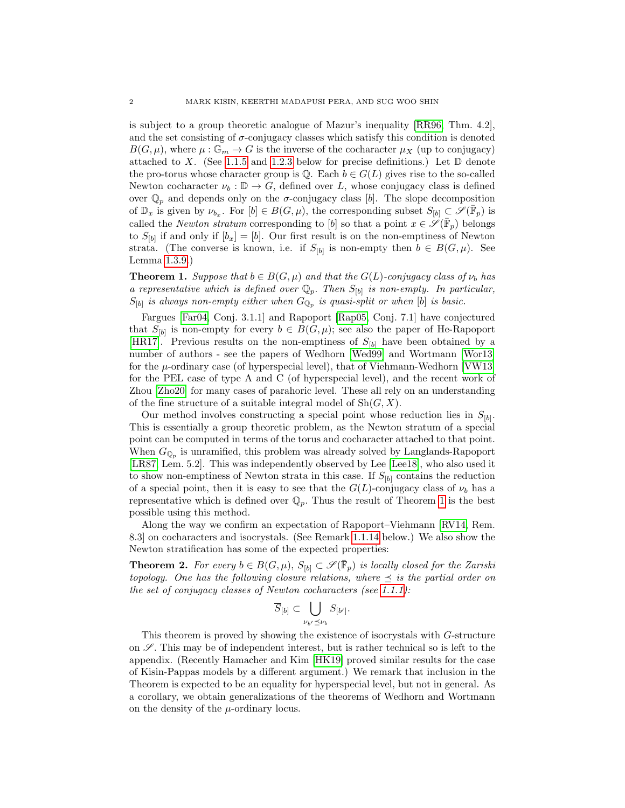is subject to a group theoretic analogue of Mazur's inequality [\[RR96,](#page-40-0) Thm. 4.2], and the set consisting of  $\sigma$ -conjugacy classes which satisfy this condition is denoted  $B(G, \mu)$ , where  $\mu : \mathbb{G}_m \to G$  is the inverse of the cocharacter  $\mu_X$  (up to conjugacy) attached to X. (See [1.1.5](#page-6-0) and [1.2.3](#page-13-0) below for precise definitions.) Let  $\mathbb D$  denote the pro-torus whose character group is  $\mathbb{Q}$ . Each  $b \in G(L)$  gives rise to the so-called Newton cocharacter  $\nu_b : \mathbb{D} \to G$ , defined over L, whose conjugacy class is defined over  $\mathbb{Q}_p$  and depends only on the  $\sigma$ -conjugacy class [b]. The slope decomposition of  $\mathbb{D}_x$  is given by  $\nu_{b_x}$ . For  $[b] \in B(G, \mu)$ , the corresponding subset  $S_{[b]} \subset \mathscr{S}(\overline{\mathbb{F}}_p)$  is called the *Newton stratum* corresponding to [b] so that a point  $x \in \mathscr{S}(\overline{\mathbb{F}}_p)$  belongs to  $S_{[b]}$  if and only if  $[b_x] = [b]$ . Our first result is on the non-emptiness of Newton strata. (The converse is known, i.e. if  $S_{[b]}$  is non-empty then  $b \in B(G, \mu)$ . See Lemma [1.3.9.](#page-17-0))

<span id="page-1-0"></span>**Theorem 1.** Suppose that  $b \in B(G, \mu)$  and that the  $G(L)$ -conjugacy class of  $\nu_b$  has a representative which is defined over  $\mathbb{Q}_p$ . Then  $S_{[b]}$  is non-empty. In particular,  $S_{[b]}$  is always non-empty either when  $G_{\mathbb{Q}_p}$  is quasi-split or when  $[b]$  is basic.

Fargues [\[Far04,](#page-39-0) Conj. 3.1.1] and Rapoport [\[Rap05,](#page-39-1) Conj. 7.1] have conjectured that  $S_{[b]}$  is non-empty for every  $b \in B(G, \mu)$ ; see also the paper of He-Rapoport [\[HR17\]](#page-39-2). Previous results on the non-emptiness of  $S_{[b]}$  have been obtained by a number of authors - see the papers of Wedhorn [\[Wed99\]](#page-40-1) and Wortmann [\[Wor13\]](#page-40-2) for the  $\mu$ -ordinary case (of hyperspecial level), that of Viehmann-Wedhorn [\[VW13\]](#page-40-3) for the PEL case of type A and C (of hyperspecial level), and the recent work of Zhou [\[Zho20\]](#page-40-4) for many cases of parahoric level. These all rely on an understanding of the fine structure of a suitable integral model of  $\mathrm{Sh}(G, X)$ .

Our method involves constructing a special point whose reduction lies in  $S_{[b]}$ . This is essentially a group theoretic problem, as the Newton stratum of a special point can be computed in terms of the torus and cocharacter attached to that point. When  $G_{\mathbb{Q}_p}$  is unramified, this problem was already solved by Langlands-Rapoport [\[LR87,](#page-39-3) Lem. 5.2]. This was independently observed by Lee [\[Lee18\]](#page-39-4), who also used it to show non-emptiness of Newton strata in this case. If  $S_{[b]}$  contains the reduction of a special point, then it is easy to see that the  $G(L)$ -conjugacy class of  $\nu_b$  has a representative which is defined over  $\mathbb{Q}_p$ . Thus the result of Theorem [1](#page-1-0) is the best possible using this method.

Along the way we confirm an expectation of Rapoport–Viehmann [\[RV14,](#page-40-5) Rem. 8.3] on cocharacters and isocrystals. (See Remark [1.1.14](#page-10-0) below.) We also show the Newton stratification has some of the expected properties:

**Theorem 2.** For every  $b \in B(G, \mu)$ ,  $S_{[b]} \subset \mathscr{S}(\overline{\mathbb{F}}_p)$  is locally closed for the Zariski topology. One has the following closure relations, where  $\preceq$  is the partial order on the set of conjugacy classes of Newton cocharacters (see [1.1.1\)](#page-4-3):

$$
\overline{S}_{[b]}\subset \bigcup_{\nu_{b'}\preceq \nu_b} S_{[b']}.
$$

This theorem is proved by showing the existence of isocrystals with G-structure on  $\mathscr S$ . This may be of independent interest, but is rather technical so is left to the appendix. (Recently Hamacher and Kim [\[HK19\]](#page-39-5) proved similar results for the case of Kisin-Pappas models by a different argument.) We remark that inclusion in the Theorem is expected to be an equality for hyperspecial level, but not in general. As a corollary, we obtain generalizations of the theorems of Wedhorn and Wortmann on the density of the  $\mu$ -ordinary locus.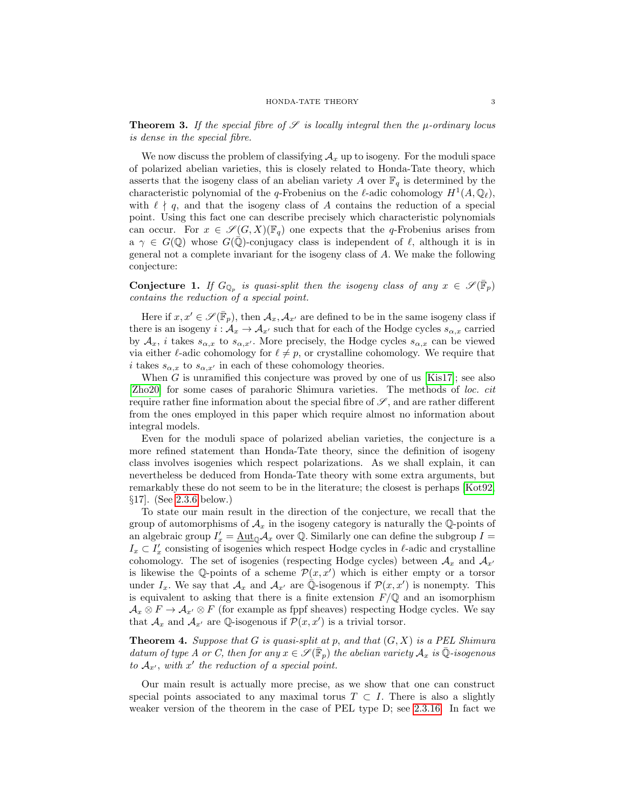**Theorem 3.** If the special fibre of  $\mathscr S$  is locally integral then the  $\mu$ -ordinary locus is dense in the special fibre.

We now discuss the problem of classifying  $A_x$  up to isogeny. For the moduli space of polarized abelian varieties, this is closely related to Honda-Tate theory, which asserts that the isogeny class of an abelian variety A over  $\mathbb{F}_q$  is determined by the characteristic polynomial of the q-Frobenius on the  $\ell$ -adic cohomology  $H^1(A, \mathbb{Q}_\ell)$ , with  $\ell \nmid q$ , and that the isogeny class of A contains the reduction of a special point. Using this fact one can describe precisely which characteristic polynomials can occur. For  $x \in \mathscr{S}(G,X)(\mathbb{F}_q)$  one expects that the q-Frobenius arises from  $a \gamma \in G(\mathbb{Q})$  whose  $G(\mathbb{Q})$ -conjugacy class is independent of  $\ell$ , although it is in general not a complete invariant for the isogeny class of A. We make the following conjecture:

<span id="page-2-1"></span>**Conjecture 1.** If  $G_{\mathbb{Q}_p}$  is quasi-split then the isogeny class of any  $x \in \mathscr{S}(\overline{\mathbb{F}}_p)$ contains the reduction of a special point.

Here if  $x, x' \in \mathscr{S}(\overline{\mathbb{F}}_p)$ , then  $\mathcal{A}_x, \mathcal{A}_{x'}$  are defined to be in the same isogeny class if there is an isogeny  $i : A_x \to A_{x'}$  such that for each of the Hodge cycles  $s_{\alpha,x}$  carried by  $\mathcal{A}_x$ , i takes  $s_{\alpha,x}$  to  $s_{\alpha,x'}$ . More precisely, the Hodge cycles  $s_{\alpha,x}$  can be viewed via either  $\ell$ -adic cohomology for  $\ell \neq p$ , or crystalline cohomology. We require that i takes  $s_{\alpha,x}$  to  $s_{\alpha,x'}$  in each of these cohomology theories.

When  $G$  is unramified this conjecture was proved by one of us [\[Kis17\]](#page-39-6); see also [\[Zho20\]](#page-40-4) for some cases of parahoric Shimura varieties. The methods of loc. cit require rather fine information about the special fibre of  $\mathscr{S}$ , and are rather different from the ones employed in this paper which require almost no information about integral models.

Even for the moduli space of polarized abelian varieties, the conjecture is a more refined statement than Honda-Tate theory, since the definition of isogeny class involves isogenies which respect polarizations. As we shall explain, it can nevertheless be deduced from Honda-Tate theory with some extra arguments, but remarkably these do not seem to be in the literature; the closest is perhaps [\[Kot92,](#page-39-7) §17]. (See [2.3.6](#page-31-0) below.)

To state our main result in the direction of the conjecture, we recall that the group of automorphisms of  $\mathcal{A}_x$  in the isogeny category is naturally the Q-points of an algebraic group  $I'_x = \underline{\text{Aut}}_{\mathbb{Q}} A_x$  over  $\mathbb{Q}$ . Similarly one can define the subgroup  $I =$  $I_x \subset I'_x$  consisting of isogenies which respect Hodge cycles in  $\ell$ -adic and crystalline cohomology. The set of isogenies (respecting Hodge cycles) between  $A_x$  and  $A_{x'}$ is likewise the Q-points of a scheme  $\mathcal{P}(x, x')$  which is either empty or a torsor under  $I_x$ . We say that  $\mathcal{A}_x$  and  $\mathcal{A}_{x'}$  are  $\mathbb{Q}$ -isogenous if  $\mathcal{P}(x, x')$  is nonempty. This is equivalent to asking that there is a finite extension  $F/\mathbb{Q}$  and an isomorphism  $\mathcal{A}_x \otimes F \to \mathcal{A}_{x'} \otimes F$  (for example as fppf sheaves) respecting Hodge cycles. We say that  $\mathcal{A}_x$  and  $\mathcal{A}_{x'}$  are Q-isogenous if  $\mathcal{P}(x, x')$  is a trivial torsor.

<span id="page-2-0"></span>**Theorem 4.** Suppose that G is quasi-split at p, and that  $(G, X)$  is a PEL Shimura datum of type A or C, then for any  $x \in \mathscr{S}(\overline{\mathbb{F}}_p)$  the abelian variety  $\mathcal{A}_x$  is  $\overline{\mathbb{Q}}$ -isogenous to  $A_{x'}$ , with  $x'$  the reduction of a special point.

Our main result is actually more precise, as we show that one can construct special points associated to any maximal torus  $T \subset I$ . There is also a slightly weaker version of the theorem in the case of PEL type D; see [2.3.16.](#page-35-0) In fact we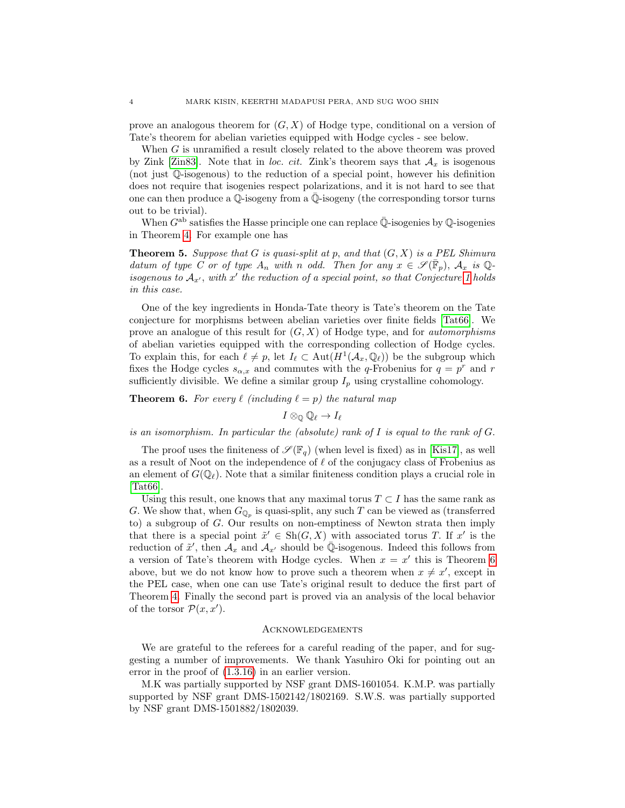prove an analogous theorem for  $(G, X)$  of Hodge type, conditional on a version of Tate's theorem for abelian varieties equipped with Hodge cycles - see below.

When G is unramified a result closely related to the above theorem was proved by Zink [\[Zin83\]](#page-40-6). Note that in loc. cit. Zink's theorem says that  $A_x$  is isogenous (not just  $\mathbb Q$ -isogenous) to the reduction of a special point, however his definition does not require that isogenies respect polarizations, and it is not hard to see that one can then produce a  $\mathbb{Q}$ -isogeny from a  $\mathbb{Q}$ -isogeny (the corresponding torsor turns out to be trivial).

When  $G^{ab}$  satisfies the Hasse principle one can replace  $\overline{\mathbb{Q}}$ -isogenies by  $\mathbb{Q}$ -isogenies in Theorem [4.](#page-2-0) For example one has

**Theorem 5.** Suppose that G is quasi-split at p, and that  $(G, X)$  is a PEL Shimura datum of type C or of type  $A_n$  with n odd. Then for any  $x \in \mathscr{S}(\overline{\mathbb{F}}_p)$ ,  $A_x$  is Qisogenous to  $A_{x'}$ , with  $x'$  the reduction of a special point, so that Conjecture [1](#page-2-1) holds in this case.

One of the key ingredients in Honda-Tate theory is Tate's theorem on the Tate conjecture for morphisms between abelian varieties over finite fields [\[Tat66\]](#page-40-7). We prove an analogue of this result for  $(G, X)$  of Hodge type, and for *automorphisms* of abelian varieties equipped with the corresponding collection of Hodge cycles. To explain this, for each  $\ell \neq p$ , let  $I_{\ell} \subset \text{Aut}(H^1(\mathcal{A}_x, \mathbb{Q}_\ell))$  be the subgroup which fixes the Hodge cycles  $s_{\alpha,x}$  and commutes with the q-Frobenius for  $q = p^r$  and r sufficiently divisible. We define a similar group  $I_p$  using crystalline cohomology.

<span id="page-3-1"></span>**Theorem 6.** For every  $\ell$  (including  $\ell = p$ ) the natural map

 $I \otimes_{\mathbb{Q}} \mathbb{Q}_{\ell} \to I_{\ell}$ 

is an isomorphism. In particular the (absolute) rank of  $I$  is equal to the rank of  $G$ .

The proof uses the finiteness of  $\mathscr{S}(\mathbb{F}_q)$  (when level is fixed) as in [\[Kis17\]](#page-39-6), as well as a result of Noot on the independence of  $\ell$  of the conjugacy class of Frobenius as an element of  $G(\mathbb{Q}_\ell)$ . Note that a similar finiteness condition plays a crucial role in [\[Tat66\]](#page-40-7).

Using this result, one knows that any maximal torus  $T \subset I$  has the same rank as G. We show that, when  $G_{\mathbb{Q}_p}$  is quasi-split, any such T can be viewed as (transferred to) a subgroup of G. Our results on non-emptiness of Newton strata then imply that there is a special point  $\tilde{x}' \in Sh(G, X)$  with associated torus T. If x' is the reduction of  $\tilde{x}'$ , then  $\mathcal{A}_x$  and  $\mathcal{A}_{x'}$  should be  $\overline{\mathbb{Q}}$ -isogenous. Indeed this follows from a version of Tate's theorem with Hodge cycles. When  $x = x'$  this is Theorem [6](#page-3-1) above, but we do not know how to prove such a theorem when  $x \neq x'$ , except in the PEL case, when one can use Tate's original result to deduce the first part of Theorem [4.](#page-2-0) Finally the second part is proved via an analysis of the local behavior of the torsor  $\mathcal{P}(x, x')$ .

#### <span id="page-3-0"></span>Acknowledgements

We are grateful to the referees for a careful reading of the paper, and for suggesting a number of improvements. We thank Yasuhiro Oki for pointing out an error in the proof of [\(1.3.16\)](#page-19-2) in an earlier version.

M.K was partially supported by NSF grant DMS-1601054. K.M.P. was partially supported by NSF grant DMS-1502142/1802169. S.W.S. was partially supported by NSF grant DMS-1501882/1802039.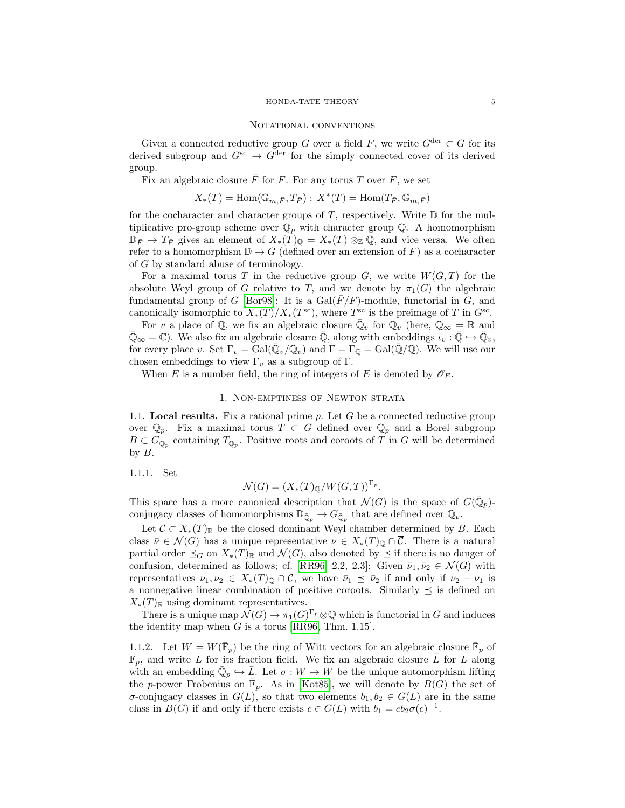#### <span id="page-4-0"></span>NOTATIONAL CONVENTIONS

Given a connected reductive group G over a field F, we write  $G^{\text{der}} \subset G$  for its derived subgroup and  $G^{sc} \to G^{der}$  for the simply connected cover of its derived group.

Fix an algebraic closure  $\overline{F}$  for F. For any torus T over F, we set

$$
X_*(T)=\mathrm{Hom}(\mathbb{G}_{m,\bar{F}},T_{\bar{F}})\ ;\ X^*(T)=\mathrm{Hom}(T_{\bar{F}},\mathbb{G}_{m,\bar{F}})
$$

for the cocharacter and character groups of  $T$ , respectively. Write  $D$  for the multiplicative pro-group scheme over  $\mathbb{Q}_p$  with character group  $\mathbb{Q}$ . A homomorphism  $\mathbb{D}_{\bar{F}} \to T_{\bar{F}}$  gives an element of  $X_*(T)_{\mathbb{Q}} = X_*(T) \otimes_{\mathbb{Z}} \mathbb{Q}$ , and vice versa. We often refer to a homomorphism  $\mathbb{D} \to G$  (defined over an extension of F) as a cocharacter of G by standard abuse of terminology.

For a maximal torus T in the reductive group  $G$ , we write  $W(G,T)$  for the absolute Weyl group of G relative to T, and we denote by  $\pi_1(G)$  the algebraic fundamental group of G [\[Bor98\]](#page-38-0): It is a  $Gal(\overline{F}/F)$ -module, functorial in G, and canonically isomorphic to  $X_*(T)/X_*(T^{\text{sc}})$ , where  $T^{\text{sc}}$  is the preimage of T in  $G^{\text{sc}}$ .

For v a place of Q, we fix an algebraic closure  $\overline{\mathbb{Q}}_v$  for  $\mathbb{Q}_v$  (here,  $\mathbb{Q}_{\infty} = \mathbb{R}$  and  $\overline{\mathbb{Q}}_{\infty} = \mathbb{C}$ ). We also fix an algebraic closure  $\overline{\mathbb{Q}}$ , along with embeddings  $\iota_v : \overline{\mathbb{Q}} \hookrightarrow \overline{\mathbb{Q}}_v$ , for every place v. Set  $\Gamma_v = \text{Gal}(\bar{\mathbb{Q}}_v/\mathbb{Q}_v)$  and  $\Gamma = \Gamma_{\mathbb{Q}} = \text{Gal}(\bar{\mathbb{Q}}/\mathbb{Q})$ . We will use our chosen embeddings to view  $\Gamma_v$  as a subgroup of  $\Gamma$ .

When E is a number field, the ring of integers of E is denoted by  $\mathscr{O}_E$ .

## 1. Non-emptiness of Newton strata

<span id="page-4-2"></span><span id="page-4-1"></span>1.1. Local results. Fix a rational prime  $p$ . Let  $G$  be a connected reductive group over  $\mathbb{Q}_p$ . Fix a maximal torus  $T \subset G$  defined over  $\mathbb{Q}_p$  and a Borel subgroup  $B \subset G_{\bar{\mathbb{Q}}_p}$  containing  $T_{\bar{\mathbb{Q}}_p}$ . Positive roots and coroots of T in G will be determined by  $B$ .

<span id="page-4-3"></span>1.1.1. Set

# $\mathcal{N}(G) = (X_*(T)_{\mathbb{Q}}/W(G,T))^{\Gamma_p}.$

This space has a more canonical description that  $\mathcal{N}(G)$  is the space of  $G(\bar{\mathbb{Q}}_p)$ conjugacy classes of homomorphisms  $\mathbb{D}_{\bar{\mathbb{Q}}_p} \to G_{\bar{\mathbb{Q}}_p}$  that are defined over  $\mathbb{Q}_p$ .

Let  $\overline{C} \subset X_*(T)_{\mathbb{R}}$  be the closed dominant Weyl chamber determined by B. Each class  $\bar{\nu} \in \mathcal{N}(G)$  has a unique representative  $\nu \in X_*(T)_{\mathbb{Q}} \cap \overline{\mathcal{C}}$ . There is a natural partial order  $\preceq_G$  on  $X_*(T)_\mathbb{R}$  and  $\mathcal{N}(G)$ , also denoted by  $\preceq$  if there is no danger of confusion, determined as follows; cf. [\[RR96,](#page-40-0) 2.2, 2.3]: Given  $\bar{\nu}_1, \bar{\nu}_2 \in \mathcal{N}(G)$  with representatives  $\nu_1, \nu_2 \in X_*(T)_{\mathbb{Q}} \cap \overline{\mathcal{C}}$ , we have  $\overline{\nu}_1 \preceq \overline{\nu}_2$  if and only if  $\nu_2 - \nu_1$  is a nonnegative linear combination of positive coroots. Similarly  $\preceq$  is defined on  $X_*(T)_\mathbb{R}$  using dominant representatives.

There is a unique map  $\mathcal{N}(G) \to \pi_1(G)^{\Gamma_p} \otimes \mathbb{Q}$  which is functorial in G and induces the identity map when  $G$  is a torus [\[RR96,](#page-40-0) Thm. 1.15].

<span id="page-4-4"></span>1.1.2. Let  $W = W(\bar{\mathbb{F}}_p)$  be the ring of Witt vectors for an algebraic closure  $\bar{\mathbb{F}}_p$  of  $\mathbb{F}_p$ , and write L for its fraction field. We fix an algebraic closure L for L along with an embedding  $\bar{\mathbb{Q}}_p \hookrightarrow \bar{L}$ . Let  $\sigma: W \to W$  be the unique automorphism lifting the p-power Frobenius on  $\bar{\mathbb{F}}_p$ . As in [\[Kot85\]](#page-39-8), we will denote by  $B(G)$  the set of σ-conjugacy classes in  $G(L)$ , so that two elements  $b_1, b_2 \in G(L)$  are in the same class in  $B(G)$  if and only if there exists  $c \in G(L)$  with  $b_1 = cb_2\sigma(c)^{-1}$ .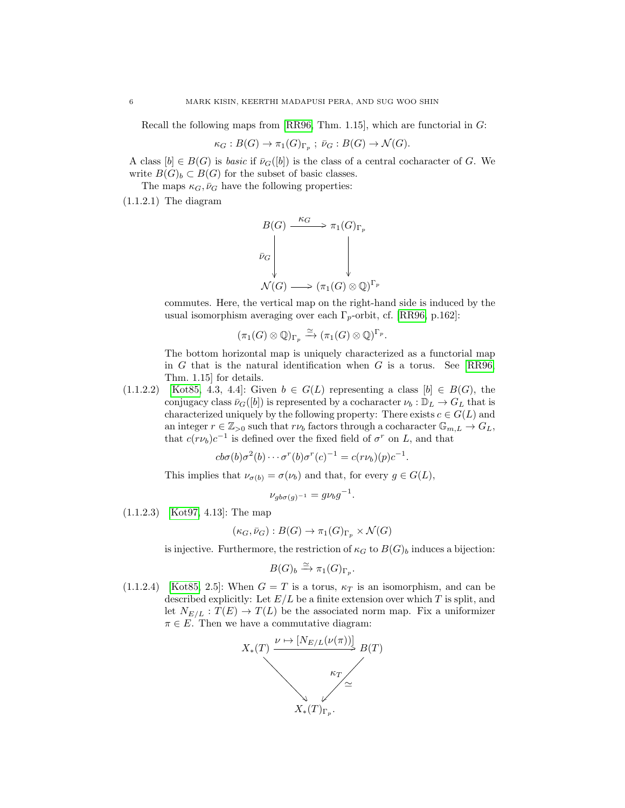Recall the following maps from [\[RR96,](#page-40-0) Thm. 1.15], which are functorial in G:

$$
\kappa_G: B(G) \to \pi_1(G)_{\Gamma_p} \; ; \; \bar{\nu}_G: B(G) \to \mathcal{N}(G).
$$

A class  $[b] \in B(G)$  is *basic* if  $\bar{\nu}_G([b])$  is the class of a central cocharacter of G. We write  $B(G)_b \subset B(G)$  for the subset of basic classes.

The maps  $\kappa_G, \bar{\nu}_G$  have the following properties:

<span id="page-5-1"></span> $(1.1.2.1)$  The diagram



commutes. Here, the vertical map on the right-hand side is induced by the usual isomorphism averaging over each  $\Gamma_p$ -orbit, cf. [\[RR96,](#page-40-0) p.162]:

.

$$
(\pi_1(G)\otimes\mathbb{Q})_{\Gamma_p}\xrightarrow{\simeq} (\pi_1(G)\otimes\mathbb{Q})^{\Gamma_p}
$$

The bottom horizontal map is uniquely characterized as a functorial map in  $G$  that is the natural identification when  $G$  is a torus. See [\[RR96,](#page-40-0) Thm. 1.15] for details.

<span id="page-5-0"></span> $(1.1.2.2)$  [\[Kot85,](#page-39-8) 4.3, 4.4]: Given  $b \in G(L)$  representing a class  $[b] \in B(G)$ , the conjugacy class  $\bar{\nu}_G([b])$  is represented by a cocharacter  $\nu_b : \mathbb{D}_L \to G_L$  that is characterized uniquely by the following property: There exists  $c \in G(L)$  and an integer  $r \in \mathbb{Z}_{>0}$  such that  $r\nu_b$  factors through a cocharacter  $\mathbb{G}_{m,L} \to G_L$ , that  $c(r\nu_b)c^{-1}$  is defined over the fixed field of  $\sigma^r$  on L, and that

$$
cb\sigma(b)\sigma^{2}(b)\cdots\sigma^{r}(b)\sigma^{r}(c)^{-1}=c(r\nu_{b})(p)c^{-1}.
$$

This implies that  $\nu_{\sigma(b)} = \sigma(\nu_b)$  and that, for every  $g \in G(L)$ ,

$$
\nu_{gb\sigma(g)^{-1}} = g\nu_b g^{-1}.
$$

(1.1.2.3) [\[Kot97,](#page-39-9) 4.13]: The map

$$
(\kappa_G, \bar{\nu}_G) : B(G) \to \pi_1(G)_{\Gamma_p} \times \mathcal{N}(G)
$$

is injective. Furthermore, the restriction of  $\kappa_G$  to  $B(G)_b$  induces a bijection:

$$
B(G)_b \xrightarrow{\simeq} \pi_1(G)_{\Gamma_p}.
$$

<span id="page-5-2"></span> $(1.1.2.4)$  [\[Kot85,](#page-39-8) 2.5]: When  $G = T$  is a torus,  $\kappa_T$  is an isomorphism, and can be described explicitly: Let  $E/L$  be a finite extension over which T is split, and let  $N_{E/L}: T(E) \to T(L)$  be the associated norm map. Fix a uniformizer  $\pi \in E$ . Then we have a commutative diagram:

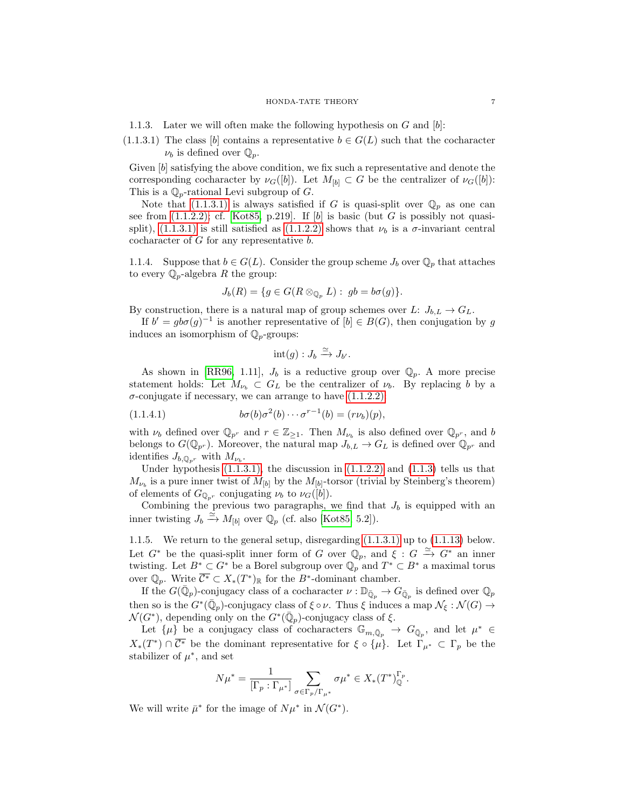<span id="page-6-2"></span>1.1.3. Later we will often make the following hypothesis on  $G$  and  $[b]$ :

<span id="page-6-1"></span> $(1.1.3.1)$  The class [b] contains a representative  $b \in G(L)$  such that the cocharacter  $\nu_b$  is defined over  $\mathbb{Q}_p$ .

Given [b] satisfying the above condition, we fix such a representative and denote the corresponding cocharacter by  $\nu_G([b])$ . Let  $M_{[b]} \subset G$  be the centralizer of  $\nu_G([b])$ : This is a  $\mathbb{Q}_p$ -rational Levi subgroup of G.

Note that  $(1.1.3.1)$  is always satisfied if G is quasi-split over  $\mathbb{Q}_p$  as one can see from  $(1.1.2.2)$ ; cf. [\[Kot85,](#page-39-8) p.219]. If [b] is basic (but G is possibly not quasi-split), [\(1.1.3.1\)](#page-6-1) is still satisfied as [\(1.1.2.2\)](#page-5-0) shows that  $\nu_b$  is a  $\sigma$ -invariant central cocharacter of  $G$  for any representative  $b$ .

<span id="page-6-3"></span>1.1.4. Suppose that  $b \in G(L)$ . Consider the group scheme  $J_b$  over  $\mathbb{Q}_p$  that attaches to every  $\mathbb{Q}_p$ -algebra R the group:

$$
J_b(R) = \{ g \in G(R \otimes_{\mathbb{Q}_p} L) : g b = b \sigma(g) \}.
$$

By construction, there is a natural map of group schemes over L:  $J_{b,L} \to G_L$ .

If  $b' = g b \sigma(g)^{-1}$  is another representative of  $[b] \in B(G)$ , then conjugation by g induces an isomorphism of  $\mathbb{Q}_p$ -groups:

<span id="page-6-4"></span>
$$
int(g) : J_b \xrightarrow{\simeq} J_{b'}.
$$

As shown in [\[RR96,](#page-40-0) 1.11],  $J_b$  is a reductive group over  $\mathbb{Q}_p$ . A more precise statement holds: Let  $M_{\nu_b} \subset G_L$  be the centralizer of  $\nu_b$ . By replacing b by a  $\sigma$ -conjugate if necessary, we can arrange to have  $(1.1.2.2)$ :

(1.1.4.1) 
$$
b\sigma(b)\sigma^{2}(b)\cdots\sigma^{r-1}(b)=(r\nu_{b})(p),
$$

with  $\nu_b$  defined over  $\mathbb{Q}_{p^r}$  and  $r \in \mathbb{Z}_{\geq 1}$ . Then  $M_{\nu_b}$  is also defined over  $\mathbb{Q}_{p^r}$ , and b belongs to  $G(\mathbb{Q}_{p^r})$ . Moreover, the natural map  $J_{b,L} \to G_L$  is defined over  $\mathbb{Q}_{p^r}$  and identifies  $J_{b,\mathbb{Q}_{p^r}}$  with  $M_{\nu_b}$ .

Under hypothesis  $(1.1.3.1)$ , the discussion in  $(1.1.2.2)$  and  $(1.1.3)$  tells us that  $M_{\nu_b}$  is a pure inner twist of  $M_{[b]}$  by the  $M_{[b]}$ -torsor (trivial by Steinberg's theorem) of elements of  $G_{\mathbb{Q}_{n^r}}$  conjugating  $\nu_b$  to  $\nu_G([b]).$ 

Combining the previous two paragraphs, we find that  $J<sub>b</sub>$  is equipped with an inner twisting  $J_b \xrightarrow{\simeq} M_{[b]}$  over  $\mathbb{Q}_p$  (cf. also [\[Kot85,](#page-39-8) 5.2]).

<span id="page-6-0"></span>1.1.5. We return to the general setup, disregarding [\(1.1.3.1\)](#page-6-1) up to [\(1.1.13\)](#page-9-0) below. Let  $G^*$  be the quasi-split inner form of G over  $\mathbb{Q}_p$ , and  $\xi : G \stackrel{\simeq}{\to} G^*$  an inner twisting. Let  $B^* \subset G^*$  be a Borel subgroup over  $\overline{\mathbb{Q}_p}$  and  $T^* \subset B^*$  a maximal torus over  $\mathbb{Q}_p$ . Write  $\overline{\mathcal{C}^*} \subset X_*(T^*)_{\mathbb{R}}$  for the  $B^*$ -dominant chamber.

If the  $G(\bar{\mathbb{Q}}_p)$ -conjugacy class of a cocharacter  $\nu : \mathbb{D}_{\bar{\mathbb{Q}}_p} \to G_{\bar{\mathbb{Q}}_p}$  is defined over  $\mathbb{Q}_p$ then so is the  $G^*(\bar{\mathbb{Q}}_p)$ -conjugacy class of  $\xi \circ \nu$ . Thus  $\xi$  induces a map  $\mathcal{N}_\xi : \mathcal{N}(G) \to$  $\mathcal{N}(G^*)$ , depending only on the  $G^*(\bar{\mathbb{Q}}_p)$ -conjugacy class of  $\xi$ .

Let  $\{\mu\}$  be a conjugacy class of cocharacters  $\mathbb{G}_{m,\bar{\mathbb{Q}}_p} \to G_{\bar{\mathbb{Q}}_p}$ , and let  $\mu^* \in$  $X_*(T^*) \cap \overline{C^*}$  be the dominant representative for  $\xi \circ {\mu}$ . Let  $\Gamma_{\mu^*} \subset \Gamma_p$  be the stabilizer of  $\mu^*$ , and set

$$
N\mu^* = \frac{1}{[\Gamma_p : \Gamma_{\mu^*}]} \sum_{\sigma \in \Gamma_p / \Gamma_{\mu^*}} \sigma \mu^* \in X_*(T^*)^{\Gamma_p}_{\mathbb{Q}}.
$$

We will write  $\bar{\mu}^*$  for the image of  $N\mu^*$  in  $\mathcal{N}(G^*)$ .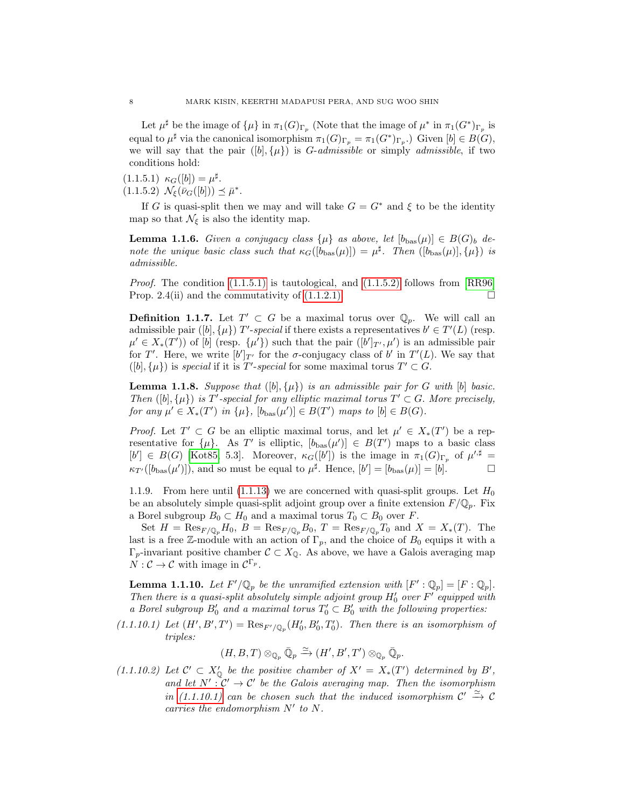Let  $\mu^{\sharp}$  be the image of  $\{\mu\}$  in  $\pi_1(G)_{\Gamma_p}$  (Note that the image of  $\mu^*$  in  $\pi_1(G^*)_{\Gamma_p}$  is equal to  $\mu^{\sharp}$  via the canonical isomorphism  $\pi_1(G)_{\Gamma_p} = \pi_1(G^*)_{\Gamma_p}$ . Given  $[b] \in B(G)$ , we will say that the pair  $([b], \{\mu\})$  is *G-admissible* or simply *admissible*, if two conditions hold:

<span id="page-7-1"></span><span id="page-7-0"></span> $(1.1.5.1) \kappa_G([b]) = \mu^{\sharp}.$  $(1.1.5.2) \mathcal{N}_{\xi}(\bar{\nu}_G([b])) \preceq \bar{\mu}^*.$ 

If G is quasi-split then we may and will take  $G = G^*$  and  $\xi$  to be the identity map so that  $\mathcal{N}_{\xi}$  is also the identity map.

<span id="page-7-5"></span>**Lemma 1.1.6.** Given a conjugacy class  $\{\mu\}$  as above, let  $[b_{\text{bas}}(\mu)] \in B(G)_b$  denote the unique basic class such that  $\kappa_G([b_{\text{bas}}(\mu)]) = \mu^{\sharp}$ . Then  $([b_{\text{bas}}(\mu)], \{\mu\})$  is admissible.

*Proof.* The condition  $(1.1.5.1)$  is tautological, and  $(1.1.5.2)$  follows from  $[RR96]$ Prop. 2.4(ii) and the commutativity of  $(1.1.2.1)$ .

**Definition 1.1.7.** Let  $T' \subset G$  be a maximal torus over  $\mathbb{Q}_p$ . We will call an admissible pair ([b],  $\{\mu\}$ ) T'-special if there exists a representatives  $b' \in T'(L)$  (resp.  $\mu' \in X_*(T')$  of [b] (resp.  $\{\mu'\}$ ) such that the pair  $([b']_{T'}, \mu')$  is an admissible pair for T'. Here, we write  $[b']_{T'}$  for the  $\sigma$ -conjugacy class of b' in  $T'(L)$ . We say that  $([b], {\mu})$  is special if it is T'-special for some maximal torus  $T' \subset G$ .

<span id="page-7-6"></span>**Lemma 1.1.8.** Suppose that  $([b], \{\mu\})$  is an admissible pair for G with  $[b]$  basic. Then  $([b], \{\mu\})$  is T'-special for any elliptic maximal torus  $T' \subset G$ . More precisely, for any  $\mu' \in X_*(T')$  in  $\{\mu\}$ ,  $[b_{\text{bas}}(\mu')] \in B(T')$  maps to  $[b] \in B(G)$ .

*Proof.* Let  $T' \subset G$  be an elliptic maximal torus, and let  $\mu' \in X_*(T')$  be a representative for  $\{\mu\}$ . As T' is elliptic,  $[b_{\text{bas}}(\mu')] \in B(T')$  maps to a basic class  $[b'] \in B(G)$  [\[Kot85,](#page-39-8) 5.3]. Moreover,  $\kappa_G([b'])$  is the image in  $\pi_1(G)_{\Gamma_p}$  of  $\mu'^{\sharp}$  =  $\kappa_{T}([b_{\text{bas}}(\mu')])$ , and so must be equal to  $\mu^{\sharp}$ . Hence,  $[b'] = [b_{\text{bas}}(\mu)] = [b]$ .

1.1.9. From here until [\(1.1.13\)](#page-9-0) we are concerned with quasi-split groups. Let  $H_0$ be an absolutely simple quasi-split adjoint group over a finite extension  $F/\mathbb{Q}_p$ . Fix a Borel subgroup  $B_0 \subset H_0$  and a maximal torus  $T_0 \subset B_0$  over F.

Set  $H = \text{Res}_{F/\mathbb{Q}_p} H_0$ ,  $B = \text{Res}_{F/\mathbb{Q}_p} B_0$ ,  $T = \text{Res}_{F/\mathbb{Q}_p} T_0$  and  $X = X_*(T)$ . The last is a free Z-module with an action of  $\Gamma_p$ , and the choice of  $B_0$  equips it with a  $\Gamma_p$ -invariant positive chamber  $\mathcal{C} \subset X_{\mathbb{Q}}$ . As above, we have a Galois averaging map  $N:\mathcal{C}\to\mathcal{C}$  with image in  $\mathcal{C}^{\Gamma_p}.$ 

<span id="page-7-4"></span>**Lemma 1.1.10.** Let  $F'(\mathbb{Q}_p)$  be the unramified extension with  $[F':\mathbb{Q}_p] = [F:\mathbb{Q}_p]$ . Then there is a quasi-split absolutely simple adjoint group  $H'_0$  over  $F'$  equipped with a Borel subgroup  $B'_0$  and a maximal torus  $T'_0 \subset B'_0$  with the following properties:

<span id="page-7-2"></span> $(1.1.10.1)$  Let  $(H', B', T') = \text{Res}_{F'/\mathbb{Q}_p}(H'_0, B'_0, T'_0)$ . Then there is an isomorphism of triples:

 $(H, B, T) \otimes_{\mathbb{Q}_p} \bar{\mathbb{Q}}_p \xrightarrow{\simeq} (H', B', T') \otimes_{\mathbb{Q}_p} \bar{\mathbb{Q}}_p.$ 

<span id="page-7-3"></span>(1.1.10.2) Let  $C' \subset X'_0$  be the positive chamber of  $X' = X_*(T')$  determined by  $B'$ , and let  $N' : C' \to C'$  be the Galois averaging map. Then the isomorphism in [\(1.1.10.1\)](#page-7-2) can be chosen such that the induced isomorphism  $\mathcal{C}' \xrightarrow{\simeq} \mathcal{C}$ carries the endomorphism  $N'$  to  $N$ .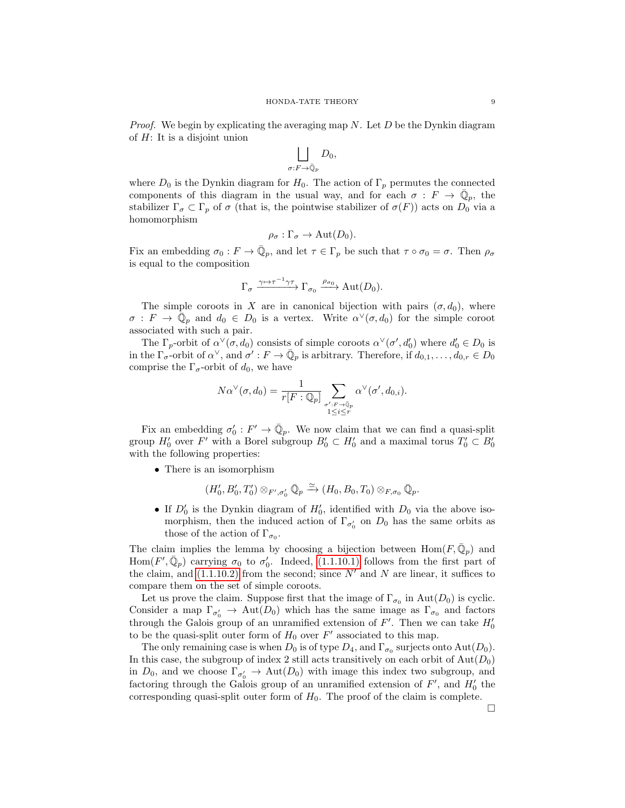*Proof.* We begin by explicating the averaging map  $N$ . Let  $D$  be the Dynkin diagram of H: It is a disjoint union

$$
\bigsqcup_{\sigma: F \to \bar{\mathbb{Q}}_p} D_0,
$$

where  $D_0$  is the Dynkin diagram for  $H_0$ . The action of  $\Gamma_p$  permutes the connected components of this diagram in the usual way, and for each  $\sigma : F \to \overline{\mathbb{Q}}_p$ , the stabilizer  $\Gamma_{\sigma} \subset \Gamma_p$  of  $\sigma$  (that is, the pointwise stabilizer of  $\sigma(F)$ ) acts on  $D_0$  via a homomorphism

$$
\rho_{\sigma} : \Gamma_{\sigma} \to \text{Aut}(D_0).
$$

Fix an embedding  $\sigma_0: F \to \overline{\mathbb{Q}}_p$ , and let  $\tau \in \Gamma_p$  be such that  $\tau \circ \sigma_0 = \sigma$ . Then  $\rho_{\sigma}$ is equal to the composition

$$
\Gamma_{\sigma} \xrightarrow{\gamma \mapsto \tau^{-1} \gamma \tau} \Gamma_{\sigma_0} \xrightarrow{\rho_{\sigma_0}} \operatorname{Aut}(D_0).
$$

The simple coroots in X are in canonical bijection with pairs  $(\sigma, d_0)$ , where  $\sigma: F \to \overline{\mathbb{Q}}_p$  and  $d_0 \in D_0$  is a vertex. Write  $\alpha^{\vee}(\sigma, d_0)$  for the simple coroot associated with such a pair.

The  $\Gamma_p$ -orbit of  $\alpha^{\vee}(\sigma, d_0)$  consists of simple coroots  $\alpha^{\vee}(\sigma', d'_0)$  where  $d'_0 \in D_0$  is in the  $\Gamma_{\sigma}$ -orbit of  $\alpha^{\vee}$ , and  $\sigma' : F \to \overline{\mathbb{Q}}_p$  is arbitrary. Therefore, if  $d_{0,1}, \ldots, d_{0,r} \in D_0$ comprise the  $\Gamma_{\sigma}$ -orbit of  $d_0$ , we have

$$
N\alpha^{\vee}(\sigma,d_0) = \frac{1}{r[F:\mathbb{Q}_p]} \sum_{\substack{\sigma': F \to \mathbb{Q}_p \\ 1 \leq i \leq r}} \alpha^{\vee}(\sigma',d_{0,i}).
$$

Fix an embedding  $\sigma'_0: F' \to \overline{\mathbb{Q}}_p$ . We now claim that we can find a quasi-split group  $H'_0$  over F' with a Borel subgroup  $B'_0 \subset H'_0$  and a maximal torus  $T'_0 \subset B'_0$ with the following properties:

• There is an isomorphism

$$
(H'_0, B'_0, T'_0) \otimes_{F', \sigma'_0} \bar{\mathbb{Q}}_p \xrightarrow{\simeq} (H_0, B_0, T_0) \otimes_{F, \sigma_0} \bar{\mathbb{Q}}_p.
$$

• If  $D'_0$  is the Dynkin diagram of  $H'_0$ , identified with  $D_0$  via the above isomorphism, then the induced action of  $\Gamma_{\sigma_0'}$  on  $D_0$  has the same orbits as those of the action of  $\Gamma_{\sigma_0}$ .

The claim implies the lemma by choosing a bijection between  $\text{Hom}(F,\bar{\mathbb{Q}}_p)$  and Hom $(F', \bar{\mathbb{Q}}_p)$  carrying  $\sigma_0$  to  $\sigma'_0$ . Indeed, [\(1.1.10.1\)](#page-7-2) follows from the first part of the claim, and  $(1.1.10.2)$  from the second; since N' and N are linear, it suffices to compare them on the set of simple coroots.

Let us prove the claim. Suppose first that the image of  $\Gamma_{\sigma_0}$  in  $Aut(D_0)$  is cyclic. Consider a map  $\Gamma_{\sigma_0'} \to \text{Aut}(D_0)$  which has the same image as  $\Gamma_{\sigma_0}$  and factors through the Galois group of an unramified extension of  $F'$ . Then we can take  $H'_0$ to be the quasi-split outer form of  $H_0$  over  $F'$  associated to this map.

The only remaining case is when  $D_0$  is of type  $D_4$ , and  $\Gamma_{\sigma_0}$  surjects onto  $Aut(D_0)$ . In this case, the subgroup of index 2 still acts transitively on each orbit of  $\text{Aut}(D_0)$ in  $D_0$ , and we choose  $\Gamma_{\sigma'_0} \to \text{Aut}(D_0)$  with image this index two subgroup, and factoring through the Galois group of an unramified extension of  $F'$ , and  $H'_0$  the corresponding quasi-split outer form of  $H_0$ . The proof of the claim is complete.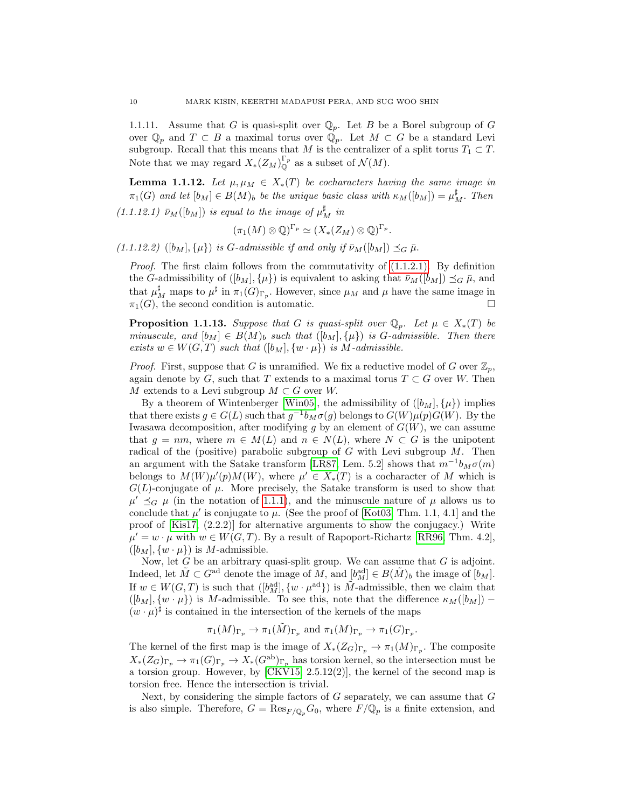1.1.11. Assume that G is quasi-split over  $\mathbb{Q}_p$ . Let B be a Borel subgroup of G over  $\mathbb{Q}_p$  and  $T \subset B$  a maximal torus over  $\mathbb{Q}_p$ . Let  $M \subset G$  be a standard Levi subgroup. Recall that this means that M is the centralizer of a split torus  $T_1 \subset T$ . Note that we may regard  $X_*(Z_M)_{\mathbb{O}}^{\Gamma_p}$  as a subset of  $\mathcal{N}(M)$ .

<span id="page-9-1"></span>**Lemma 1.1.12.** Let  $\mu, \mu_M \in X_*(T)$  be cocharacters having the same image in  $\pi_1(G)$  and let  $[b_M] \in B(M)_b$  be the unique basic class with  $\kappa_M([b_M]) = \mu_M^{\sharp}$ . Then

 $(1.1.12.1) \bar{\nu}_M([b_M])$  is equal to the image of  $\mu_M^{\sharp}$  in

$$
(\pi_1(M)\otimes \mathbb{Q})^{\Gamma_p}\simeq (X_*(Z_M)\otimes \mathbb{Q})^{\Gamma_p}.
$$

 $(1.1.12.2)$   $([b_M], {\mu})$  is G-admissible if and only if  $\bar{\nu}_M([b_M]) \preceq_G \bar{\mu}$ .

*Proof.* The first claim follows from the commutativity of  $(1.1.2.1)$ . By definition the G-admissibility of  $([b_M], {\mu})$  is equivalent to asking that  $\bar{\nu}_M([b_M]) \preceq_G \bar{\mu}$ , and that  $\mu_M^{\sharp}$  maps to  $\mu^{\sharp}$  in  $\pi_1(G)_{\Gamma_p}$ . However, since  $\mu_M$  and  $\mu$  have the same image in  $\pi_1(G)$ , the second condition is automatic.

<span id="page-9-0"></span>**Proposition 1.1.13.** Suppose that G is quasi-split over  $\mathbb{Q}_p$ . Let  $\mu \in X_*(T)$  be minuscule, and  $[b_M] \in B(M)_b$  such that  $([b_M], {\mu})$  is G-admissible. Then there exists  $w \in W(G,T)$  such that  $([b_M], \{w \cdot \mu\})$  is M-admissible.

*Proof.* First, suppose that G is unramified. We fix a reductive model of G over  $\mathbb{Z}_n$ , again denote by G, such that T extends to a maximal torus  $T \subset G$  over W. Then M extends to a Levi subgroup  $M \subset G$  over W.

By a theorem of Wintenberger [\[Win05\]](#page-40-8), the admissibility of  $([b_M], {\mu})$  implies that there exists  $g \in G(L)$  such that  $g^{-1}b_M\sigma(g)$  belongs to  $G(W)\mu(p)G(W)$ . By the Iwasawa decomposition, after modifying q by an element of  $G(W)$ , we can assume that  $g = nm$ , where  $m \in M(L)$  and  $n \in N(L)$ , where  $N \subset G$  is the unipotent radical of the (positive) parabolic subgroup of  $G$  with Levi subgroup  $M$ . Then an argument with the Satake transform [\[LR87,](#page-39-3) Lem. 5.2] shows that  $m^{-1}b_M\sigma(m)$ belongs to  $M(W)\mu'(p)M(W)$ , where  $\mu' \in X_*(T)$  is a cocharacter of M which is  $G(L)$ -conjugate of  $\mu$ . More precisely, the Satake transform is used to show that  $\mu' \preceq_G \mu$  (in the notation of [1.1.1\)](#page-4-3), and the minuscule nature of  $\mu$  allows us to conclude that  $\mu'$  is conjugate to  $\mu$ . (See the proof of [\[Kot03,](#page-39-10) Thm. 1.1, 4.1] and the proof of [\[Kis17,](#page-39-6) (2.2.2)] for alternative arguments to show the conjugacy.) Write  $\mu' = w \cdot \mu$  with  $w \in W(G,T)$ . By a result of Rapoport-Richartz [\[RR96,](#page-40-0) Thm. 4.2],  $([b_M], \{w \cdot \mu\})$  is M-admissible.

Now, let  $G$  be an arbitrary quasi-split group. We can assume that  $G$  is adjoint. Indeed, let  $\tilde{M} \subset G^{\text{ad}}$  denote the image of  $M$ , and  $[b_M^{\text{ad}}] \in B(\tilde{M})_b$  the image of  $[b_M]$ . If  $w \in W(G, T)$  is such that  $([b_M^{\text{ad}}], \{w \cdot \mu^{\text{ad}}\})$  is  $\tilde{M}$ -admissible, then we claim that  $([b_M], \{w \cdot \mu\})$  is M-admissible. To see this, note that the difference  $\kappa_M([b_M])$  $(w \cdot \mu)^{\sharp}$  is contained in the intersection of the kernels of the maps

$$
\pi_1(M)_{\Gamma_p} \to \pi_1(\tilde{M})_{\Gamma_p} \text{ and } \pi_1(M)_{\Gamma_p} \to \pi_1(G)_{\Gamma_p}.
$$

The kernel of the first map is the image of  $X_*(Z_G)_{\Gamma_p} \to \pi_1(M)_{\Gamma_p}$ . The composite  $X_*(Z_G)_{\Gamma_p} \to \pi_1(G)_{\Gamma_p} \to X_*(G^{\rm ab})_{\Gamma_p}$  has torsion kernel, so the intersection must be a torsion group. However, by [\[CKV15,](#page-38-1) 2.5.12(2)], the kernel of the second map is torsion free. Hence the intersection is trivial.

Next, by considering the simple factors of  $G$  separately, we can assume that  $G$ is also simple. Therefore,  $G = \text{Res}_{F/\mathbb{Q}_p} G_0$ , where  $F/\mathbb{Q}_p$  is a finite extension, and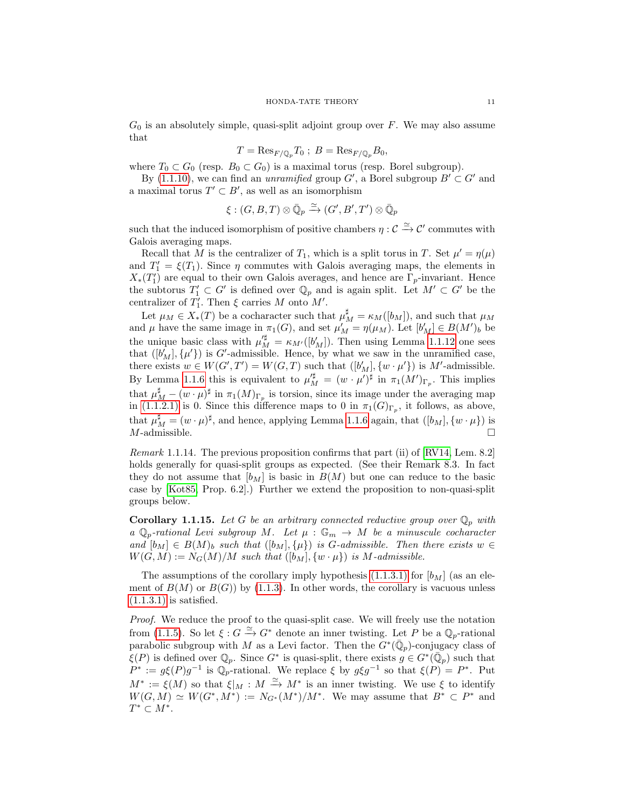$G_0$  is an absolutely simple, quasi-split adjoint group over  $F$ . We may also assume that

$$
T = \text{Res}_{F/\mathbb{Q}_p} T_0 \; ; \; B = \text{Res}_{F/\mathbb{Q}_p} B_0,
$$

where  $T_0 \subset G_0$  (resp.  $B_0 \subset G_0$ ) is a maximal torus (resp. Borel subgroup).

By [\(1.1.10\)](#page-7-4), we can find an *unramified* group  $G'$ , a Borel subgroup  $B' \subset G'$  and a maximal torus  $T' \subset B'$ , as well as an isomorphism

$$
\xi:(G,B,T)\otimes \bar{\mathbb{Q}}_p\xrightarrow{\simeq} (G',B',T')\otimes \bar{\mathbb{Q}}_p
$$

such that the induced isomorphism of positive chambers  $\eta : \mathcal{C} \xrightarrow{\simeq} \mathcal{C}'$  commutes with Galois averaging maps.

Recall that M is the centralizer of  $T_1$ , which is a split torus in T. Set  $\mu' = \eta(\mu)$ and  $T_1' = \xi(T_1)$ . Since  $\eta$  commutes with Galois averaging maps, the elements in  $X_*(T_1')$  are equal to their own Galois averages, and hence are  $\Gamma_p$ -invariant. Hence the subtorus  $T_1' \subset G'$  is defined over  $\mathbb{Q}_p$  and is again split. Let  $M' \subset G'$  be the centralizer of  $T_1'$ . Then  $\xi$  carries M onto M'.

Let  $\mu_M \in X_*(T)$  be a cocharacter such that  $\mu_M^{\sharp} = \kappa_M([b_M])$ , and such that  $\mu_M$ and  $\mu$  have the same image in  $\pi_1(G)$ , and set  $\mu'_M = \eta(\mu_M)$ . Let  $[b'_M] \in B(M')_b$  be the unique basic class with  $\mu_M^{\prime \sharp} = \kappa_{M'}([b'_M])$ . Then using Lemma [1.1.12](#page-9-1) one sees that  $([b'_M], {\mu'}\})$  is G'-admissible. Hence, by what we saw in the unramified case, there exists  $w \in W(G', T') = W(G, T)$  such that  $([b'_{M}], \{w \cdot \mu'\})$  is M'-admissible. By Lemma [1.1.6](#page-7-5) this is equivalent to  $\mu_M^{\sharp} = (w \cdot \mu')^{\sharp}$  in  $\pi_1(M')_{\Gamma_p}$ . This implies that  $\mu_M^{\sharp} - (w \cdot \mu)^{\sharp}$  in  $\pi_1(M)_{\Gamma_p}$  is torsion, since its image under the averaging map in [\(1.1.2.1\)](#page-5-1) is 0. Since this difference maps to 0 in  $\pi_1(G)_{\Gamma_p}$ , it follows, as above, that  $\mu_M^{\sharp} = (w \cdot \mu)^{\sharp}$ , and hence, applying Lemma [1.1.6](#page-7-5) again, that  $([b_M], \{w \cdot \mu\})$  is  $M$ -admissible.  $\Box$ 

<span id="page-10-0"></span>Remark 1.1.14. The previous proposition confirms that part (ii) of [\[RV14,](#page-40-5) Lem. 8.2] holds generally for quasi-split groups as expected. (See their Remark 8.3. In fact they do not assume that  $[b_M]$  is basic in  $B(M)$  but one can reduce to the basic case by [\[Kot85,](#page-39-8) Prop. 6.2].) Further we extend the proposition to non-quasi-split groups below.

**Corollary 1.1.15.** Let G be an arbitrary connected reductive group over  $\mathbb{Q}_p$  with a  $\mathbb{Q}_p$ -rational Levi subgroup M. Let  $\mu : \mathbb{G}_m \to M$  be a minuscule cocharacter and  $[b_M] \in B(M)_b$  such that  $([b_M], {\mu})$  is G-admissible. Then there exists  $w \in$  $W(G, M) := N_G(M)/M$  such that  $([b_M], \{w \cdot \mu\})$  is M-admissible.

The assumptions of the corollary imply hypothesis  $(1.1.3.1)$  for  $|b_M|$  (as an element of  $B(M)$  or  $B(G)$ ) by [\(1.1.3\)](#page-6-2). In other words, the corollary is vacuous unless  $(1.1.3.1)$  is satisfied.

Proof. We reduce the proof to the quasi-split case. We will freely use the notation from [\(1.1.5\)](#page-6-0). So let  $\xi: G \xrightarrow{\simeq} G^*$  denote an inner twisting. Let P be a  $\mathbb{Q}_p$ -rational parabolic subgroup with M as a Levi factor. Then the  $G^*(\bar{\mathbb{Q}}_p)$ -conjugacy class of  $\xi(P)$  is defined over  $\mathbb{Q}_p$ . Since  $G^*$  is quasi-split, there exists  $g \in G^*(\overline{\mathbb{Q}}_p)$  such that  $P^* := g\xi(P)g^{-1}$  is  $\mathbb{Q}_p$ -rational. We replace  $\xi$  by  $g\xi g^{-1}$  so that  $\xi(P) = P^*$ . Put  $M^* := \xi(M)$  so that  $\xi|_M : M \xrightarrow{\simeq} M^*$  is an inner twisting. We use  $\xi$  to identify  $W(G, M) \simeq W(G^*, M^*) := N_{G^*}(M^*)/M^*$ . We may assume that  $B^* \subset P^*$  and  $T^* \subset M^*$ .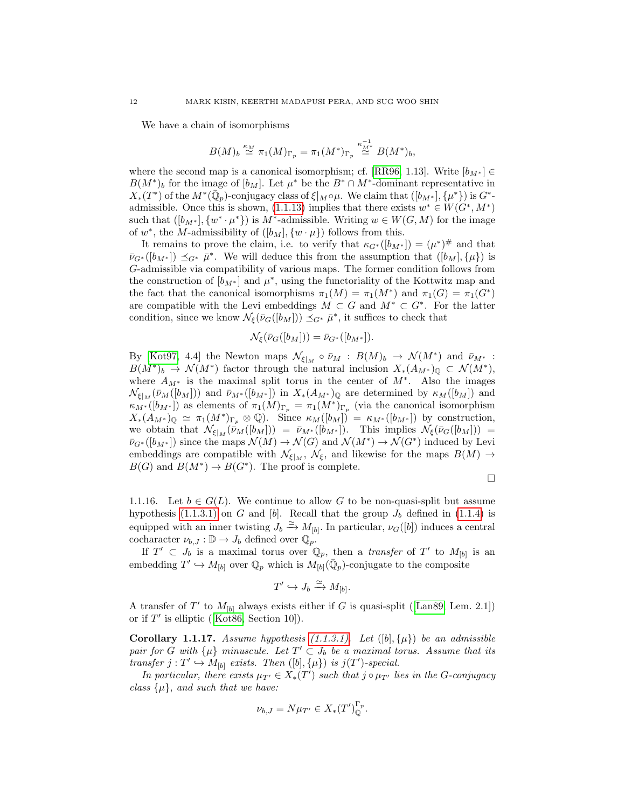We have a chain of isomorphisms

$$
B(M)_b \stackrel{\kappa_M}{\simeq} \pi_1(M)_{\Gamma_p} = \pi_1(M^*)_{\Gamma_p} \stackrel{\kappa_{M^*}^{-1}}{\simeq} B(M^*)_b,
$$

where the second map is a canonical isomorphism; cf. [\[RR96,](#page-40-0) 1.13]. Write  $[b_{M^*}] \in$  $B(M^*)_b$  for the image of  $[b_M]$ . Let  $\mu^*$  be the  $B^* \cap M^*$ -dominant representative in  $X_*(T^*)$  of the  $M^*(\bar{\mathbb{Q}}_p)$ -conjugacy class of  $\xi|_M \circ \mu$ . We claim that  $([b_{M^*}], {\mu^*})$  is  $G^*$ -admissible. Once this is shown, [\(1.1.13\)](#page-9-0) implies that there exists  $w^* \in W(G^*, M^*)$ such that  $([b_{M^*}], \{w^* \cdot \mu^*\})$  is  $M^*$ -admissible. Writing  $w \in W(G, M)$  for the image of  $w^*$ , the M-admissibility of  $([b_M], \{w \cdot \mu\})$  follows from this.

It remains to prove the claim, i.e. to verify that  $\kappa_{G^*}([b_{M^*}]) = (\mu^*)^{\#}$  and that  $\bar{\nu}_{G^*}([b_{M^*}]) \preceq_{G^*} \bar{\mu}^*$ . We will deduce this from the assumption that  $([b_M], {\mu})$  is G-admissible via compatibility of various maps. The former condition follows from the construction of  $[b_{M^*}]$  and  $\mu^*$ , using the functoriality of the Kottwitz map and the fact that the canonical isomorphisms  $\pi_1(M) = \pi_1(M^*)$  and  $\pi_1(G) = \pi_1(G^*)$ are compatible with the Levi embeddings  $M \subset G$  and  $M^* \subset G^*$ . For the latter condition, since we know  $\mathcal{N}_{\xi}(\bar{\nu}_G([b_M])) \preceq_{G^*} \bar{\mu}^*$ , it suffices to check that

$$
\mathcal{N}_\xi(\bar{\nu}_G([b_M])) = \bar{\nu}_{G^*}([b_{M^*}]).
$$

By [\[Kot97,](#page-39-9) 4.4] the Newton maps  $\mathcal{N}_{\xi|_M} \circ \bar{\nu}_M : B(M)_b \to \mathcal{N}(M^*)$  and  $\bar{\nu}_{M^*}$ :  $B(M^*)_b \to \mathcal{N}(M^*)$  factor through the natural inclusion  $X_*(A_{M^*})_{\mathbb{Q}} \subset \mathcal{N}(M^*)$ , where  $A_{M^*}$  is the maximal split torus in the center of  $M^*$ . Also the images  $\mathcal{N}_{\xi|_M}(\bar{\nu}_M([b_M]))$  and  $\bar{\nu}_{M^*}([b_{M^*}])$  in  $X_*(A_{M^*})_{\mathbb{Q}}$  are determined by  $\kappa_M([b_M])$  and  $\kappa_{M^*}([b_{M^*}])$  as elements of  $\pi_1(M)_{\Gamma_p} = \pi_1(M^*)_{\Gamma_p}$  (via the canonical isomorphism  $X_*(A_{M^*})_{\mathbb Q} \simeq \pi_1(M^*)_{\Gamma_p} \otimes \mathbb Q$ . Since  $\kappa_M([b_M]) = \kappa_{M^*}([b_{M^*}])$  by construction, we obtain that  $\mathcal{N}_{\xi|M}(\bar{\nu}_M([b_M])) = \bar{\nu}_{M^*}([b_{M^*}])$ . This implies  $\mathcal{N}_{\xi}(\bar{\nu}_G([b_M])) =$  $\bar{\nu}_{G^*}([b_{M^*}])$  since the maps  $\mathcal{N}(M) \to \mathcal{N}(G)$  and  $\mathcal{N}(M^*) \to \mathcal{N}(G^*)$  induced by Levi embeddings are compatible with  $\mathcal{N}_{\xi|_M}$ ,  $\mathcal{N}_{\xi}$ , and likewise for the maps  $B(M) \to$  $B(G)$  and  $B(M^*) \to B(G^*)$ . The proof is complete.

$$
\Box
$$

1.1.16. Let  $b \in G(L)$ . We continue to allow G to be non-quasi-split but assume hypothesis [\(1.1.3.1\)](#page-6-1) on G and [b]. Recall that the group  $J_b$  defined in [\(1.1.4\)](#page-6-3) is equipped with an inner twisting  $J_b \stackrel{\simeq}{\to} M_{[b]}$ . In particular,  $\nu_G([b])$  induces a central cocharacter  $\nu_{b,J}: \mathbb{D} \to J_b$  defined over  $\mathbb{Q}_p$ .

If  $T' \subset J_b$  is a maximal torus over  $\mathbb{Q}_p$ , then a *transfer* of T' to  $M_{[b]}$  is an embedding  $T' \hookrightarrow M_{[b]}$  over  $\mathbb{Q}_p$  which is  $M_{[b]}(\bar{\mathbb{Q}}_p)$ -conjugate to the composite

$$
T' \hookrightarrow J_b \xrightarrow{\simeq} M_{[b]}.
$$

Atransfer of  $T'$  to  $M_{[b]}$  always exists either if G is quasi-split ([\[Lan89,](#page-39-11) Lem. 2.1]) orif  $T'$  is elliptic ([\[Kot86,](#page-39-12) Section 10]).

<span id="page-11-0"></span>**Corollary 1.1.17.** Assume hypothesis  $(1.1.3.1)$ . Let  $([b], \{\mu\})$  be an admissible pair for G with  $\{\mu\}$  minuscule. Let  $T' \subset J_b$  be a maximal torus. Assume that its transfer  $j: T' \hookrightarrow M_{[b]}$  exists. Then  $([b], {\mu})$  is  $j(T')$ -special.

In particular, there exists  $\mu_{T'} \in X_*(T')$  such that  $j \circ \mu_{T'}$  lies in the G-conjugacy class  $\{\mu\}$ , and such that we have:

$$
\nu_{b,J} = N\mu_{T'} \in X_*(T')_{\mathbb{Q}}^{\Gamma_p}.
$$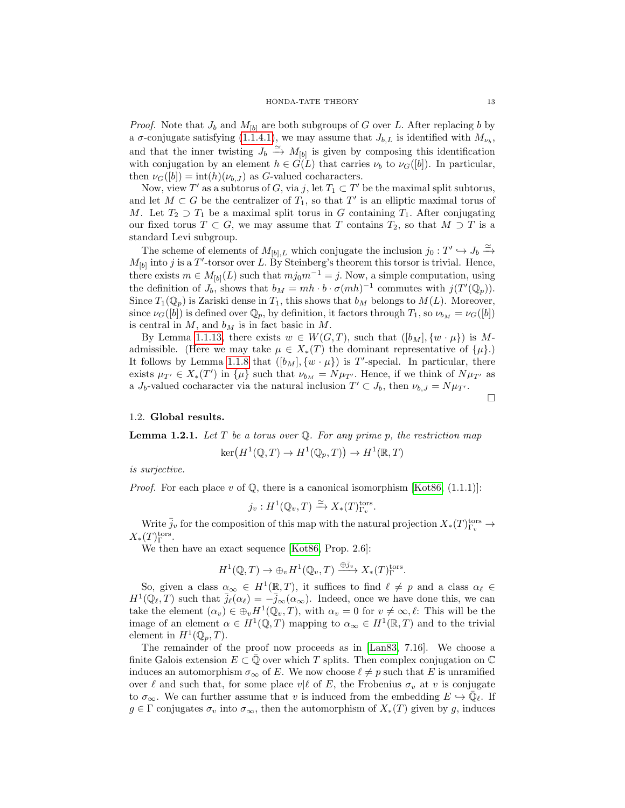*Proof.* Note that  $J_b$  and  $M_{b}$  are both subgroups of G over L. After replacing b by a  $\sigma$ -conjugate satisfying [\(1.1.4.1\)](#page-6-4), we may assume that  $J_{b,L}$  is identified with  $M_{\nu_b}$ , and that the inner twisting  $J_b \stackrel{\simeq}{\to} M_{[b]}$  is given by composing this identification with conjugation by an element  $h \in G(L)$  that carries  $\nu_b$  to  $\nu_G([b])$ . In particular, then  $\nu_G([b]) = \text{int}(h)(\nu_{b,J})$  as G-valued cocharacters.

Now, view  $T'$  as a subtorus of  $G$ , via j, let  $T_1 \subset T'$  be the maximal split subtorus, and let  $M \subset G$  be the centralizer of  $T_1$ , so that  $T'$  is an elliptic maximal torus of M. Let  $T_2 \supset T_1$  be a maximal split torus in G containing  $T_1$ . After conjugating our fixed torus  $T \subset G$ , we may assume that T contains  $T_2$ , so that  $M \supset T$  is a standard Levi subgroup.

The scheme of elements of  $M_{[b],L}$  which conjugate the inclusion  $j_0: T' \hookrightarrow J_b \xrightarrow{\simeq}$  $M_{[b]}$  into j is a T'-torsor over L. By Steinberg's theorem this torsor is trivial. Hence, there exists  $m \in M_{[b]}(L)$  such that  $mj_0m^{-1} = j$ . Now, a simple computation, using the definition of  $J_b$ , shows that  $b_M = mh \cdot b \cdot \sigma(mh)^{-1}$  commutes with  $j(T'(\mathbb{Q}_p)).$ Since  $T_1(\mathbb{Q}_p)$  is Zariski dense in  $T_1$ , this shows that  $b_M$  belongs to  $M(L)$ . Moreover, since  $\nu_G([b])$  is defined over  $\mathbb{Q}_p$ , by definition, it factors through  $T_1$ , so  $\nu_{b_M} = \nu_G([b])$ is central in  $M$ , and  $b_M$  is in fact basic in  $M$ .

By Lemma [1.1.13,](#page-9-0) there exists  $w \in W(G,T)$ , such that  $([b_M], \{w \cdot \mu\})$  is Madmissible. (Here we may take  $\mu \in X_*(T)$  the dominant representative of  $\{\mu\}$ .) It follows by Lemma [1.1.8](#page-7-6) that  $([b_M], \{w \cdot \mu\})$  is T'-special. In particular, there exists  $\mu_{T'} \in X_*(T')$  in  $\{\mu\}$  such that  $\nu_{b_M} = N\mu_{T'}$ . Hence, if we think of  $N\mu_{T'}$  as a  $J_b$ -valued cocharacter via the natural inclusion  $T' \subset J_b$ , then  $\nu_{b,J} = N \mu_{T'}$ .  $\Box$ 

#### <span id="page-12-0"></span>1.2. Global results.

<span id="page-12-1"></span>**Lemma 1.2.1.** Let  $T$  be a torus over  $Q$ . For any prime  $p$ , the restriction map

$$
\ker\left(H^1(\mathbb{Q},T)\to H^1(\mathbb{Q}_p,T)\right)\to H^1(\mathbb{R},T)
$$

is surjective.

*Proof.* For each place v of  $\mathbb{Q}$ , there is a canonical isomorphism [\[Kot86,](#page-39-12) (1.1.1)]:

$$
j_v: H^1(\mathbb{Q}_v, T) \xrightarrow{\simeq} X_*(T)_{\Gamma_v}^{\text{tors}}.
$$

Write  $\bar{j}_v$  for the composition of this map with the natural projection  $X_*(T)_{\Gamma_v}^{\text{tors}} \to$  $X_*(T)_{\Gamma}^{\text{tors}}.$ 

We then have an exact sequence [\[Kot86,](#page-39-12) Prop. 2.6]:

$$
H^1(\mathbb{Q},T) \to \oplus_v H^1(\mathbb{Q}_v,T) \xrightarrow{\oplus \bar{j}_v} X_*(T)_{\Gamma}^{\text{tors}}.
$$

So, given a class  $\alpha_{\infty} \in H^1(\mathbb{R}, T)$ , it suffices to find  $\ell \neq p$  and a class  $\alpha_{\ell} \in$  $H^1(\mathbb{Q}_\ell,T)$  such that  $\bar{j}_\ell(\alpha_\ell) = -\bar{j}_\infty(\alpha_\infty)$ . Indeed, once we have done this, we can take the element  $(\alpha_v) \in \bigoplus_v H^1(\mathbb{Q}_v, T)$ , with  $\alpha_v = 0$  for  $v \neq \infty, \ell$ : This will be the image of an element  $\alpha \in H^1(\mathbb{Q}, T)$  mapping to  $\alpha_{\infty} \in H^1(\mathbb{R}, T)$  and to the trivial element in  $H^1(\mathbb{Q}_p,T)$ .

The remainder of the proof now proceeds as in [\[Lan83,](#page-39-13) 7.16]. We choose a finite Galois extension  $E \subset \mathbb{Q}$  over which T splits. Then complex conjugation on  $\mathbb{C}$ induces an automorphism  $\sigma_{\infty}$  of E. We now choose  $\ell \neq p$  such that E is unramified over  $\ell$  and such that, for some place  $v|\ell$  of E, the Frobenius  $\sigma_v$  at v is conjugate to  $\sigma_{\infty}$ . We can further assume that v is induced from the embedding  $E \hookrightarrow \overline{\mathbb{Q}}_{\ell}$ . If  $g \in \Gamma$  conjugates  $\sigma_v$  into  $\sigma_\infty$ , then the automorphism of  $X_*(T)$  given by g, induces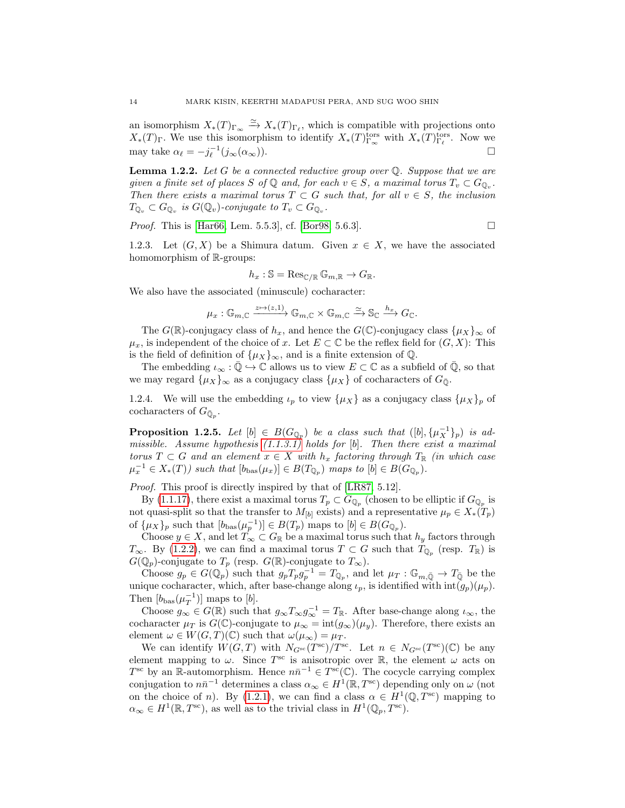an isomorphism  $X_*(T)_{\Gamma_\infty} \xrightarrow{\simeq} X_*(T)_{\Gamma_\ell}$ , which is compatible with projections onto  $X_*(T)_{\Gamma}$ . We use this isomorphism to identify  $X_*(T)_{\Gamma_{\infty}}^{\text{tors}}$  with  $X_*(T)_{\Gamma_{\ell}}^{\text{tors}}$ . Now we may take  $\alpha_{\ell} = -j_{\ell}^{-1}(j_{\infty}(\alpha_{\infty}))$ .

<span id="page-13-1"></span>**Lemma 1.2.2.** Let G be a connected reductive group over  $\mathbb Q$ . Suppose that we are given a finite set of places S of  $\mathbb Q$  and, for each  $v \in S$ , a maximal torus  $T_v \subset G_{\mathbb Q_v}$ . Then there exists a maximal torus  $T \subset G$  such that, for all  $v \in S$ , the inclusion  $T_{\mathbb{Q}_v} \subset G_{\mathbb{Q}_v}$  is  $G(\mathbb{Q}_v)$ -conjugate to  $T_v \subset G_{\mathbb{Q}_v}$ .

*Proof.* This is [\[Har66,](#page-39-14) Lem. 5.5.3], cf. [\[Bor98,](#page-38-0) 5.6.3].

<span id="page-13-0"></span>1.2.3. Let  $(G, X)$  be a Shimura datum. Given  $x \in X$ , we have the associated homomorphism of R-groups:

$$
h_x: \mathbb{S} = \operatorname{Res}_{\mathbb{C}/\mathbb{R}} \mathbb{G}_{m,\mathbb{R}} \to G_{\mathbb{R}}.
$$

We also have the associated (minuscule) cocharacter:

$$
\mu_x : \mathbb{G}_{m,\mathbb{C}} \xrightarrow{z \mapsto (z,1)} \mathbb{G}_{m,\mathbb{C}} \times \mathbb{G}_{m,\mathbb{C}} \xrightarrow{\simeq} \mathbb{S}_{\mathbb{C}} \xrightarrow{h_x} G_{\mathbb{C}}.
$$

The  $G(\mathbb{R})$ -conjugacy class of  $h_x$ , and hence the  $G(\mathbb{C})$ -conjugacy class  $\{\mu_X\}_{\infty}$  of  $\mu_x$ , is independent of the choice of x. Let  $E \subset \mathbb{C}$  be the reflex field for  $(G, X)$ : This is the field of definition of  $\{\mu_X\}_{\infty}$ , and is a finite extension of  $\mathbb{Q}$ .

The embedding  $\iota_{\infty} : \overline{\mathbb{Q}} \to \mathbb{C}$  allows us to view  $E \subset \mathbb{C}$  as a subfield of  $\overline{\mathbb{Q}}$ , so that we may regard  $\{\mu_X\}_{\infty}$  as a conjugacy class  $\{\mu_X\}$  of cocharacters of  $G_{\overline{0}}$ .

1.2.4. We will use the embedding  $\iota_p$  to view  $\{\mu_X\}$  as a conjugacy class  $\{\mu_X\}_p$  of cocharacters of  $G_{\bar{\mathbb{Q}}_p}$ .

<span id="page-13-2"></span>**Proposition 1.2.5.** Let  $[b] \in B(G_{\mathbb{Q}_p})$  be a class such that  $([b], {\{\mu_X^{-1}\}}_p)$  is admissible. Assume hypothesis  $(1.1.3.1)$  holds for [b]. Then there exist a maximal torus  $T \subset G$  and an element  $x \in X$  with  $h_x$  factoring through  $T_{\mathbb{R}}$  (in which case  $\mu_x^{-1} \in X_*(T)$ ) such that  $[b_{\text{bas}}(\mu_x)] \in B(T_{\mathbb{Q}_p})$  maps to  $[b] \in B(G_{\mathbb{Q}_p})$ .

Proof. This proof is directly inspired by that of [\[LR87,](#page-39-3) 5.12].

By [\(1.1.17\)](#page-11-0), there exist a maximal torus  $T_p \subset G_{\mathbb{Q}_p}$  (chosen to be elliptic if  $G_{\mathbb{Q}_p}$  is not quasi-split so that the transfer to  $M_{[b]}$  exists) and a representative  $\mu_p \in X_*(T_p)$ of  $\{\mu_X\}_p$  such that  $[b_{\text{bas}}(\mu_p^{-1})] \in B(T_p)$  maps to  $[b] \in B(G_{\mathbb{Q}_p})$ .

Choose  $y \in X$ , and let  $T_{\infty} \subset G_{\mathbb{R}}$  be a maximal torus such that  $h_y$  factors through  $T_{\infty}$ . By [\(1.2.2\)](#page-13-1), we can find a maximal torus  $T \subset G$  such that  $T_{\mathbb{Q}_p}$  (resp.  $T_{\mathbb{R}}$ ) is  $G(\mathbb{Q}_p)$ -conjugate to  $T_p$  (resp.  $G(\mathbb{R})$ -conjugate to  $T_\infty$ ).

Choose  $g_p \in G(\mathbb{Q}_p)$  such that  $g_p T_p g_p^{-1} = T_{\mathbb{Q}_p}$ , and let  $\mu_T : \mathbb{G}_{m,\bar{\mathbb{Q}}} \to T_{\bar{\mathbb{Q}}}$  be the unique cocharacter, which, after base-change along  $\iota_p$ , is identified with  $\text{int}(g_p)(\mu_p)$ . Then  $[b_{\text{bas}}(\mu_T^{-1})]$  maps to [b].

Choose  $g_{\infty} \in G(\mathbb{R})$  such that  $g_{\infty} T_{\infty} g_{\infty}^{-1} = T_{\mathbb{R}}$ . After base-change along  $\iota_{\infty}$ , the cocharacter  $\mu_T$  is  $G(\mathbb{C})$ -conjugate to  $\mu_\infty = \text{int}(g_\infty)(\mu_y)$ . Therefore, there exists an element  $\omega \in W(G,T)(\mathbb{C})$  such that  $\omega(\mu_{\infty}) = \mu_T$ .

We can identify  $W(G,T)$  with  $N_{G^{sc}}(T^{sc})/T^{sc}$ . Let  $n \in N_{G^{sc}}(T^{sc})(\mathbb{C})$  be any element mapping to  $\omega$ . Since  $T^{\text{sc}}$  is anisotropic over  $\mathbb{R}$ , the element  $\omega$  acts on T<sup>sc</sup> by an R-automorphism. Hence  $n\bar{n}^{-1} \in T^{\text{sc}}(\mathbb{C})$ . The cocycle carrying complex conjugation to  $n\bar{n}^{-1}$  determines a class  $\alpha_{\infty} \in H^1(\mathbb{R}, T^{\text{sc}})$  depending only on  $\omega$  (not on the choice of n). By [\(1.2.1\)](#page-12-1), we can find a class  $\alpha \in H^1(\mathbb{Q}, T^{\text{sc}})$  mapping to  $\alpha_{\infty} \in H^1(\mathbb{R}, T^{\text{sc}})$ , as well as to the trivial class in  $H^1(\mathbb{Q}_p, T^{\text{sc}})$ .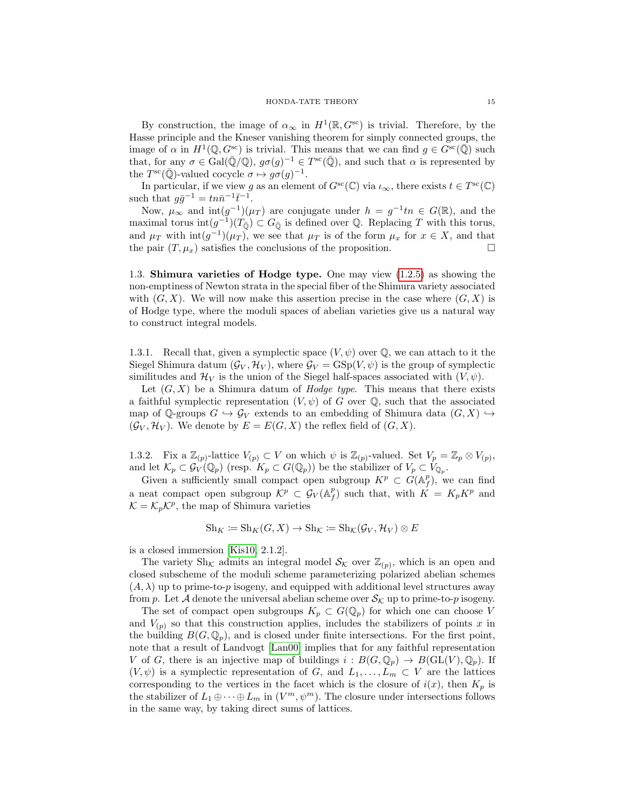By construction, the image of  $\alpha_{\infty}$  in  $H^1(\mathbb{R}, G^{\text{sc}})$  is trivial. Therefore, by the Hasse principle and the Kneser vanishing theorem for simply connected groups, the image of  $\alpha$  in  $H^1(\mathbb{Q}, G^{\text{sc}})$  is trivial. This means that we can find  $g \in G^{\text{sc}}(\overline{\mathbb{Q}})$  such that, for any  $\sigma \in \text{Gal}(\overline{\mathbb{Q}}/\mathbb{Q}), g\sigma(g)^{-1} \in T^{\text{sc}}(\overline{\mathbb{Q}})$ , and such that  $\alpha$  is represented by the  $T^{\rm sc}(\overline{\mathbb{Q}})$ -valued cocycle  $\sigma \mapsto g\sigma(g)^{-1}$ .

In particular, if we view g as an element of  $G^{\rm sc}(\mathbb{C})$  via  $\iota_{\infty}$ , there exists  $t \in T^{\rm sc}(\mathbb{C})$ such that  $g\bar{g}^{-1} = tn\bar{n}^{-1}\bar{t}^{-1}$ .

Now,  $\mu_{\infty}$  and  $\text{int}(g^{-1})(\mu_T)$  are conjugate under  $h = g^{-1}tn \in G(\mathbb{R})$ , and the maximal torus  $\text{int}(g^{-1})(T_0) \subset G_0$  is defined over Q. Replacing T with this torus, and  $\mu_T$  with  $\text{int}(g^{-1})(\mu_T)$ , we see that  $\mu_T$  is of the form  $\mu_x$  for  $x \in X$ , and that the pair  $(T, \mu_x)$  satisfies the conclusions of the proposition.

<span id="page-14-0"></span>1.3. Shimura varieties of Hodge type. One may view [\(1.2.5\)](#page-13-2) as showing the non-emptiness of Newton strata in the special fiber of the Shimura variety associated with  $(G, X)$ . We will now make this assertion precise in the case where  $(G, X)$  is of Hodge type, where the moduli spaces of abelian varieties give us a natural way to construct integral models.

1.3.1. Recall that, given a symplectic space  $(V, \psi)$  over  $\mathbb{Q}$ , we can attach to it the Siegel Shimura datum  $(\mathcal{G}_V, \mathcal{H}_V)$ , where  $\mathcal{G}_V = \text{GSp}(V, \psi)$  is the group of symplectic similitudes and  $\mathcal{H}_V$  is the union of the Siegel half-spaces associated with  $(V, \psi)$ .

Let  $(G, X)$  be a Shimura datum of *Hodge type*. This means that there exists a faithful symplectic representation  $(V, \psi)$  of G over Q, such that the associated map of Q-groups  $G \hookrightarrow \mathcal{G}_V$  extends to an embedding of Shimura data  $(G, X) \hookrightarrow$  $(\mathcal{G}_V, \mathcal{H}_V)$ . We denote by  $E = E(G, X)$  the reflex field of  $(G, X)$ .

1.3.2. Fix a  $\mathbb{Z}_{(p)}$ -lattice  $V_{(p)} \subset V$  on which  $\psi$  is  $\mathbb{Z}_{(p)}$ -valued. Set  $V_p = \mathbb{Z}_p \otimes V_{(p)}$ , and let  $\mathcal{K}_p \subset \mathcal{G}_V(\mathbb{Q}_p)$  (resp.  $K_p \subset G(\mathbb{Q}_p)$ ) be the stabilizer of  $V_p \subset V_{\mathbb{Q}_p}$ .

Given a sufficiently small compact open subgroup  $K^p \subset G(\mathbb{A}_f^p)$ , we can find a neat compact open subgroup  $\mathcal{K}^p \subset \mathcal{G}_V(\mathbb{A}_f^p)$  such that, with  $K = K_p K^p$  and  $\mathcal{K} = \mathcal{K}_p \mathcal{K}^p$ , the map of Shimura varieties

$$
Sh_K := Sh_K(G, X) \to Sh_{\mathcal{K}} := Sh_{\mathcal{K}}(\mathcal{G}_V, \mathcal{H}_V) \otimes E
$$

is a closed immersion [\[Kis10,](#page-39-15) 2.1.2].

The variety Sh<sub>K</sub> admits an integral model  $\mathcal{S}_{\mathcal{K}}$  over  $\mathbb{Z}_{(p)}$ , which is an open and closed subscheme of the moduli scheme parameterizing polarized abelian schemes  $(A, \lambda)$  up to prime-to-p isogeny, and equipped with additional level structures away from p. Let A denote the universal abelian scheme over  $\mathcal{S}_{\mathcal{K}}$  up to prime-to-p isogeny.

The set of compact open subgroups  $K_p \subset G(\mathbb{Q}_p)$  for which one can choose V and  $V_{(p)}$  so that this construction applies, includes the stabilizers of points x in the building  $B(G, \mathbb{Q}_p)$ , and is closed under finite intersections. For the first point, note that a result of Landvogt [\[Lan00\]](#page-39-16) implies that for any faithful representation V of G, there is an injective map of buildings  $i : B(G, \mathbb{Q}_p) \to B(\mathrm{GL}(V), \mathbb{Q}_p)$ . If  $(V, \psi)$  is a symplectic representation of G, and  $L_1, \ldots, L_m \subset V$  are the lattices corresponding to the vertices in the facet which is the closure of  $i(x)$ , then  $K_p$  is the stabilizer of  $L_1 \oplus \cdots \oplus L_m$  in  $(V^m, \psi^m)$ . The closure under intersections follows in the same way, by taking direct sums of lattices.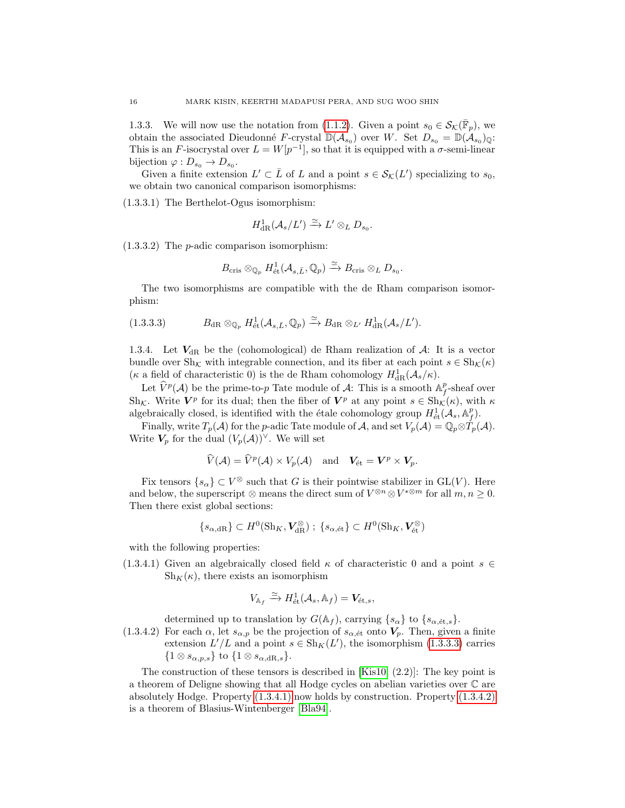1.3.3. We will now use the notation from [\(1.1.2\)](#page-4-4). Given a point  $s_0 \in \mathcal{S}_{\mathcal{K}}(\overline{\mathbb{F}}_p)$ , we obtain the associated Dieudonné F-crystal  $\mathbb{D}(\mathcal{A}_{s_0})$  over W. Set  $D_{s_0} = \mathbb{D}(\mathcal{A}_{s_0})_{\mathbb{Q}}$ . This is an F-isocrystal over  $L = W[p^{-1}]$ , so that it is equipped with a  $\sigma$ -semi-linear bijection  $\varphi: D_{s_0} \to D_{s_0}$ .

Given a finite extension  $L' \subset \overline{L}$  of L and a point  $s \in \mathcal{S}_{\mathcal{K}}(L')$  specializing to  $s_0$ , we obtain two canonical comparison isomorphisms:

<span id="page-15-4"></span>(1.3.3.1) The Berthelot-Ogus isomorphism:

$$
H^1_{\rm dR}(\mathcal{A}_s/L')\xrightarrow{\simeq} L'\otimes_L D_{s_0}.
$$

<span id="page-15-3"></span>(1.3.3.2) The p-adic comparison isomorphism:

$$
B_{\mathrm{cris}} \otimes_{\mathbb{Q}_p} H^1_{\mathrm{\acute{e}t}}(\mathcal{A}_{s,\bar{L}}, \mathbb{Q}_p) \xrightarrow{\simeq} B_{\mathrm{cris}} \otimes_L D_{s_0}.
$$

The two isomorphisms are compatible with the de Rham comparison isomorphism:

<span id="page-15-0"></span>(1.3.3.3) 
$$
B_{\mathrm{dR}} \otimes_{\mathbb{Q}_p} H^1_{\mathrm{\acute{e}t}}(\mathcal{A}_{s,\bar{L}}, \mathbb{Q}_p) \xrightarrow{\simeq} B_{\mathrm{dR}} \otimes_{L'} H^1_{\mathrm{dR}}(\mathcal{A}_s/L').
$$

1.3.4. Let  $V_{dR}$  be the (cohomological) de Rham realization of  $A$ : It is a vector bundle over  $\text{Sh}_{\mathcal{K}}$  with integrable connection, and its fiber at each point  $s \in \text{Sh}_{\mathcal{K}}(\kappa)$ ( $\kappa$  a field of characteristic 0) is the de Rham cohomology  $H^1_{\text{dR}}(\mathcal{A}_s/\kappa)$ .

Let  $\hat{V}^p(\mathcal{A})$  be the prime-to-p Tate module of  $\mathcal{A}$ : This is a smooth  $\mathbb{A}_f^p$ -sheaf over Sh<sub>K</sub>. Write  $V^p$  for its dual; then the fiber of  $V^p$  at any point  $s \in Sh_{\mathcal{K}}(\kappa)$ , with  $\kappa$ algebraically closed, is identified with the étale cohomology group  $H^1_{\text{\'et}}(\mathcal{A}_s, \mathbb{A}_f^p)$ .

Finally, write  $T_p(\mathcal{A})$  for the p-adic Tate module of  $\mathcal{A}$ , and set  $V_p(\mathcal{A}) = \mathbb{Q}_p \otimes T_p(\mathcal{A})$ . Write  $V_p$  for the dual  $(V_p(\mathcal{A}))^{\vee}$ . We will set

$$
\widehat{V}(\mathcal{A}) = \widehat{V}^p(\mathcal{A}) \times V_p(\mathcal{A}) \quad \text{and} \quad V_{\text{\'et}} = \mathbf{V}^p \times \mathbf{V}_p.
$$

Fix tensors  $\{s_\alpha\} \subset V^\otimes$  such that G is their pointwise stabilizer in GL(V). Here and below, the superscript ⊗ means the direct sum of  $V^{\otimes n} \otimes V^{*\otimes m}$  for all  $m, n \geq 0$ . Then there exist global sections:

$$
\{s_{\alpha,\mathrm{dR}}\}\subset H^0(\mathrm{Sh}_K,\boldsymbol{V}_{\mathrm{dR}}^{\otimes})\;;\;\{s_{\alpha,\mathrm{\acute{e}t}}\}\subset H^0(\mathrm{Sh}_K,\boldsymbol{V}_{\mathrm{\acute{e}t}}^{\otimes})
$$

with the following properties:

<span id="page-15-1"></span>(1.3.4.1) Given an algebraically closed field  $\kappa$  of characteristic 0 and a point  $s \in$  $\text{Sh}_K(\kappa)$ , there exists an isomorphism

$$
V_{\mathbb{A}_f} \xrightarrow{\simeq} H^1_{\text{\'et}}(\mathcal{A}_s, \mathbb{A}_f) = \mathbf{V}_{\text{\'et},s},
$$

determined up to translation by  $G(\mathbb{A}_f)$ , carrying  $\{s_\alpha\}$  to  $\{s_{\alpha,\text{\'et},s}\}.$ 

<span id="page-15-2"></span>(1.3.4.2) For each  $\alpha$ , let  $s_{\alpha,p}$  be the projection of  $s_{\alpha, \text{\'et}}$  onto  $V_p$ . Then, given a finite extension  $L'/L$  and a point  $s \in Sh_K(L')$ , the isomorphism [\(1.3.3.3\)](#page-15-0) carries  $\{1 \otimes s_{\alpha,p,s}\}\$ to  $\{1 \otimes s_{\alpha,dR,s}\}.$ 

The construction of these tensors is described in  $[Kis10, (2.2)]$ : The key point is a theorem of Deligne showing that all Hodge cycles on abelian varieties over C are absolutely Hodge. Property [\(1.3.4.1\)](#page-15-1) now holds by construction. Property [\(1.3.4.2\)](#page-15-2) is a theorem of Blasius-Wintenberger [\[Bla94\]](#page-38-2).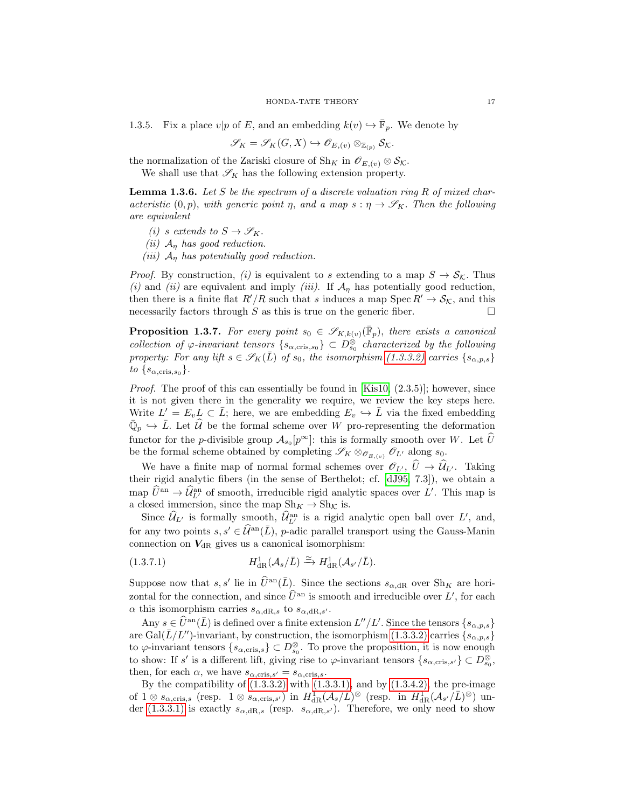1.3.5. Fix a place  $v|p$  of E, and an embedding  $k(v) \hookrightarrow \overline{\mathbb{F}}_p$ . We denote by

$$
\mathscr{S}_K=\mathscr{S}_K(G,X)\hookrightarrow \mathscr{O}_{E,(v)}\otimes_{\mathbb{Z}_{(p)}}\mathcal{S}_{\mathcal{K}}.
$$

the normalization of the Zariski closure of Sh<sub>K</sub> in  $\mathscr{O}_{E,(v)} \otimes \mathcal{S}_{\mathcal{K}}$ .

We shall use that  $\mathscr{S}_K$  has the following extension property.

<span id="page-16-2"></span>**Lemma 1.3.6.** Let S be the spectrum of a discrete valuation ring R of mixed characteristic  $(0, p)$ , with generic point  $\eta$ , and a map  $s : \eta \to \mathscr{S}_K$ . Then the following are equivalent

(i) s extends to  $S \to \mathscr{S}_K$ .

(ii)  $A_{\eta}$  has good reduction.

(iii)  $A_n$  has potentially good reduction.

*Proof.* By construction, (i) is equivalent to s extending to a map  $S \to \mathcal{S}_{\mathcal{K}}$ . Thus (i) and (ii) are equivalent and imply (iii). If  $\mathcal{A}_n$  has potentially good reduction, then there is a finite flat  $R'/R$  such that s induces a map Spec  $R' \rightarrow S_{\mathcal{K}}$ , and this necessarily factors through S as this is true on the generic fiber.  $\square$ 

<span id="page-16-1"></span>**Proposition 1.3.7.** For every point  $s_0 \in \mathscr{S}_{K,k(v)}(\overline{\mathbb{F}}_p)$ , there exists a canonical collection of  $\varphi$ -invariant tensors  $\{s_{\alpha,\text{cris},s_0}\}\subset D_{s_0}^{\otimes}$  characterized by the following property: For any lift  $s \in \mathscr{S}_K(\bar{L})$  of  $s_0$ , the isomorphism [\(1.3.3.2\)](#page-15-3) carries  $\{s_{\alpha,p,s}\}$ to  $\{s_{\alpha,\text{cris},s_0}\}.$ 

*Proof.* The proof of this can essentially be found in  $[Kis10, (2.3.5)]$ ; however, since it is not given there in the generality we require, we review the key steps here. Write  $L' = E_v L \subset \overline{L}$ ; here, we are embedding  $E_v \hookrightarrow \overline{L}$  via the fixed embedding  $\overline{\mathbb{Q}}_p \hookrightarrow \overline{L}$ . Let  $\widehat{\mathcal{U}}$  be the formal scheme over W pro-representing the deformation functor for the *p*-divisible group  $\mathcal{A}_{s_0}[p^{\infty}]$ : this is formally smooth over W. Let  $\widehat{U}$ be the formal scheme obtained by completing  $\mathscr{S}_K \otimes_{\mathscr{O}_{E,(v)}} \mathscr{O}_{L'}$  along  $s_0$ .

We have a finite map of normal formal schemes over  $\mathscr{O}_{L'}$ ,  $\widehat{U} \to \widehat{\mathcal{U}}_{L'}$ . Taking their rigid analytic fibers (in the sense of Berthelot; cf. [\[dJ95,](#page-38-3) 7.3]), we obtain a map  $\hat{U}^{\text{an}} \to \hat{\mathcal{U}}^{\text{an}}_{L'}$  of smooth, irreducible rigid analytic spaces over L'. This map is a closed immersion, since the map  $\text{Sh}_K \to \text{Sh}_\mathcal{K}$  is.

Since  $\widehat{\mathcal{U}}_{L'}$  is formally smooth,  $\widehat{\mathcal{U}}_{L'}^{\text{an}}$  is a rigid analytic open ball over  $L'$ , and, for any two points  $s, s' \in \hat{\mathcal{U}}^{\text{an}}(\bar{L}), p$ -adic parallel transport using the Gauss-Manin connection on  $V_{\text{dR}}$  gives us a canonical isomorphism:

<span id="page-16-0"></span>(1.3.7.1) 
$$
H^1_{\text{dR}}(\mathcal{A}_s/\bar{L}) \xrightarrow{\simeq} H^1_{\text{dR}}(\mathcal{A}_{s'}/\bar{L}).
$$

Suppose now that s, s' lie in  $\widehat{U}^{\text{an}}(\overline{L})$ . Since the sections  $s_{\alpha,\text{dR}}$  over  $\text{Sh}_K$  are horizontal for the connection, and since  $\hat{U}^{\text{an}}$  is smooth and irreducible over L', for each  $\alpha$  this isomorphism carries  $s_{\alpha, \mathrm{dR},s}$  to  $s_{\alpha, \mathrm{dR},s'}$ .

Any  $s \in \widehat{U}^{\text{an}}(\overline{L})$  is defined over a finite extension  $L''/L'$ . Since the tensors  $\{s_{\alpha,p,s}\}\$ are Gal( $\bar{L}/L''$ )-invariant, by construction, the isomorphism [\(1.3.3.2\)](#page-15-3) carries { $s_{\alpha,p,s}$ } to  $\varphi$ -invariant tensors  $\{s_{\alpha,\text{cris},s}\}\subset D_{s_0}^{\otimes}$ . To prove the proposition, it is now enough to show: If s' is a different lift, giving rise to  $\varphi$ -invariant tensors  $\{s_{\alpha,\text{cris},s'}\}\subset D^\otimes_{s_0}$ , then, for each  $\alpha$ , we have  $s_{\alpha,\text{cris},s'} = s_{\alpha,\text{cris},s}$ .

By the compatibility of  $(1.3.3.2)$  with  $(1.3.3.1)$ , and by  $(1.3.4.2)$ , the pre-image of  $1 \otimes s_{\alpha,\text{cris},s}$  (resp.  $1 \otimes s_{\alpha,\text{cris},s'}$ ) in  $H^1_{\text{dR}}(\mathcal{A}_s/\tilde{L})^{\otimes}$  (resp. in  $H^1_{\text{dR}}(\mathcal{A}_{s'}/\tilde{L})^{\otimes}$ ) un-der [\(1.3.3.1\)](#page-15-4) is exactly  $s_{\alpha, \text{dR},s}$  (resp.  $s_{\alpha, \text{dR},s'}$ ). Therefore, we only need to show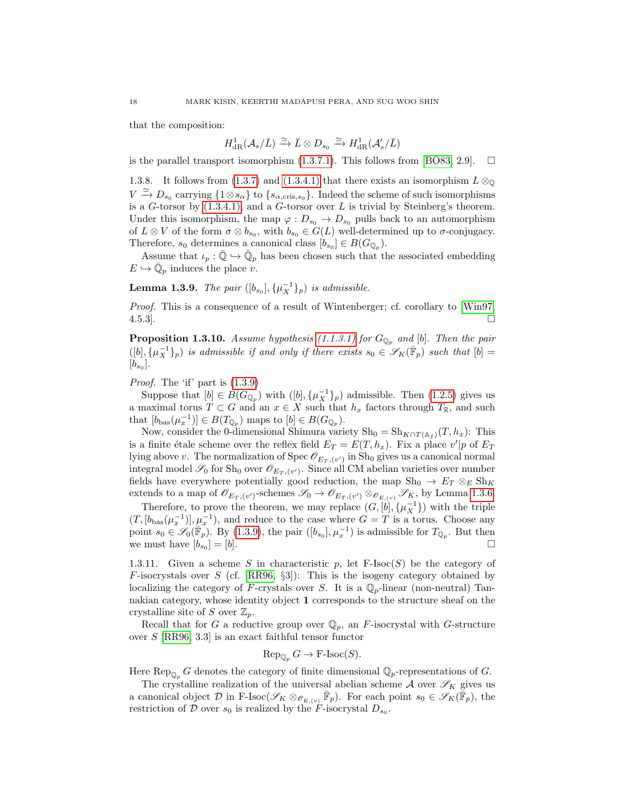that the composition:

$$
H^1_{\rm dR}(\mathcal{A}_s/\bar{L})\xrightarrow{\simeq}\bar{L}\otimes D_{s_0}\xrightarrow{\simeq} H^1_{\rm dR}(\mathcal{A}'_s/\bar{L})
$$

is the parallel transport isomorphism  $(1.3.7.1)$ . This follows from [\[BO83,](#page-38-4) 2.9].  $\Box$ 

<span id="page-17-2"></span>1.3.8. It follows from [\(1.3.7\)](#page-16-1) and [\(1.3.4.1\)](#page-15-1) that there exists an isomorphism  $L \otimes_{\mathbb{Q}}$  $V \stackrel{\simeq}{\to} D_{s_0}$  carrying  $\{1 \otimes s_\alpha\}$  to  $\{s_{\alpha,\text{cris},s_0}\}\$ . Indeed the scheme of such isomorphisms is a  $G$ -torsor by  $(1.3.4.1)$ , and a  $G$ -torsor over  $L$  is trivial by Steinberg's theorem. Under this isomorphism, the map  $\varphi: D_{s_0} \to D_{s_0}$  pulls back to an automorphism of  $L \otimes V$  of the form  $\sigma \otimes b_{s_0}$ , with  $b_{s_0} \in G(L)$  well-determined up to  $\sigma$ -conjugacy. Therefore,  $s_0$  determines a canonical class  $[b_{s_0}] \in B(G_{\mathbb{Q}_p})$ .

Assume that  $\iota_p : \overline{\mathbb{Q}} \hookrightarrow \overline{\mathbb{Q}}_p$  has been chosen such that the associated embedding  $E \hookrightarrow \overline{\mathbb{Q}}_p$  induces the place v.

<span id="page-17-0"></span>**Lemma 1.3.9.** The pair  $([b_{s_0}], {\mu_X^{-1}}_p)$  is admissible.

Proof. This is a consequence of a result of Wintenberger; cf. corollary to [\[Win97,](#page-40-9)  $4.5.3$ .

<span id="page-17-1"></span>**Proposition 1.3.10.** Assume hypothesis [\(1.1.3.1\)](#page-6-1) for  $G_{\mathbb{Q}_p}$  and [b]. Then the pair  $([b], {\mu_X^{-1}}_p)$  is admissible if and only if there exists  $s_0 \in \mathscr{S}_K(\bar{F}_p)$  such that  $[b] =$  $[b_{s_0}].$ 

Proof. The 'if' part is [\(1.3.9\)](#page-17-0)

Suppose that  $[b] \in B(G_{\mathbb{Q}_p})$  with  $([b], {\mu_X^{-1}}_p)$  admissible. Then  $(1.2.5)$  gives us a maximal torus  $T \subset G$  and an  $x \in X$  such that  $h_x$  factors through  $T_{\mathbb{R}}$ , and such that  $[b_{\text{bas}}(\mu_x^{-1})] \in B(T_{\mathbb{Q}_p})$  maps to  $[b] \in B(G_{\mathbb{Q}_p})$ .

Now, consider the 0-dimensional Shimura variety  $\text{Sh}_0 = \text{Sh}_{K\cap T(\mathbb{A}_f)}(T, h_x)$ : This is a finite étale scheme over the reflex field  $E_T = E(T, h_x)$ . Fix a place  $v'|p$  of  $E_T$ lying above v. The normalization of Spec  $\mathscr{O}_{E_T, (v')}$  in Sh<sub>0</sub> gives us a canonical normal integral model  $\mathscr{S}_0$  for Sh<sub>0</sub> over  $\mathscr{O}_{E_T, (v')}$ . Since all CM abelian varieties over number fields have everywhere potentially good reduction, the map  $\text{Sh}_0 \to E_T \otimes_E \text{Sh}_K$ extends to a map of  $\mathscr{O}_{E_T,(v')}$ -schemes  $\mathscr{S}_0 \to \mathscr{O}_{E_T,(v')} \otimes_{\mathscr{O}_{E,(v)}} \mathscr{S}_K$ , by Lemma [1.3.6.](#page-16-2)

Therefore, to prove the theorem, we may replace  $(G, [b], {\{\mu_X^{-1}\}})$  with the triple  $(T, [b_{\text{bas}}(\mu_x^{-1})], \mu_x^{-1}),$  and reduce to the case where  $G = T$  is a torus. Choose any point  $s_0 \in \mathscr{S}_0(\overline{\mathbb{F}}_p)$ . By [\(1.3.9\)](#page-17-0), the pair  $([b_{s_0}], \mu_x^{-1})$  is admissible for  $T_{\mathbb{Q}_p}$ . But then we must have  $[b_{s_0}] = [b]$ .  $]= [b].$ 

1.3.11. Given a scheme S in characteristic  $p$ , let  $F\text{-}Isoc(S)$  be the category of  $F$ -isocrystals over  $S$  (cf. [\[RR96,](#page-40-0) §3]): This is the isogeny category obtained by localizing the category of F-crystals over S. It is a  $\mathbb{Q}_p$ -linear (non-neutral) Tannakian category, whose identity object 1 corresponds to the structure sheaf on the crystalline site of S over  $\mathbb{Z}_p$ .

Recall that for G a reductive group over  $\mathbb{Q}_p$ , an F-isocrystal with G-structure over  $S$  [\[RR96,](#page-40-0) 3.3] is an exact faithful tensor functor

$$
\operatorname{Rep}_{\mathbb{Q}_p} G \to \operatorname{F-Isoc}(S).
$$

Here Rep<sub> $_{\mathbb{Q}_p}$ </sub> G denotes the category of finite dimensional  $\mathbb{Q}_p$ -representations of G.

The crystalline realization of the universal abelian scheme  $A$  over  $\mathscr{S}_K$  gives us a canonical object  $\mathcal D$  in F-Isoc( $\mathscr S_{K} \otimes_{\mathscr O_{E,(\nu)}} \bar{\mathbb F}_p$ ). For each point  $s_0 \in \mathscr S_K(\bar{\bar{\mathbb F}}_p)$ , the restriction of D over  $s_0$  is realized by the F-isocrystal  $D_{s_0}$ .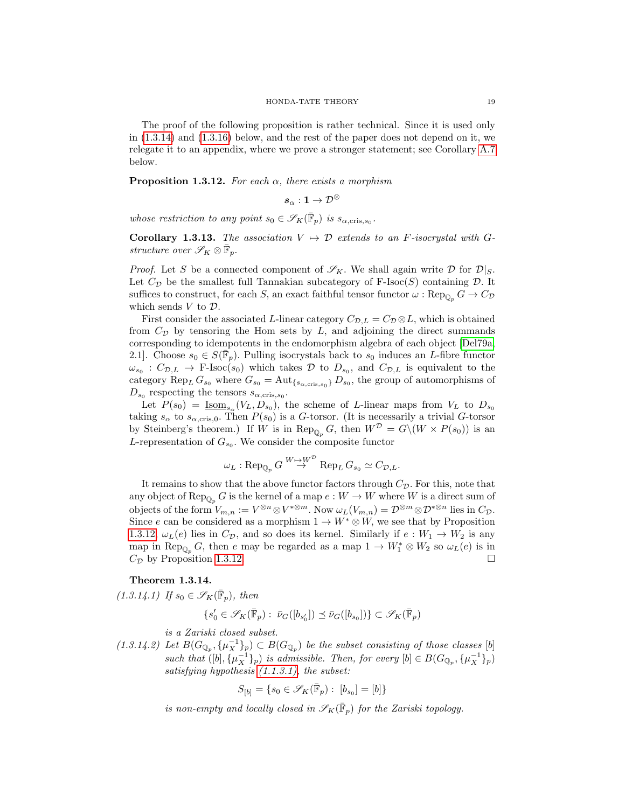The proof of the following proposition is rather technical. Since it is used only in [\(1.3.14\)](#page-18-0) and [\(1.3.16\)](#page-19-2) below, and the rest of the paper does not depend on it, we relegate it to an appendix, where we prove a stronger statement; see Corollary [A.7](#page-38-5) below.

<span id="page-18-1"></span>**Proposition 1.3.12.** For each  $\alpha$ , there exists a morphism

$$
\boldsymbol{s}_{\alpha}:\boldsymbol{1}\to\mathcal{D}^{\otimes}
$$

whose restriction to any point  $s_0 \in \mathscr{S}_K(\overline{\mathbb{F}}_p)$  is  $s_{\alpha, \text{cris}, s_0}$ .

<span id="page-18-3"></span>Corollary 1.3.13. The association  $V \mapsto \mathcal{D}$  extends to an F-isocrystal with Gstructure over  $\mathscr{S}_K \otimes \overline{\mathbb{F}}_p$ .

*Proof.* Let S be a connected component of  $\mathscr{S}_K$ . We shall again write D for  $\mathcal{D}|_S$ . Let  $C_{\mathcal{D}}$  be the smallest full Tannakian subcategory of F-Isoc(S) containing D. It suffices to construct, for each S, an exact faithful tensor functor  $\omega : \text{Rep}_{\mathbb{Q}_p} G \to C_{\mathcal{D}}$ which sends  $V$  to  $\mathcal{D}$ .

First consider the associated L-linear category  $C_{\mathcal{D},L} = C_{\mathcal{D}} \otimes L$ , which is obtained from  $C_{\mathcal{D}}$  by tensoring the Hom sets by  $L$ , and adjoining the direct summands corresponding to idempotents in the endomorphism algebra of each object [\[Del79a,](#page-38-6) 2.1]. Choose  $s_0 \in S(\overline{\mathbb{F}}_p)$ . Pulling isocrystals back to  $s_0$  induces an *L*-fibre functor  $\omega_{s_0} : C_{\mathcal{D},L} \to \text{F-Isoc}(s_0)$  which takes  $\mathcal{D}$  to  $D_{s_0}$ , and  $C_{\mathcal{D},L}$  is equivalent to the category  $\text{Rep}_L G_{s_0}$  where  $G_{s_0} = \text{Aut}_{\{s_{\alpha,\text{cris},s_0}\}} D_{s_0}$ , the group of automorphisms of  $D_{s_0}$  respecting the tensors  $s_{\alpha,\text{cris},s_0}$ .

Let  $P(s_0) = \underline{\text{Isom}}_{s_\alpha}(V_L, D_{s_0}),$  the scheme of L-linear maps from  $V_L$  to  $D_{s_0}$ taking  $s_{\alpha}$  to  $s_{\alpha,\text{cris},0}$ . Then  $P(s_0)$  is a G-torsor. (It is necessarily a trivial G-torsor by Steinberg's theorem.) If W is in Rep<sub>Q<sub>p</sub></sub> G, then  $W^D = G \setminus (W \times P(s_0))$  is an L-representation of  $G_{s_0}$ . We consider the composite functor

$$
\omega_L : \text{Rep}_{\mathbb{Q}_p} G \overset{W \mapsto W^{\mathcal{D}}}{\rightarrow} \text{Rep}_L G_{s_0} \simeq C_{\mathcal{D},L}.
$$

It remains to show that the above functor factors through  $C_{\mathcal{D}}$ . For this, note that any object of Rep<sub> $\mathbb{Q}_p$ </sub> G is the kernel of a map  $e : W \to W$  where W is a direct sum of objects of the form  $V_{m,n} := V^{\otimes n} \otimes V^{*\otimes m}$ . Now  $\omega_L(V_{m,n}) = \mathcal{D}^{\otimes m} \otimes \mathcal{D}^{*\otimes n}$  lies in  $C_{\mathcal{D}}$ . Since e can be considered as a morphism  $1 \to W^* \otimes W$ , we see that by Proposition [1.3.12,](#page-18-1)  $\omega_L(e)$  lies in  $C_{\mathcal{D}}$ , and so does its kernel. Similarly if  $e: W_1 \to W_2$  is any map in  $\text{Rep}_{\mathbb{Q}_p} G$ , then e may be regarded as a map  $1 \to W_1^* \otimes W_2$  so  $\omega_L(e)$  is in  $C_{\mathcal{D}}$  by Proposition [1.3.12.](#page-18-1)

# <span id="page-18-2"></span><span id="page-18-0"></span>Theorem 1.3.14.

 $(1.3.14.1)$  If  $s_0 \in \mathscr{S}_K(\overline{\mathbb{F}}_p)$ , then

$$
\{s_0' \in \mathscr{S}_K(\bar{\mathbb{F}}_p): \; \bar{\nu}_G([b_{s_0'}]) \preceq \bar{\nu}_G([b_{s_0}])\} \subset \mathscr{S}_K(\bar{\mathbb{F}}_p)
$$

is a Zariski closed subset.

<span id="page-18-4"></span> $(1.3.14.2)$  Let  $B(G_{\mathbb{Q}_p}, {\{\mu_X^{-1}\}_p}) \subset B(G_{\mathbb{Q}_p})$  be the subset consisting of those classes [b] such that  $([b], {\mu_X^{-1}}_p)$  is admissible. Then, for every  $[b] \in B(G_{\mathbb{Q}_p}, {\mu_X^{-1}}_p)$ satisfying hypothesis [\(1.1.3.1\),](#page-6-1) the subset:

$$
S_{[b]} = \{s_0 \in \mathscr{S}_K(\bar{\mathbb{F}}_p) : [b_{s_0}] = [b]\}
$$

is non-empty and locally closed in  $\mathscr{S}_K(\bar{\mathbb{F}}_p)$  for the Zariski topology.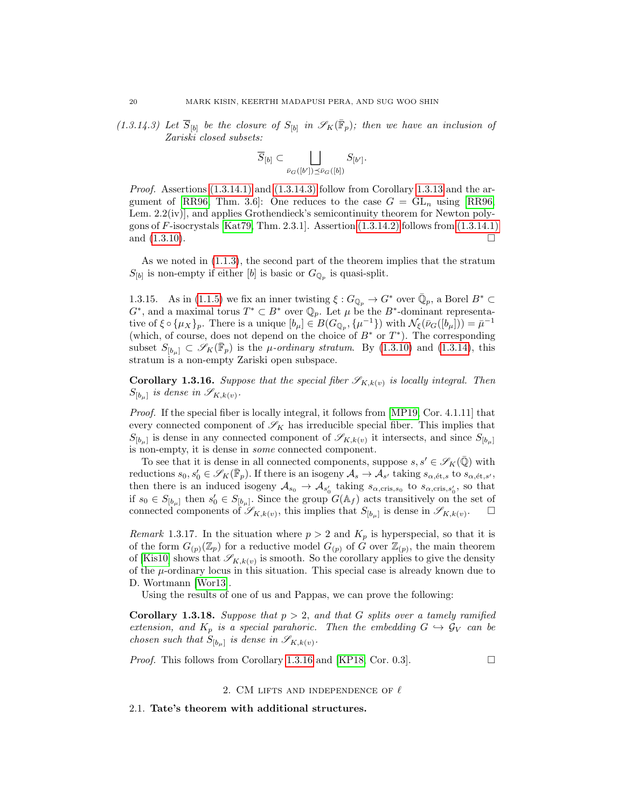<span id="page-19-3"></span> $(1.3.14.3)$  Let  $\overline{S}_{b}$  be the closure of  $S_{b}$  in  $\mathscr{S}_K(\overline{\mathbb{F}}_p)$ ; then we have an inclusion of Zariski closed subsets:

$$
\overline{S}_{[b]} \subset \bigsqcup_{\overline{\nu}_G([b']) \preceq \overline{\nu}_G([b])} S_{[b']}.
$$

*Proof.* Assertions  $(1.3.14.1)$  and  $(1.3.14.3)$  follow from Corollary [1.3.13](#page-18-3) and the ar-gument of [\[RR96,](#page-40-0) Thm. 3.6]: One reduces to the case  $G = GL_n$  using [RR96, Lem. 2.2(iv)], and applies Grothendieck's semicontinuity theorem for Newton poly-gons of F-isocrystals [\[Kat79,](#page-39-17) Thm. 2.3.1]. Assertion  $(1.3.14.2)$  follows from  $(1.3.14.1)$ and  $(1.3.10)$ .

As we noted in [\(1.1.3\)](#page-6-2), the second part of the theorem implies that the stratum  $S_{[b]}$  is non-empty if either [b] is basic or  $G_{\mathbb{Q}_p}$  is quasi-split.

1.3.15. As in [\(1.1.5\)](#page-6-0) we fix an inner twisting  $\xi: G_{\mathbb{Q}_p} \to G^*$  over  $\bar{\mathbb{Q}}_p$ , a Borel  $B^* \subset$  $G^*$ , and a maximal torus  $T^* \subset B^*$  over  $\mathbb{Q}_p$ . Let  $\mu$  be the  $B^*$ -dominant representative of  $\xi \circ {\{\mu_X\}}_p$ . There is a unique  $[b_\mu] \in B(G_{\mathbb{Q}_p}, {\{\mu^{-1}\}})$  with  $\mathcal{N}_\xi(\bar{\nu}_G([b_\mu])) = \bar{\mu}^{-1}$ (which, of course, does not depend on the choice of  $B^*$  or  $T^*$ ). The corresponding subset  $S_{[b_\mu]} \subset \mathscr{S}_K(\bar{\mathbb{F}}_p)$  is the  $\mu$ -ordinary stratum. By [\(1.3.10\)](#page-17-1) and [\(1.3.14\)](#page-18-0), this stratum is a non-empty Zariski open subspace.

<span id="page-19-2"></span>**Corollary 1.3.16.** Suppose that the special fiber  $\mathscr{S}_{K,k(v)}$  is locally integral. Then  $S_{[b_\mu]}$  is dense in  $\mathscr{S}_{K,k(v)}$ .

Proof. If the special fiber is locally integral, it follows from [\[MP19,](#page-39-18) Cor. 4.1.11] that every connected component of  $\mathscr{S}_K$  has irreducible special fiber. This implies that  $S_{[b_\mu]}$  is dense in any connected component of  $\mathscr{S}_{K,k(v)}$  it intersects, and since  $S_{[b_\mu]}$ is non-empty, it is dense in some connected component.

To see that it is dense in all connected components, suppose  $s, s' \in \mathscr{S}_K(\mathbb{Q})$  with reductions  $s_0, s'_0 \in \mathscr{S}_K(\overline{\mathbb{F}}_p)$ . If there is an isogeny  $\mathcal{A}_s \to \mathcal{A}_{s'}$  taking  $s_{\alpha,\text{\'et},s}$  to  $s_{\alpha,\text{\'et},s'}$ , then there is an induced isogeny  $A_{s_0} \to A_{s'_0}$  taking  $s_{\alpha,\text{cris},s_0}$  to  $s_{\alpha,\text{cris},s'_0}$ , so that if  $s_0 \in S_{[b_\mu]}$  then  $s'_0 \in S_{[b_\mu]}$ . Since the group  $G(\mathbb{A}_f)$  acts transitively on the set of connected components of  $\mathscr{S}_{K,k(v)}$ , this implies that  $S_{[b_\mu]}$  is dense in  $\mathscr{S}_{K,k(v)}$ . □

Remark 1.3.17. In the situation where  $p > 2$  and  $K_p$  is hyperspecial, so that it is of the form  $G_{(p)}(\mathbb{Z}_p)$  for a reductive model  $G_{(p)}$  of  $\hat{G}$  over  $\mathbb{Z}_{(p)}$ , the main theorem of [\[Kis10\]](#page-39-15) shows that  $\mathscr{S}_{K,k(v)}$  is smooth. So the corollary applies to give the density of the  $\mu$ -ordinary locus in this situation. This special case is already known due to D. Wortmann [\[Wor13\]](#page-40-2).

Using the results of one of us and Pappas, we can prove the following:

Corollary 1.3.18. Suppose that  $p > 2$ , and that G splits over a tamely ramified extension, and  $K_p$  is a special parahoric. Then the embedding  $G \hookrightarrow \mathcal{G}_V$  can be chosen such that  $S_{[b_\mu]}$  is dense in  $\mathscr{S}_{K,k(v)}$ .

*Proof.* This follows from Corollary [1.3.16](#page-19-2) and [\[KP18,](#page-39-19) Cor. 0.3].  $\Box$ 

#### 2. CM LIFTS AND INDEPENDENCE OF  $\ell$

<span id="page-19-1"></span><span id="page-19-0"></span>2.1. Tate's theorem with additional structures.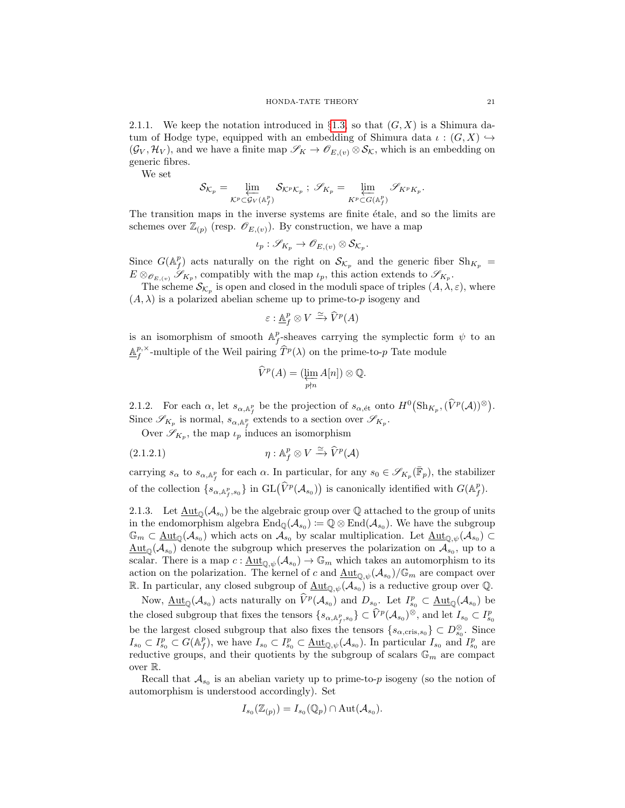2.1.1. We keep the notation introduced in §[1.3,](#page-14-0) so that  $(G, X)$  is a Shimura datum of Hodge type, equipped with an embedding of Shimura data  $\iota : (G, X) \hookrightarrow$  $(\mathcal{G}_V, \mathcal{H}_V)$ , and we have a finite map  $\mathscr{S}_K \to \mathscr{O}_{E,(v)} \otimes \mathcal{S}_K$ , which is an embedding on generic fibres.

We set

$$
\mathcal{S}_{\mathcal{K}_p} = \varprojlim_{\mathcal{K}^p \subset \mathcal{G}_V(\mathbb{A}_f^p)} \mathcal{S}_{\mathcal{K}^p \mathcal{K}_p} \; ; \; \mathscr{S}_{K_p} = \varprojlim_{K^p \subset G(\mathbb{A}_f^p)} \mathscr{S}_{K^p K_p}.
$$

The transition maps in the inverse systems are finite etale, and so the limits are schemes over  $\mathbb{Z}_{(p)}$  (resp.  $\mathscr{O}_{E,(v)}$ ). By construction, we have a map

$$
\iota_p: \mathscr{S}_{K_p} \to \mathscr{O}_{E,(v)} \otimes \mathcal{S}_{\mathcal{K}_p}.
$$

Since  $G(\mathbb{A}_f^p)$  acts naturally on the right on  $\mathcal{S}_{\mathcal{K}_p}$  and the generic fiber  $\mathrm{Sh}_{K_p}$  =  $E \otimes_{\mathscr{O}_{E,(v)}} \mathscr{S}_{K_p}$ , compatibly with the map  $\iota_p$ , this action extends to  $\mathscr{S}_{K_p}$ .

The scheme  $\mathcal{S}_{\mathcal{K}_p}$  is open and closed in the moduli space of triples  $(A, \lambda, \varepsilon)$ , where  $(A, \lambda)$  is a polarized abelian scheme up to prime-to-p isogeny and

$$
\varepsilon : \underline{\mathbb{A}}_f^p \otimes V \xrightarrow{\simeq} \widehat{V}^p(A)
$$

is an isomorphism of smooth  $\mathbb{A}_f^p$ -sheaves carrying the symplectic form  $\psi$  to an  $\underline{\mathbb{A}}^{p,\times}_f$ -multiple of the Weil pairing  $\widehat{T}^p(\lambda)$  on the prime-to- $p$  Tate module

$$
\widehat{V}^p(A) = (\varprojlim_{p \nmid n} A[n]) \otimes \mathbb{Q}.
$$

2.1.2. For each  $\alpha$ , let  $s_{\alpha,\mathbb{A}_f^p}$  be the projection of  $s_{\alpha,\text{\'et}}$  onto  $H^0(\text{Sh}_{K_p},(\widehat{V}^p(\mathcal{A}))^{\otimes}).$ Since  $\mathscr{S}_{K_p}$  is normal,  $s_{\alpha, \mathbb{A}_f^p}$  extends to a section over  $\mathscr{S}_{K_p}$ .

Over  $\mathscr{S}_{K_p}$ , the map  $\iota_p$  induces an isomorphism

(2.1.2.1) 
$$
\eta: \mathbb{A}_f^p \otimes V \xrightarrow{\simeq} \widehat{V}^p(\mathcal{A})
$$

carrying  $s_{\alpha}$  to  $s_{\alpha, \mathbb{A}_f^p}$  for each  $\alpha$ . In particular, for any  $s_0 \in \mathscr{S}_{K_p}(\bar{\mathbb{F}}_p)$ , the stabilizer of the collection  $\{s_{\alpha, \mathbb{A}_{f}^{p}, s_{0}}\}$  in  $GL(\widehat{V}^{p}(\mathcal{A}_{s_{0}}))$  is canonically identified with  $G(\mathbb{A}_{f}^{p})$ .

<span id="page-20-0"></span>2.1.3. Let  $\underline{\mathrm{Aut}}_{\mathbb{Q}}(\mathcal{A}_{s_0})$  be the algebraic group over  $\mathbb Q$  attached to the group of units in the endomorphism algebra  $\text{End}_{\mathbb{Q}}(\mathcal{A}_{s_0}) := \mathbb{Q} \otimes \text{End}(\mathcal{A}_{s_0})$ . We have the subgroup  $\mathbb{G}_m \subset \underline{\mathrm{Aut}}_{\mathbb{Q}}(\mathcal{A}_{s_0})$  which acts on  $\mathcal{A}_{s_0}$  by scalar multiplication. Let  $\underline{\mathrm{Aut}}_{\mathbb{Q},\psi}(\mathcal{A}_{s_0}) \subset$  $\underline{\mathrm{Aut}}_{\mathbb{Q}}(\mathcal{A}_{s_0})$  denote the subgroup which preserves the polarization on  $\mathcal{A}_{s_0}$ , up to a scalar. There is a map  $c: \underline{\text{Aut}}_{\mathbb{Q}, \psi}(\mathcal{A}_{s_0}) \to \mathbb{G}_m$  which takes an automorphism to its action on the polarization. The kernel of c and  $\underline{\mathrm{Aut}}_{\mathbb{Q}, \psi}(\mathcal{A}_{s_0})/\mathbb{G}_m$  are compact over R. In particular, any closed subgroup of  $\underline{\mathrm{Aut}}_{\mathbb{Q},\psi}(\mathcal{A}_{s_0})$  is a reductive group over  $\mathbb{Q}$ .

Now,  $\underline{\mathrm{Aut}}_{\mathbb{Q}}(\mathcal{A}_{s_0})$  acts naturally on  $\widehat{V}^p(\mathcal{A}_{s_0})$  and  $D_{s_0}$ . Let  $I^p_{s_0} \subset \underline{\mathrm{Aut}}_{\mathbb{Q}}(\mathcal{A}_{s_0})$  be the closed subgroup that fixes the tensors  $\{s_{\alpha, \mathbb{A}_f^p, s_0}\} \subset \widehat{V}^p(\mathcal{A}_{s_0})^{\otimes}$ , and let  $I_{s_0} \subset I_{s_0}^p$ be the largest closed subgroup that also fixes the tensors  $\{s_{\alpha,\text{cris},s_0}\}\subset D_{s_0}^{\otimes}$ . Since  $I_{s_0} \subset I_{s_0}^p \subset G(\mathbb{A}_f^p)$ , we have  $I_{s_0} \subset I_{s_0}^p \subset \underline{\rm Aut}_{\mathbb{Q}, \psi}(\mathcal{A}_{s_0})$ . In particular  $I_{s_0}$  and  $I_{s_0}^p$  are reductive groups, and their quotients by the subgroup of scalars  $\mathbb{G}_m$  are compact over R.

Recall that  $\mathcal{A}_{s_0}$  is an abelian variety up to prime-to-p isogeny (so the notion of automorphism is understood accordingly). Set

$$
I_{s_0}(\mathbb{Z}_{(p)}) = I_{s_0}(\mathbb{Q}_p) \cap \text{Aut}(\mathcal{A}_{s_0}).
$$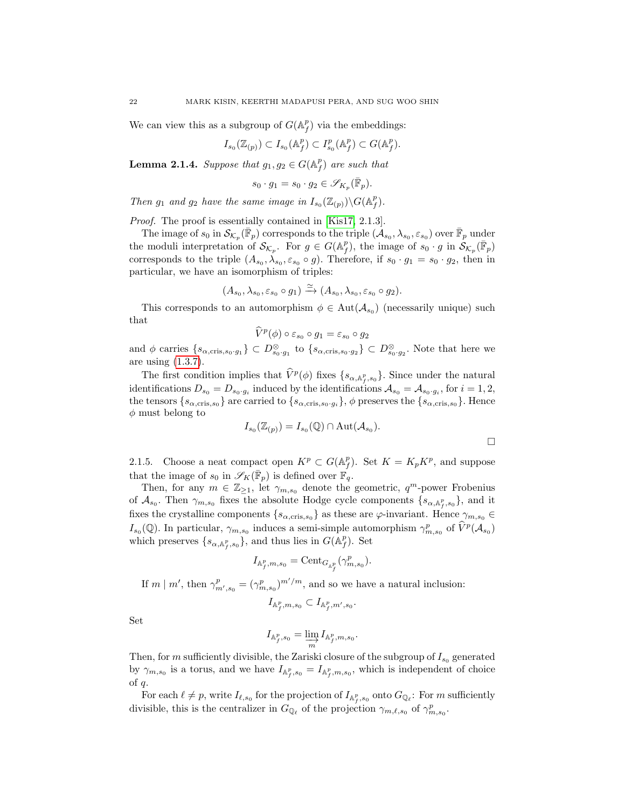We can view this as a subgroup of  $G(\mathbb{A}_f^p)$  via the embeddings:

$$
I_{s_0}(\mathbb{Z}_{(p)}) \subset I_{s_0}(\mathbb{A}_f^p) \subset I_{s_0}^p(\mathbb{A}_f^p) \subset G(\mathbb{A}_f^p).
$$

<span id="page-21-0"></span>**Lemma 2.1.4.** Suppose that  $g_1, g_2 \in G(\mathbb{A}_f^p)$  are such that

$$
s_0 \cdot g_1 = s_0 \cdot g_2 \in \mathscr{S}_{K_p}(\bar{\mathbb{F}}_p).
$$

Then  $g_1$  and  $g_2$  have the same image in  $I_{s_0}(\mathbb{Z}_{(p)})\backslash G(\mathbb{A}_f^p)$ .

Proof. The proof is essentially contained in [\[Kis17,](#page-39-6) 2.1.3].

The image of  $s_0$  in  $\mathcal{S}_{\mathcal{K}_p}(\bar{\mathbb{F}}_p)$  corresponds to the triple  $(\mathcal{A}_{s_0}, \lambda_{s_0}, \varepsilon_{s_0})$  over  $\bar{\mathbb{F}}_p$  under the moduli interpretation of  $\mathcal{S}_{\mathcal{K}_p}$ . For  $g \in G(\mathbb{A}_f^p)$ , the image of  $s_0 \cdot g$  in  $\mathcal{S}_{\mathcal{K}_p}(\bar{\mathbb{F}}_p)$ corresponds to the triple  $(A_{s_0}, \lambda_{s_0}, \varepsilon_{s_0} \circ g)$ . Therefore, if  $s_0 \cdot g_1 = s_0 \cdot g_2$ , then in particular, we have an isomorphism of triples:

$$
(A_{s_0}, \lambda_{s_0}, \varepsilon_{s_0} \circ g_1) \xrightarrow{\simeq} (A_{s_0}, \lambda_{s_0}, \varepsilon_{s_0} \circ g_2).
$$

This corresponds to an automorphism  $\phi \in Aut(\mathcal{A}_{s_0})$  (necessarily unique) such that

$$
\widehat{V}^p(\phi) \circ \varepsilon_{s_0} \circ g_1 = \varepsilon_{s_0} \circ g_2
$$

and  $\phi$  carries  $\{s_{\alpha,\text{cris},s_0,g_1}\}\subset D^{\otimes}_{s_0,g_1}$  to  $\{s_{\alpha,\text{cris},s_0,g_2}\}\subset D^{\otimes}_{s_0,g_2}$ . Note that here we are using [\(1.3.7\)](#page-16-1).

The first condition implies that  $\hat{V}^p(\phi)$  fixes  $\{s_{\alpha,\mathbb{A}_f^p,s_0}\}$ . Since under the natural identifications  $D_{s_0} = D_{s_0 \cdot g_i}$  induced by the identifications  $\mathcal{A}_{s_0} = \mathcal{A}_{s_0 \cdot g_i}$ , for  $i = 1, 2,$ the tensors  $\{s_{\alpha,\text{cris},s_0}\}\$  are carried to  $\{s_{\alpha,\text{cris},s_0\cdot g_i}\}\$ ,  $\phi$  preserves the  $\{s_{\alpha,\text{cris},s_0}\}\$ . Hence  $\phi$  must belong to

$$
I_{s_0}(\mathbb{Z}_{(p)}) = I_{s_0}(\mathbb{Q}) \cap \text{Aut}(\mathcal{A}_{s_0}).
$$

2.1.5. Choose a neat compact open  $K^p \subset G(\mathbb{A}_f^p)$ . Set  $K = K_p K^p$ , and suppose that the image of  $s_0$  in  $\mathscr{S}_K(\bar{\mathbb{F}}_p)$  is defined over  $\bar{\mathbb{F}}_q$ .

Then, for any  $m \in \mathbb{Z}_{\geq 1}$ , let  $\gamma_{m,s_0}$  denote the geometric,  $q^m$ -power Frobenius of  $\mathcal{A}_{s_0}$ . Then  $\gamma_{m,s_0}$  fixes the absolute Hodge cycle components  $\{s_{\alpha,\mathbb{A}_f^p,s_0}\},$  and it fixes the crystalline components  $\{s_{\alpha,\text{cris},s_0}\}\$ as these are  $\varphi$ -invariant. Hence  $\gamma_{m,s_0} \in$  $I_{s_0}(\mathbb{Q})$ . In particular,  $\gamma_{m,s_0}$  induces a semi-simple automorphism  $\gamma_{m,s_0}^p$  of  $\widehat{V}^p(\mathcal{A}_{s_0})$ which preserves  $\{s_{\alpha, \mathbb{A}_{f}^{p}, s_{0}}\}$ , and thus lies in  $G(\mathbb{A}_{f}^{p})$ . Set

$$
I_{\mathbb{A}_f^p,m,s_0}=\textnormal{Cent}_{G_{\mathbb{A}_f^p}}(\gamma_{m,s_0}^p).
$$

If  $m \mid m'$ , then  $\gamma_{m',s_0}^p = (\gamma_{m,s_0}^p)^{m'/m}$ , and so we have a natural inclusion:

$$
I_{\mathbb{A}_f^p,m,s_0}\subset I_{\mathbb{A}_f^p,m',s_0}.
$$

Set

$$
I_{\mathbb{A}_f^p, s_0} = \varinjlim_m I_{\mathbb{A}_f^p, m, s_0}.
$$

Then, for m sufficiently divisible, the Zariski closure of the subgroup of  $I_{s_0}$  generated by  $\gamma_{m,s_0}$  is a torus, and we have  $I_{\mathbb{A}_f^p,s_0} = I_{\mathbb{A}_f^p,m,s_0}$ , which is independent of choice of  $q$ .

For each  $\ell \neq p$ , write  $I_{\ell,s_0}$  for the projection of  $I_{\mathbb{A}_f^p,s_0}$  onto  $G_{\mathbb{Q}_\ell}$ : For m sufficiently divisible, this is the centralizer in  $G_{\mathbb{Q}_{\ell}}$  of the projection  $\gamma_{m,\ell,s_0}$  of  $\gamma_{m,s_0}^p$ .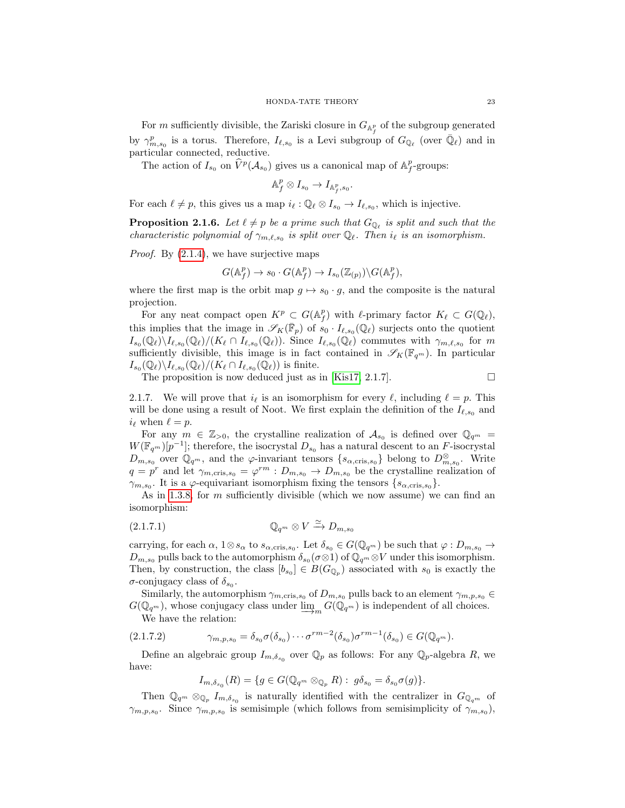For m sufficiently divisible, the Zariski closure in  $G_{\mathbb{A}_f^p}$  of the subgroup generated by  $\gamma_{m,s_0}^p$  is a torus. Therefore,  $I_{\ell,s_0}$  is a Levi subgroup of  $G_{\mathbb{Q}_\ell}$  (over  $\bar{\mathbb{Q}}_\ell$ ) and in particular connected, reductive.

The action of  $I_{s_0}$  on  $\widehat{V}^p(\mathcal{A}_{s_0})$  gives us a canonical map of  $\mathbb{A}_f^p$ -groups:

$$
\mathbb{A}_f^p\otimes I_{s_0}\to I_{\mathbb{A}_f^p,s_0}.
$$

For each  $\ell \neq p$ , this gives us a map  $i_{\ell} : \mathbb{Q}_{\ell} \otimes I_{s_0} \to I_{\ell,s_0}$ , which is injective.

<span id="page-22-0"></span>**Proposition 2.1.6.** Let  $\ell \neq p$  be a prime such that  $G_{\mathbb{Q}_{\ell}}$  is split and such that the characteristic polynomial of  $\gamma_{m,\ell,s_0}$  is split over  $\mathbb{Q}_\ell$ . Then  $i_\ell$  is an isomorphism.

Proof. By  $(2.1.4)$ , we have surjective maps

$$
G(\mathbb{A}_f^p) \to s_0 \cdot G(\mathbb{A}_f^p) \to I_{s_0}(\mathbb{Z}_{(p)}) \backslash G(\mathbb{A}_f^p),
$$

where the first map is the orbit map  $g \mapsto s_0 \cdot g$ , and the composite is the natural projection.

For any neat compact open  $K^p \subset G(\mathbb{A}_f^p)$  with  $\ell$ -primary factor  $K_\ell \subset G(\mathbb{Q}_\ell)$ , this implies that the image in  $\mathscr{S}_K(\bar{\mathbb{F}}_p)$  of  $s_0 \cdot I_{\ell,s_0}(\mathbb{Q}_\ell)$  surjects onto the quotient  $I_{s_0}(\mathbb{Q}_\ell)\backslash I_{\ell,s_0}(\mathbb{Q}_\ell)/(K_\ell \cap I_{\ell,s_0}(\mathbb{Q}_\ell)).$  Since  $I_{\ell,s_0}(\mathbb{Q}_\ell)$  commutes with  $\gamma_{m,\ell,s_0}$  for m sufficiently divisible, this image is in fact contained in  $\mathscr{S}_K(\mathbb{F}_{q^m})$ . In particular  $I_{s_0}(\mathbb{Q}_\ell)\backslash I_{\ell,s_0}(\mathbb{Q}_\ell)/(K_\ell\cap I_{\ell,s_0}(\mathbb{Q}_\ell))$  is finite.

The proposition is now deduced just as in [\[Kis17,](#page-39-6) 2.1.7].

$$
\Box
$$

<span id="page-22-1"></span>2.1.7. We will prove that  $i_\ell$  is an isomorphism for every  $\ell$ , including  $\ell = p$ . This will be done using a result of Noot. We first explain the definition of the  $I_{\ell,s_0}$  and  $i_{\ell}$  when  $\ell = p$ .

For any  $m \in \mathbb{Z}_{>0}$ , the crystalline realization of  $\mathcal{A}_{s_0}$  is defined over  $\mathbb{Q}_{q^m}$  =  $W(\mathbb{F}_{q^m})[p^{-1}]$ ; therefore, the isocrystal  $D_{s_0}$  has a natural descent to an F-isocrystal  $D_{m,s_0}$  over  $\mathbb{Q}_{q^m}$ , and the  $\varphi$ -invariant tensors  $\{s_{\alpha,\text{cris},s_0}\}\$  belong to  $D_{m,s_0}^{\otimes}$ . Write  $q = p^r$  and let  $\gamma_{m,\text{cris},s_0} = \varphi^{rm} : D_{m,s_0} \to D_{m,s_0}$  be the crystalline realization of  $\gamma_{m,s_0}$ . It is a  $\varphi$ -equivariant isomorphism fixing the tensors  $\{s_{\alpha,\text{cris},s_0}\}.$ 

As in [1.3.8,](#page-17-2) for  $m$  sufficiently divisible (which we now assume) we can find an isomorphism:

$$
(2.1.7.1) \t\t\t\t\mathbb{Q}_{q^m} \otimes V \xrightarrow{\simeq} D_{m,s_0}
$$

carrying, for each  $\alpha$ ,  $1 \otimes s_{\alpha}$  to  $s_{\alpha,cris,s_0}$ . Let  $\delta_{s_0} \in G(\mathbb{Q}_{q^m})$  be such that  $\varphi: D_{m,s_0} \to$  $D_{m,s_0}$  pulls back to the automorphism  $\delta_{s_0}(\sigma\otimes 1)$  of  $\mathbb{Q}_{q^m}\otimes V$  under this isomorphism. Then, by construction, the class  $[b_{s_0}] \in B(G_{\mathbb{Q}_p})$  associated with  $s_0$  is exactly the  $\sigma$ -conjugacy class of  $\delta_{s_0}$ .

Similarly, the automorphism  $\gamma_{m,\text{cris},s_0}$  of  $D_{m,s_0}$  pulls back to an element  $\gamma_{m,p,s_0} \in$  $G(\mathbb{Q}_{q^m})$ , whose conjugacy class under  $\varinjlim_m G(\mathbb{Q}_{q^m})$  is independent of all choices. We have the relation:

<span id="page-22-2"></span>
$$
(2.1.7.2) \qquad \gamma_{m,p,s_0} = \delta_{s_0} \sigma(\delta_{s_0}) \cdots \sigma^{rm-2}(\delta_{s_0}) \sigma^{rm-1}(\delta_{s_0}) \in G(\mathbb{Q}_{q^m}).
$$

Define an algebraic group  $I_{m,\delta_{s_0}}$  over  $\mathbb{Q}_p$  as follows: For any  $\mathbb{Q}_p$ -algebra R, we have:

$$
I_{m,\delta_{s_0}}(R) = \{ g \in G(\mathbb{Q}_{q^m} \otimes_{\mathbb{Q}_p} R) : g\delta_{s_0} = \delta_{s_0}\sigma(g) \}.
$$

Then  $\mathbb{Q}_{q^m} \otimes_{\mathbb{Q}_p} I_{m,\delta_{s_0}}$  is naturally identified with the centralizer in  $G_{\mathbb{Q}_{q^m}}$  of  $\gamma_{m,p,s_0}$ . Since  $\gamma_{m,p,s_0}$  is semisimple (which follows from semisimplicity of  $\gamma_{m,s_0}$ ),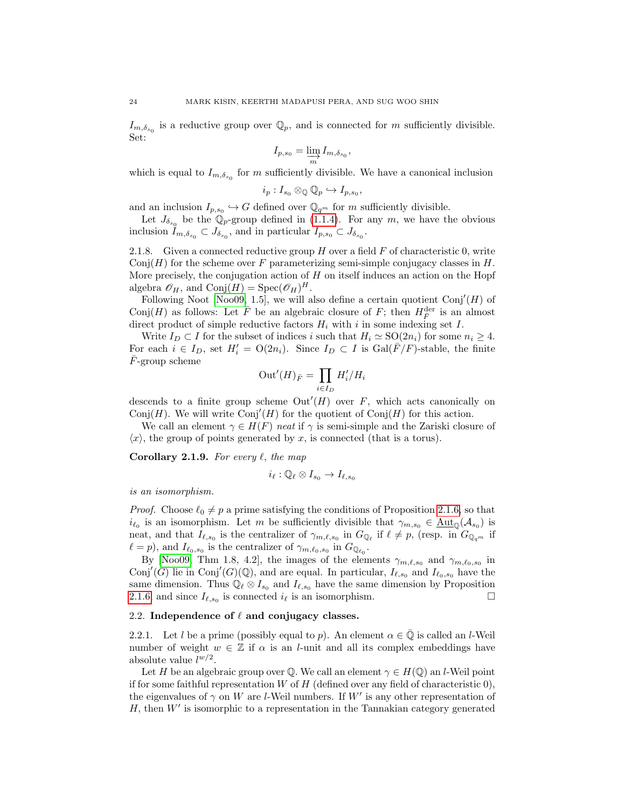$I_{m,\delta_{s_0}}$  is a reductive group over  $\mathbb{Q}_p$ , and is connected for m sufficiently divisible. Set:

$$
I_{p,s_0} = \varinjlim_m I_{m,\delta_{s_0}},
$$

which is equal to  $I_{m,\delta_{s_0}}$  for m sufficiently divisible. We have a canonical inclusion

$$
i_p: I_{s_0} \otimes_{\mathbb{Q}} \mathbb{Q}_p \hookrightarrow I_{p,s_0},
$$

and an inclusion  $I_{p,s_0} \hookrightarrow G$  defined over  $\mathbb{Q}_{q^m}$  for m sufficiently divisible.

Let  $J_{\delta_{s_0}}$  be the  $\mathbb{Q}_p$ -group defined in [\(1.1.4\)](#page-6-3). For any m, we have the obvious inclusion  $I_{m,\delta_{s_0}} \subset J_{\delta_{s_0}}$ , and in particular  $I_{p,s_0} \subset J_{\delta_{s_0}}$ .

<span id="page-23-2"></span>2.1.8. Given a connected reductive group  $H$  over a field  $F$  of characteristic 0, write Conj $(H)$  for the scheme over F parameterizing semi-simple conjugacy classes in H. More precisely, the conjugation action of  $H$  on itself induces an action on the Hopf algebra  $\mathscr{O}_H$ , and  $\text{Conj}(H) = \text{Spec}(\mathscr{O}_H)^H$ .

Following Noot [\[Noo09,](#page-39-20) 1.5], we will also define a certain quotient  $Conj'(H)$  of Conj $(H)$  as follows: Let  $\overline{F}$  be an algebraic closure of  $F$ ; then  $H_{\overline{F}}^{\text{der}}$  is an almost direct product of simple reductive factors  $H_i$  with i in some indexing set I.

Write  $I_D \subset I$  for the subset of indices i such that  $H_i \simeq SO(2n_i)$  for some  $n_i \geq 4$ . For each  $i \in I_D$ , set  $H'_i = O(2n_i)$ . Since  $I_D \subset I$  is  $Gal(\overline{F}/F)$ -stable, the finite  $\bar{F}$ -group scheme

$$
\mathrm{Out}'(H)_{\bar{F}} = \prod_{i \in I_D} H'_i / H_i
$$

descends to a finite group scheme  $Out'(H)$  over F, which acts canonically on Conj(H). We will write Conj'(H) for the quotient of Conj(H) for this action.

We call an element  $\gamma \in H(F)$  neat if  $\gamma$  is semi-simple and the Zariski closure of  $\langle x \rangle$ , the group of points generated by x, is connected (that is a torus).

<span id="page-23-1"></span>**Corollary 2.1.9.** For every  $\ell$ , the map

$$
i_{\ell}:\mathbb{Q}_{\ell}\otimes I_{s_0}\to I_{\ell,s_0}
$$

is an isomorphism.

*Proof.* Choose  $\ell_0 \neq p$  a prime satisfying the conditions of Proposition [2.1.6,](#page-22-0) so that  $i_{\ell_0}$  is an isomorphism. Let m be sufficiently divisible that  $\gamma_{m,s_0} \in \underline{\text{Aut}}_{\mathbb{Q}}(\mathcal{A}_{s_0})$  is neat, and that  $I_{\ell,s_0}$  is the centralizer of  $\gamma_{m,\ell,s_0}$  in  $G_{\mathbb{Q}_{\ell}}$  if  $\ell \neq p$ , (resp. in  $G_{\mathbb{Q}_{q^m}}$  if  $\ell = p$ , and  $I_{\ell_0,s_0}$  is the centralizer of  $\gamma_{m,\ell_0,s_0}$  in  $G_{\mathbb{Q}_{\ell_0}}$ .

By [\[Noo09,](#page-39-20) Thm 1.8, 4.2], the images of the elements  $\gamma_{m,\ell,s_0}$  and  $\gamma_{m,\ell_0,s_0}$  in Conj'(G) lie in Conj'(G)(Q), and are equal. In particular,  $I_{\ell,s_0}$  and  $I_{\ell_0,s_0}$  have the same dimension. Thus  $\mathbb{Q}_\ell \otimes I_{s_0}$  and  $I_{\ell,s_0}$  have the same dimension by Proposition [2.1.6,](#page-22-0) and since  $I_{\ell,s_0}$  is connected  $i_\ell$  is an isomorphism.

# <span id="page-23-0"></span>2.2. Independence of  $\ell$  and conjugacy classes.

2.2.1. Let l be a prime (possibly equal to p). An element  $\alpha \in \mathbb{Q}$  is called an l-Weil number of weight  $w \in \mathbb{Z}$  if  $\alpha$  is an *l*-unit and all its complex embeddings have absolute value  $l^{w/2}$ .

Let H be an algebraic group over Q. We call an element  $\gamma \in H(\mathbb{Q})$  an *l*-Weil point if for some faithful representation  $W$  of  $H$  (defined over any field of characteristic 0), the eigenvalues of  $\gamma$  on W are l-Weil numbers. If W' is any other representation of  $H$ , then  $W'$  is isomorphic to a representation in the Tannakian category generated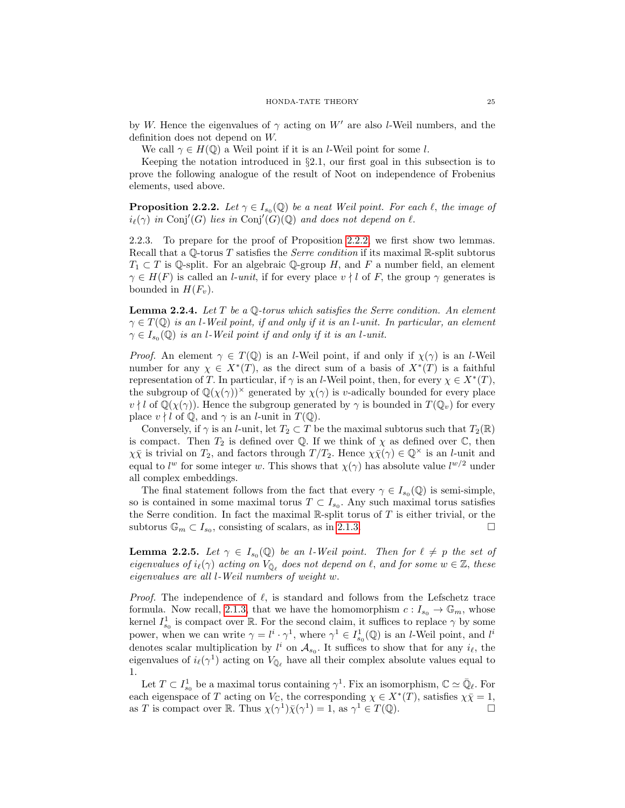by W. Hence the eigenvalues of  $\gamma$  acting on W' are also l-Weil numbers, and the definition does not depend on W.

We call  $\gamma \in H(\mathbb{Q})$  a Weil point if it is an *l*-Weil point for some *l*.

Keeping the notation introduced in §2.1, our first goal in this subsection is to prove the following analogue of the result of Noot on independence of Frobenius elements, used above.

<span id="page-24-0"></span>**Proposition 2.2.2.** Let  $\gamma \in I_{s_0}(\mathbb{Q})$  be a neat Weil point. For each  $\ell$ , the image of  $i_{\ell}(\gamma)$  in Conj'(G) lies in Conj'(G)(Q) and does not depend on  $\ell$ .

<span id="page-24-2"></span>2.2.3. To prepare for the proof of Proposition [2.2.2,](#page-24-0) we first show two lemmas. Recall that a  $\mathbb{Q}$ -torus T satisfies the *Serre condition* if its maximal R-split subtorus  $T_1 \subset T$  is  $\mathbb Q$ -split. For an algebraic  $\mathbb Q$ -group H, and F a number field, an element  $\gamma \in H(F)$  is called an *l-unit*, if for every place  $v \nmid l$  of F, the group  $\gamma$  generates is bounded in  $H(F_v)$ .

<span id="page-24-1"></span>**Lemma 2.2.4.** Let  $T$  be a  $\mathbb{Q}$ -torus which satisfies the Serre condition. An element  $\gamma \in T(\mathbb{Q})$  is an l-Weil point, if and only if it is an l-unit. In particular, an element  $\gamma \in I_{s_0}(\mathbb{Q})$  is an l-Weil point if and only if it is an l-unit.

*Proof.* An element  $\gamma \in T(\mathbb{Q})$  is an *l*-Weil point, if and only if  $\chi(\gamma)$  is an *l*-Weil number for any  $\chi \in X^*(T)$ , as the direct sum of a basis of  $X^*(T)$  is a faithful representation of T. In particular, if  $\gamma$  is an *l*-Weil point, then, for every  $\chi \in X^*(T)$ , the subgroup of  $\mathbb{Q}(\chi(\gamma))^{\times}$  generated by  $\chi(\gamma)$  is v-adically bounded for every place  $v \nmid l$  of  $\mathbb{Q}(\chi(\gamma))$ . Hence the subgroup generated by  $\gamma$  is bounded in  $T(\mathbb{Q}_v)$  for every place  $v \nmid l$  of  $\mathbb{Q}$ , and  $\gamma$  is an *l*-unit in  $T(\mathbb{Q})$ .

Conversely, if  $\gamma$  is an *l*-unit, let  $T_2 \subset T$  be the maximal subtorus such that  $T_2(\mathbb{R})$ is compact. Then  $T_2$  is defined over  $\mathbb Q$ . If we think of  $\chi$  as defined over  $\mathbb C$ , then  $\chi\bar{\chi}$  is trivial on  $T_2$ , and factors through  $T/T_2$ . Hence  $\chi\bar{\chi}(\gamma) \in \mathbb{Q}^{\times}$  is an *l*-unit and equal to  $l^w$  for some integer w. This shows that  $\chi(\gamma)$  has absolute value  $l^{w/2}$  under all complex embeddings.

The final statement follows from the fact that every  $\gamma \in I_{s_0}(\mathbb{Q})$  is semi-simple, so is contained in some maximal torus  $T \subset I_{s_0}$ . Any such maximal torus satisfies the Serre condition. In fact the maximal  $\mathbb{R}\text{-split}$  torus of T is either trivial, or the subtorus  $\mathbb{G}_m \subset I_{s_0}$ , consisting of scalars, as in [2.1.3.](#page-20-0)

**Lemma 2.2.5.** Let  $\gamma \in I_{s_0}(\mathbb{Q})$  be an l-Weil point. Then for  $\ell \neq p$  the set of eigenvalues of  $i_{\ell}(\gamma)$  acting on  $V_{\bar{\mathbb{Q}}_{\ell}}$  does not depend on  $\ell$ , and for some  $w \in \mathbb{Z}$ , these eigenvalues are all l-Weil numbers of weight w.

*Proof.* The independence of  $\ell$ , is standard and follows from the Lefschetz trace formula. Now recall, [2.1.3,](#page-20-0) that we have the homomorphism  $c: I_{s_0} \to \mathbb{G}_m$ , whose kernel  $I_{s_0}^1$  is compact over R. For the second claim, it suffices to replace  $\gamma$  by some power, when we can write  $\gamma = l^i \cdot \gamma^1$ , where  $\gamma^1 \in I^1_{s_0}(\mathbb{Q})$  is an *l*-Weil point, and  $l^i$ denotes scalar multiplication by  $l^i$  on  $\mathcal{A}_{s_0}$ . It suffices to show that for any  $i_{\ell}$ , the eigenvalues of  $i_{\ell}(\gamma^1)$  acting on  $V_{\bar{\mathbb{Q}}_{\ell}}$  have all their complex absolute values equal to 1.

Let  $T \subset I_{s_0}^1$  be a maximal torus containing  $\gamma^1$ . Fix an isomorphism,  $\mathbb{C} \simeq \bar{\mathbb{Q}}_\ell$ . For each eigenspace of T acting on  $V_{\mathbb{C}}$ , the corresponding  $\chi \in X^*(T)$ , satisfies  $\chi \bar{\chi} = 1$ , as T is compact over R. Thus  $\chi(\gamma^1)\bar{\chi}(\gamma^1) = 1$ , as  $\gamma^1 \in T(\mathbb{Q})$ .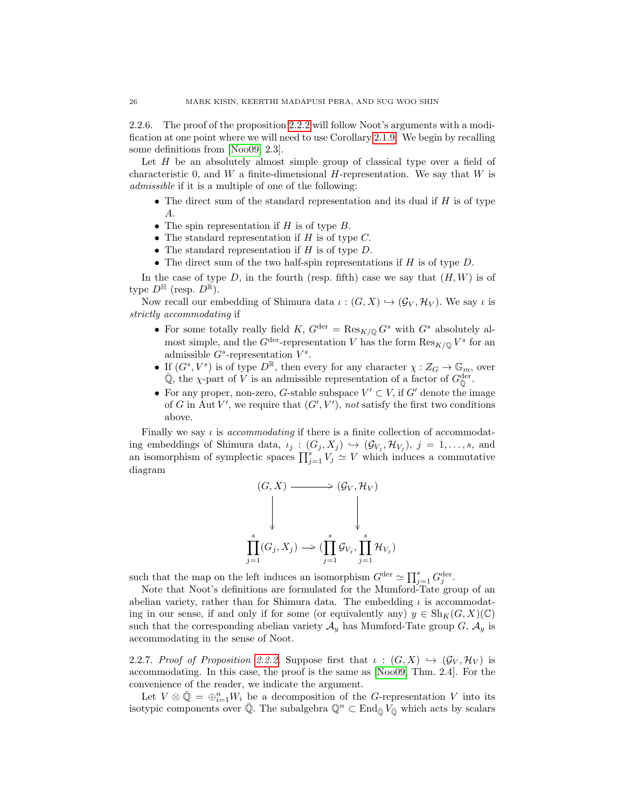2.2.6. The proof of the proposition [2.2.2](#page-24-0) will follow Noot's arguments with a modification at one point where we will need to use Corollary [2.1.9.](#page-23-1) We begin by recalling some definitions from [\[Noo09,](#page-39-20) 2.3].

Let  $H$  be an absolutely almost simple group of classical type over a field of characteristic 0, and W a finite-dimensional  $H$ -representation. We say that W is admissible if it is a multiple of one of the following:

- The direct sum of the standard representation and its dual if  $H$  is of type A.
- The spin representation if  $H$  is of type  $B$ .
- The standard representation if  $H$  is of type  $C$ .
- The standard representation if  $H$  is of type  $D$ .
- The direct sum of the two half-spin representations if  $H$  is of type  $D$ .

In the case of type D, in the fourth (resp. fifth) case we say that  $(H, W)$  is of type  $D^{\mathbb{H}}$  (resp.  $D^{\mathbb{R}}$ ).

Now recall our embedding of Shimura data  $\iota : (G, X) \hookrightarrow (\mathcal{G}_V, \mathcal{H}_V)$ . We say  $\iota$  is strictly accommodating if

- For some totally really field K,  $G^{\text{der}} = \text{Res}_{K/\mathbb{Q}} G^s$  with  $G^s$  absolutely almost simple, and the  $G^{\text{der}}$ -representation V has the form  $\text{Res}_{K/\mathbb{Q}} V^s$  for an admissible  $G<sup>s</sup>$ -representation  $V<sup>s</sup>$ .
- If  $(G^s, V^s)$  is of type  $D^{\mathbb{R}}$ , then every for any character  $\chi: Z_G \to \mathbb{G}_m$ , over  $\overline{Q}$ , the  $\chi$ -part of V is an admissible representation of a factor of  $G_{\overline{Q}}^{\text{der}}$ .
- For any proper, non-zero, G-stable subspace  $V' \subset V$ , if  $G'$  denote the image of G in Aut V', we require that  $(G', V')$ , not satisfy the first two conditions above.

Finally we say  $\iota$  is *accommodating* if there is a finite collection of accommodating embeddings of Shimura data,  $\iota_j : (G_j, X_j) \hookrightarrow (\mathcal{G}_{V_j}, \mathcal{H}_{V_j}), j = 1, \ldots, s$ , and an isomorphism of symplectic spaces  $\prod_{j=1}^{s} V_j \simeq V$  which induces a commutative diagram

$$
(G, X) \longrightarrow (G_V, \mathcal{H}_V)
$$
  
\n
$$
\downarrow \qquad \qquad \downarrow
$$
  
\n
$$
\prod_{j=1}^s (G_j, X_j) \longrightarrow (\prod_{j=1}^s \mathcal{G}_{V_j}, \prod_{j=1}^s \mathcal{H}_{V_j})
$$

such that the map on the left induces an isomorphism  $G^{\text{der}} \simeq \prod_{j=1}^{s} G_j^{\text{der}}$ .

Note that Noot's definitions are formulated for the Mumford-Tate group of an abelian variety, rather than for Shimura data. The embedding  $\iota$  is accommodating in our sense, if and only if for some (or equivalently any)  $y \in Sh_K(G, X)(\mathbb{C})$ such that the corresponding abelian variety  $A_y$  has Mumford-Tate group  $G$ ,  $A_y$  is accommodating in the sense of Noot.

2.2.7. Proof of Proposition [2.2.2.](#page-24-0) Suppose first that  $\iota : (G,X) \hookrightarrow (G_V, \mathcal{H}_V)$  is accommodating. In this case, the proof is the same as [\[Noo09,](#page-39-20) Thm. 2.4]. For the convenience of the reader, we indicate the argument.

Let  $V \otimes \bar{Q} = \bigoplus_{i=1}^n W_i$  be a decomposition of the G-representation V into its isotypic components over  $\overline{Q}$ . The subalgebra  $\mathbb{Q}^n \subset \text{End}_{\overline{Q}}V_{\overline{Q}}$  which acts by scalars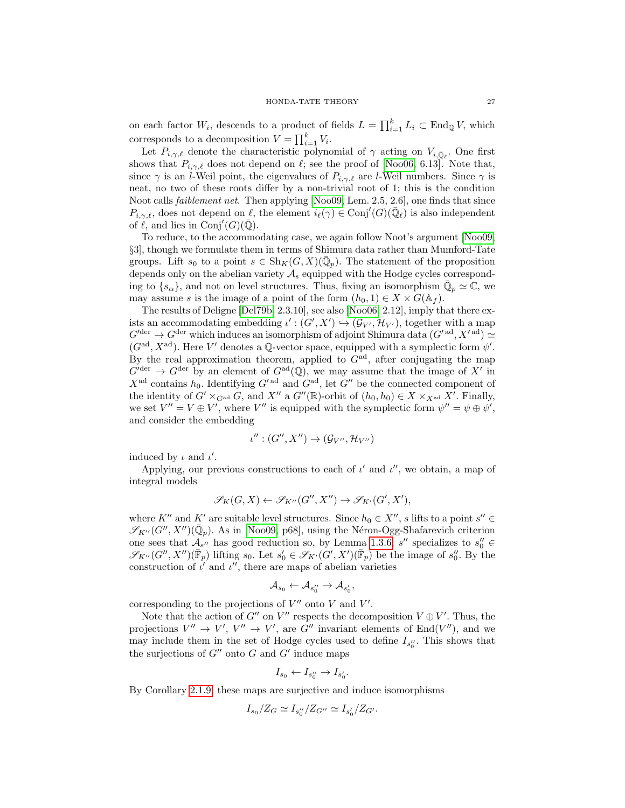on each factor  $W_i$ , descends to a product of fields  $L = \prod_{i=1}^k L_i \subset \text{End}_{\mathbb{Q}} V$ , which corresponds to a decomposition  $V = \prod_{i=1}^{k} V_i$ .

Let  $P_{i,\gamma,\ell}$  denote the characteristic polynomial of  $\gamma$  acting on  $V_{i,\bar{\mathbb{Q}}_{\ell}}$ . One first shows that  $P_{i,\gamma,\ell}$  does not depend on  $\ell$ ; see the proof of [\[Noo06,](#page-39-21) 6.13]. Note that, since  $\gamma$  is an *l*-Weil point, the eigenvalues of  $P_{i,\gamma,\ell}$  are *l*-Weil numbers. Since  $\gamma$  is neat, no two of these roots differ by a non-trivial root of 1; this is the condition Noot calls faiblement net. Then applying [\[Noo09,](#page-39-20) Lem. 2.5, 2.6], one finds that since  $P_{i,\gamma,\ell}$ , does not depend on  $\ell$ , the element  $i_{\ell}(\gamma) \in \text{Conj}'(G)(\bar{\mathbb{Q}}_{\ell})$  is also independent of  $\ell$ , and lies in Conj'(G)( $\overline{Q}$ ).

To reduce, to the accommodating case, we again follow Noot's argument [\[Noo09,](#page-39-20) §3], though we formulate them in terms of Shimura data rather than Mumford-Tate groups. Lift  $s_0$  to a point  $s \in Sh_K(G,X)(\overline{\mathbb{Q}}_p)$ . The statement of the proposition depends only on the abelian variety  $A_s$  equipped with the Hodge cycles corresponding to  $\{s_{\alpha}\}\)$ , and not on level structures. Thus, fixing an isomorphism  $\overline{\mathbb{Q}}_p \simeq \mathbb{C}$ , we may assume s is the image of a point of the form  $(h_0, 1) \in X \times G(\mathbb{A}_f)$ .

The results of Deligne [\[Del79b,](#page-38-7) 2.3.10], see also [\[Noo06,](#page-39-21) 2.12], imply that there exists an accommodating embedding  $\iota' : (G', X') \hookrightarrow (\mathcal{G}_{V'}, \mathcal{H}_{V'})$ , together with a map  $G^{\text{der}} \to G^{\text{der}}$  which induces an isomorphism of adjoint Shimura data  $(G^{\prime \text{ ad}}, X^{\prime \text{ ad}}) \simeq$  $(G<sup>ad</sup>, X<sup>ad</sup>)$ . Here V' denotes a Q-vector space, equipped with a symplectic form  $\psi'$ . By the real approximation theorem, applied to  $G<sup>ad</sup>$ , after conjugating the map  $G^{\text{der}} \to G^{\text{der}}$  by an element of  $G^{\text{ad}}(\mathbb{Q})$ , we may assume that the image of X' in  $X^{\text{ad}}$  contains  $h_0$ . Identifying  $G'^{\text{ad}}$  and  $G^{\text{ad}}$ , let  $G''$  be the connected component of the identity of  $G' \times_{G^{\mathrm{ad}}} G$ , and  $X''$  a  $G''(\mathbb{R})$ -orbit of  $(h_0, h_0) \in X \times_{X^{\mathrm{ad}}} X'$ . Finally, we set  $V'' = V \oplus V'$ , where V'' is equipped with the symplectic form  $\psi'' = \psi \oplus \psi'$ , and consider the embedding

$$
\iota'': (G'', X'') \to (\mathcal{G}_{V''}, \mathcal{H}_{V''})
$$

induced by  $\iota$  and  $\iota'$ .

Applying, our previous constructions to each of  $\iota'$  and  $\iota''$ , we obtain, a map of integral models

$$
\mathscr{S}_K(G,X) \leftarrow \mathscr{S}_{K''}(G'',X'') \to \mathscr{S}_{K'}(G',X'),
$$

where  $K''$  and  $K'$  are suitable level structures. Since  $h_0 \in X'', s$  lifts to a point  $s'' \in$  $\mathscr{S}_{K''}(G'', X'')(\bar{\mathbb{Q}}_p)$ . As in [\[Noo09,](#page-39-20) p68], using the Néron-Ogg-Shafarevich criterion one sees that  $\mathcal{A}_{s''}$  has good reduction so, by Lemma [1.3.6,](#page-16-2) s'' specializes to  $s''_0 \in$  $\mathscr{S}_{K''}(G'', X'')(\overline{\mathbb{F}}_p)$  lifting  $s_0$ . Let  $s'_0 \in \mathscr{S}_{K'}(G', X')(\overline{\mathbb{F}}_p)$  be the image of  $s''_0$ . By the construction of  $\iota'$  and  $\iota''$ , there are maps of abelian varieties

$$
\mathcal{A}_{s_0} \leftarrow \mathcal{A}_{s_0''} \rightarrow \mathcal{A}_{s_0'},
$$

corresponding to the projections of  $V''$  onto V and  $V'$ .

Note that the action of G'' on V'' respects the decomposition  $V \oplus V'$ . Thus, the projections  $V'' \to V'$ ,  $V'' \to V'$ , are G'' invariant elements of End(V''), and we may include them in the set of Hodge cycles used to define  $I_{s_0}$ . This shows that the surjections of  $G''$  onto G and  $G'$  induce maps

$$
I_{s_0} \leftarrow I_{s_0''} \rightarrow I_{s_0'}.
$$

By Corollary [2.1.9,](#page-23-1) these maps are surjective and induce isomorphisms

$$
I_{s_0}/Z_G \simeq I_{s_0''}/Z_{G''} \simeq I_{s_0'}/Z_{G'}
$$
.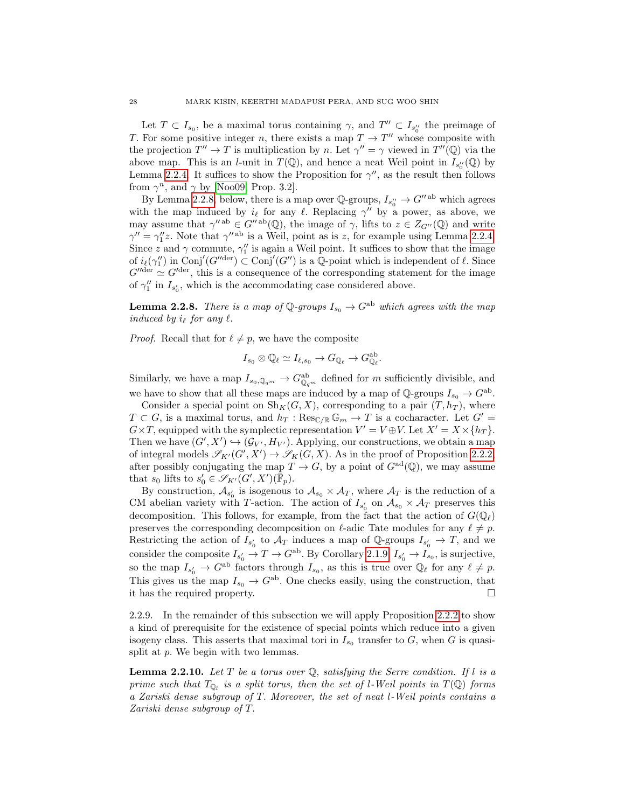Let  $T \subset I_{s_0}$ , be a maximal torus containing  $\gamma$ , and  $T'' \subset I_{s_0''}$  the preimage of T. For some positive integer n, there exists a map  $T \to T''$  whose composite with the projection  $T'' \to T$  is multiplication by n. Let  $\gamma'' = \gamma$  viewed in  $T''(\mathbb{Q})$  via the above map. This is an *l*-unit in  $T(\mathbb{Q})$ , and hence a neat Weil point in  $I_{s''_0}(\mathbb{Q})$  by Lemma [2.2.4.](#page-24-1) It suffices to show the Proposition for  $\gamma''$ , as the result then follows from  $\gamma^n$ , and  $\gamma$  by [\[Noo09,](#page-39-20) Prop. 3.2].

By Lemma [2.2.8,](#page-27-0) below, there is a map over  $\mathbb{Q}$ -groups,  $I_{s_0''}\to G''^{ab}$  which agrees with the map induced by  $i_\ell$  for any  $\ell$ . Replacing  $\gamma''$  by a power, as above, we may assume that  $\gamma''^{ab} \in G''^{ab}(\mathbb{Q})$ , the image of  $\gamma$ , lifts to  $z \in Z_{G''}(\mathbb{Q})$  and write  $\gamma'' = \gamma''_1 z$ . Note that  $\gamma''$ <sup>ab</sup> is a Weil, point as is z, for example using Lemma [2.2.4.](#page-24-1) Since z and  $\gamma$  commute,  $\gamma''_1$  is again a Weil point. It suffices to show that the image of  $i_{\ell}(\gamma''_1)$  in Conj'(G''der)  $\subset$  Conj'(G'') is a Q-point which is independent of  $\ell$ . Since  $G''<sup>def</sup> \simeq G'^{der}$ , this is a consequence of the corresponding statement for the image of  $\gamma_1''$  in  $I_{s_0'}$ , which is the accommodating case considered above.

<span id="page-27-0"></span>**Lemma 2.2.8.** There is a map of  $\mathbb{Q}$ -groups  $I_{s_0} \to G^{ab}$  which agrees with the map induced by  $i_\ell$  for any  $\ell$ .

*Proof.* Recall that for  $\ell \neq p$ , we have the composite

$$
I_{s_0}\otimes \mathbb{Q}_{\ell}\simeq I_{\ell,s_0}\rightarrow G_{\mathbb{Q}_{\ell}}\rightarrow G_{\mathbb{Q}_{\ell}}^{\text{ab}}
$$

.

Similarly, we have a map  $I_{s_0,\mathbb{Q}_q m} \to G_{\mathbb{Q}_q m}^{ab}$  defined for m sufficiently divisible, and we have to show that all these maps are induced by a map of  $\mathbb{Q}$ -groups  $I_{s_0} \to G^{ab}$ .

Consider a special point on  $\text{Sh}_K(G, X)$ , corresponding to a pair  $(T, h_T)$ , where  $T \subset G$ , is a maximal torus, and  $h_T : \text{Res}_{\mathbb{C}/\mathbb{R}} \mathbb{G}_m \to T$  is a cocharacter. Let  $G' =$  $G \times T$ , equipped with the symplectic representation  $V' = V \oplus V$ . Let  $X' = X \times \{h_T\}$ . Then we have  $(G', X') \hookrightarrow (\mathcal{G}_{V'}, H_{V'})$ . Applying, our constructions, we obtain a map of integral models  $\mathscr{S}_{K'}(G', X') \to \mathscr{S}_{K}(G, X)$ . As in the proof of Proposition [2.2.2,](#page-24-0) after possibly conjugating the map  $T \to G$ , by a point of  $G^{ad}(\mathbb{Q})$ , we may assume that  $s_0$  lifts to  $s'_0 \in \mathscr{S}_{K'}(G',X')(\bar{\mathbb{F}}_p)$ .

By construction,  $\mathcal{A}_{s_0'}$  is isogenous to  $\mathcal{A}_{s_0} \times \mathcal{A}_T$ , where  $\mathcal{A}_T$  is the reduction of a CM abelian variety with T-action. The action of  $I_{s'_0}$  on  $A_{s_0} \times A_T$  preserves this decomposition. This follows, for example, from the fact that the action of  $G(\mathbb{Q}_\ell)$ preserves the corresponding decomposition on  $\ell$ -adic Tate modules for any  $\ell \neq p$ . Restricting the action of  $I_{s'_0}$  to  $\mathcal{A}_T$  induces a map of Q-groups  $I_{s'_0} \to T$ , and we consider the composite  $I_{s_0'} \to T \to G^{ab}$ . By Corollary [2.1.9,](#page-23-1)  $I_{s_0'} \to I_{s_0}$ , is surjective, so the map  $I_{s'_0} \to G^{ab}$  factors through  $I_{s_0}$ , as this is true over  $\mathbb{Q}_\ell$  for any  $\ell \neq p$ . This gives us the map  $I_{s_0} \to G^{ab}$ . One checks easily, using the construction, that it has the required property.

2.2.9. In the remainder of this subsection we will apply Proposition [2.2.2](#page-24-0) to show a kind of prerequisite for the existence of special points which reduce into a given isogeny class. This asserts that maximal tori in  $I_{s_0}$  transfer to G, when G is quasisplit at  $p$ . We begin with two lemmas.

<span id="page-27-1"></span>**Lemma 2.2.10.** Let T be a torus over  $\mathbb{Q}$ , satisfying the Serre condition. If l is a prime such that  $T_{\mathbb{Q}_l}$  is a split torus, then the set of l-Weil points in  $T(\mathbb{Q})$  forms a Zariski dense subgroup of T. Moreover, the set of neat l-Weil points contains a Zariski dense subgroup of T.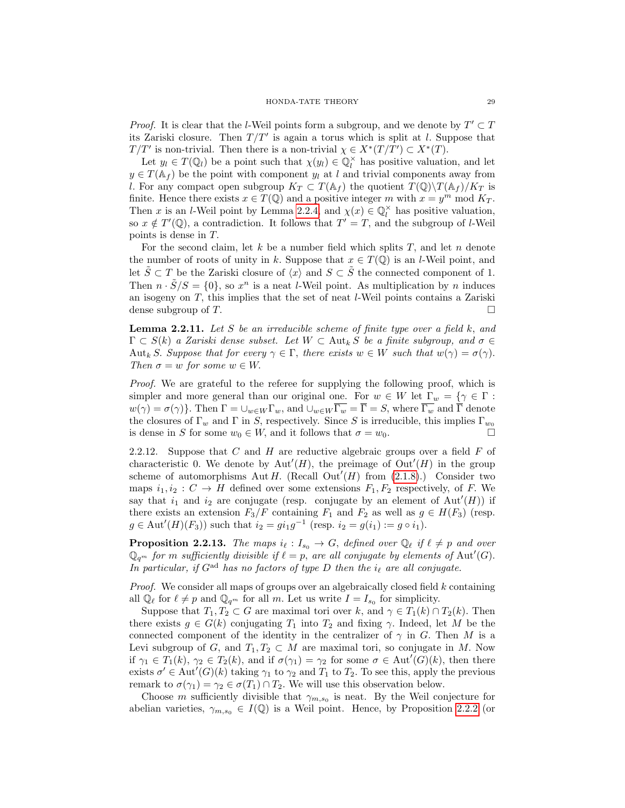*Proof.* It is clear that the *l*-Weil points form a subgroup, and we denote by  $T' \subset T$ its Zariski closure. Then  $T/T'$  is again a torus which is split at l. Suppose that  $T/T'$  is non-trivial. Then there is a non-trivial  $\chi \in X^*(T/T') \subset X^*(T)$ .

Let  $y_l \in T(\mathbb{Q}_l)$  be a point such that  $\chi(y_l) \in \mathbb{Q}_l^{\times}$  has positive valuation, and let  $y \in T(\mathbb{A}_f)$  be the point with component  $y_l$  at l and trivial components away from l. For any compact open subgroup  $K_T \subset T(\mathbb{A}_f)$  the quotient  $T(\mathbb{Q})\backslash T(\mathbb{A}_f)/K_T$  is finite. Hence there exists  $x \in T(\mathbb{Q})$  and a positive integer m with  $x = y^m \text{ mod } K_T$ . Then x is an l-Weil point by Lemma [2.2.4,](#page-24-1) and  $\chi(x) \in \mathbb{Q}_l^{\times}$  has positive valuation, so  $x \notin T'(\mathbb{Q})$ , a contradiction. It follows that  $T' = T$ , and the subgroup of *l*-Weil points is dense in T.

For the second claim, let  $k$  be a number field which splits  $T$ , and let  $n$  denote the number of roots of unity in k. Suppose that  $x \in T(\mathbb{Q})$  is an l-Weil point, and let  $\tilde{S} \subset T$  be the Zariski closure of  $\langle x \rangle$  and  $S \subset \tilde{S}$  the connected component of 1. Then  $n \cdot \tilde{S}/S = \{0\}$ , so  $x^n$  is a neat *l*-Weil point. As multiplication by *n* induces an isogeny on T, this implies that the set of neat l-Weil points contains a Zariski dense subgroup of T.

<span id="page-28-0"></span>**Lemma 2.2.11.** Let S be an irreducible scheme of finite type over a field  $k$ , and  $\Gamma \subset S(k)$  a Zariski dense subset. Let  $W \subset \text{Aut}_k S$  be a finite subgroup, and  $\sigma \in$ Aut<sub>k</sub> S. Suppose that for every  $\gamma \in \Gamma$ , there exists  $w \in W$  such that  $w(\gamma) = \sigma(\gamma)$ . Then  $\sigma = w$  for some  $w \in W$ .

Proof. We are grateful to the referee for supplying the following proof, which is simpler and more general than our original one. For  $w \in W$  let  $\Gamma_w = \{ \gamma \in \Gamma :$  $w(\gamma) = \sigma(\gamma)$ . Then  $\Gamma = \bigcup_{w \in W} \Gamma_w$ , and  $\bigcup_{w \in W} \overline{\Gamma_w} = \overline{\Gamma} = S$ , where  $\overline{\Gamma_w}$  and  $\overline{\Gamma}$  denote the closures of  $\Gamma_w$  and  $\Gamma$  in S, respectively. Since S is irreducible, this implies  $\Gamma_{w_0}$ is dense in S for some  $w_0 \in W$ , and it follows that  $\sigma = w_0$ .

2.2.12. Suppose that C and H are reductive algebraic groups over a field  $F$  of characteristic 0. We denote by  $Aut'(H)$ , the preimage of  $Out'(H)$  in the group scheme of automorphisms Aut H. (Recall Out<sup> $\prime$ </sup>(H) from  $(2.1.8)$ .) Consider two maps  $i_1, i_2 : C \to H$  defined over some extensions  $F_1, F_2$  respectively, of F. We say that  $i_1$  and  $i_2$  are conjugate (resp. conjugate by an element of Aut'(H)) if there exists an extension  $F_3/F$  containing  $F_1$  and  $F_2$  as well as  $g \in H(F_3)$  (resp.  $g \in \text{Aut}'(H)(F_3)$  such that  $i_2 = gi_1g^{-1}$  (resp.  $i_2 = g(i_1) := g \circ i_1$ ).

<span id="page-28-1"></span>**Proposition 2.2.13.** The maps  $i_{\ell} : I_{s_0} \to G$ , defined over  $\mathbb{Q}_{\ell}$  if  $\ell \neq p$  and over  $\mathbb{Q}_{q^m}$  for m sufficiently divisible if  $\ell = p$ , are all conjugate by elements of Aut'(G). In particular, if  $G^{\text{ad}}$  has no factors of type D then the  $i_{\ell}$  are all conjugate.

*Proof.* We consider all maps of groups over an algebraically closed field  $k$  containing all  $\mathbb{Q}_{\ell}$  for  $\ell \neq p$  and  $\mathbb{Q}_{q^m}$  for all m. Let us write  $I = I_{s_0}$  for simplicity.

Suppose that  $T_1, T_2 \subset G$  are maximal tori over k, and  $\gamma \in T_1(k) \cap T_2(k)$ . Then there exists  $g \in G(k)$  conjugating  $T_1$  into  $T_2$  and fixing  $\gamma$ . Indeed, let M be the connected component of the identity in the centralizer of  $\gamma$  in G. Then M is a Levi subgroup of G, and  $T_1, T_2 \subset M$  are maximal tori, so conjugate in M. Now if  $\gamma_1 \in T_1(k)$ ,  $\gamma_2 \in T_2(k)$ , and if  $\sigma(\gamma_1) = \gamma_2$  for some  $\sigma \in \text{Aut}'(G)(k)$ , then there exists  $\sigma' \in \text{Aut}'(G)(k)$  taking  $\gamma_1$  to  $\gamma_2$  and  $T_1$  to  $T_2$ . To see this, apply the previous remark to  $\sigma(\gamma_1) = \gamma_2 \in \sigma(T_1) \cap T_2$ . We will use this observation below.

Choose m sufficiently divisible that  $\gamma_{m,s_0}$  is neat. By the Weil conjecture for abelian varieties,  $\gamma_{m,s_0} \in I(\mathbb{Q})$  is a Weil point. Hence, by Proposition [2.2.2](#page-24-0) (or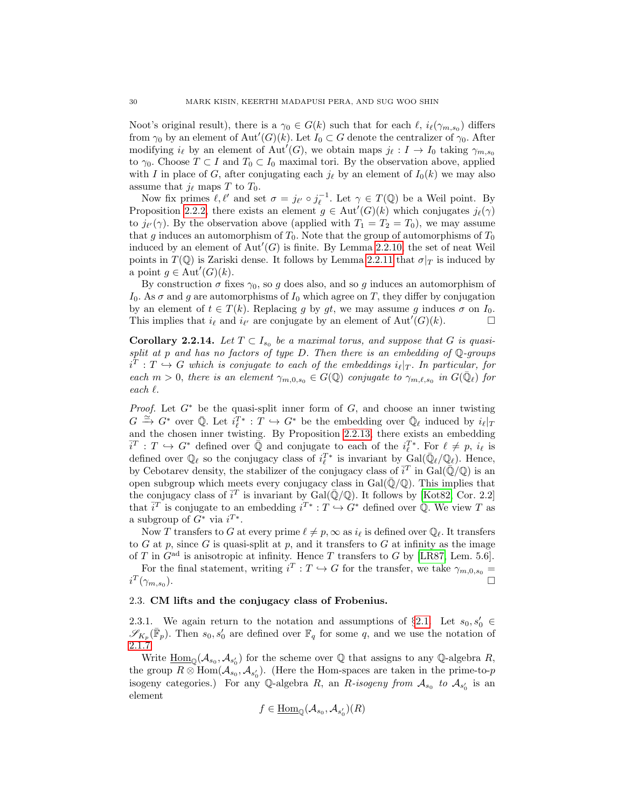Noot's original result), there is a  $\gamma_0 \in G(k)$  such that for each  $\ell$ ,  $i_{\ell}(\gamma_{m,s_0})$  differs from  $\gamma_0$  by an element of Aut' $(G)(k)$ . Let  $I_0 \subset G$  denote the centralizer of  $\gamma_0$ . After modifying  $i_{\ell}$  by an element of Aut<sup> $\ell(G)$ </sup>, we obtain maps  $j_{\ell} : I \to I_0$  taking  $\gamma_{m,s_0}$ to  $\gamma_0$ . Choose  $T \subset I$  and  $T_0 \subset I_0$  maximal tori. By the observation above, applied with I in place of G, after conjugating each  $j_{\ell}$  by an element of  $I_0(k)$  we may also assume that  $j_{\ell}$  maps T to  $T_0$ .

Now fix primes  $\ell, \ell'$  and set  $\sigma = j_{\ell'} \circ j_{\ell}^{-1}$ . Let  $\gamma \in T(\mathbb{Q})$  be a Weil point. By Proposition [2.2.2,](#page-24-0) there exists an element  $g \in \text{Aut}'(G)(k)$  which conjugates  $j_{\ell}(\gamma)$ to  $j_{\ell'}(\gamma)$ . By the observation above (applied with  $T_1 = T_2 = T_0$ ), we may assume that g induces an automorphism of  $T_0$ . Note that the group of automorphisms of  $T_0$ induced by an element of  $\text{Aut}'(G)$  is finite. By Lemma [2.2.10,](#page-27-1) the set of neat Weil points in  $T(\mathbb{Q})$  is Zariski dense. It follows by Lemma [2.2.11](#page-28-0) that  $\sigma|_T$  is induced by a point  $g \in Aut'(G)(k)$ .

By construction  $\sigma$  fixes  $\gamma_0$ , so g does also, and so g induces an automorphism of I<sub>0</sub>. As  $\sigma$  and g are automorphisms of I<sub>0</sub> which agree on T, they differ by conjugation by an element of  $t \in T(k)$ . Replacing g by gt, we may assume g induces  $\sigma$  on  $I_0$ . This implies that  $i_\ell$  and  $i_{\ell'}$  are conjugate by an element of Aut<sup> $\ell(G)(k)$ </sup>.

<span id="page-29-1"></span>**Corollary 2.2.14.** Let  $T \subset I_{s_0}$  be a maximal torus, and suppose that G is quasisplit at p and has no factors of type  $D$ . Then there is an embedding of  $\mathbb{Q}$ -groups  $i^T : T \hookrightarrow G$  which is conjugate to each of the embeddings  $i_{\ell}|_T$ . In particular, for each  $m > 0$ , there is an element  $\gamma_{m,0,s_0} \in G(\mathbb{Q})$  conjugate to  $\gamma_{m,\ell,s_0}$  in  $G(\bar{\mathbb{Q}}_{\ell})$  for  $each \ell.$ 

*Proof.* Let  $G^*$  be the quasi-split inner form of  $G$ , and choose an inner twisting  $G \stackrel{\simeq}{\to} G^*$  over  $\bar{\mathbb{Q}}$ . Let  $i_{\ell}^{T*}: T \hookrightarrow G^*$  be the embedding over  $\bar{\mathbb{Q}}_{\ell}$  induced by  $i_{\ell}|_T$ and the chosen inner twisting. By Proposition [2.2.13,](#page-28-1) there exists an embedding  $\bar{i}^T : T \hookrightarrow G^*$  defined over  $\bar{\mathbb{Q}}$  and conjugate to each of the  $i^{T*}_\ell$ . For  $\ell \neq p$ ,  $i_\ell$  is defined over  $\mathbb{Q}_\ell$  so the conjugacy class of  $i_\ell^{T*}$  is invariant by  $\text{Gal}(\bar{\mathbb{Q}}_\ell/\mathbb{Q}_\ell)$ . Hence, by Cebotarev density, the stabilizer of the conjugacy class of  $\bar{i}^T$  in Gal( $\bar{\mathbb{Q}}/\mathbb{Q}$ ) is an open subgroup which meets every conjugacy class in  $Gal(\bar{Q}/\mathbb{Q})$ . This implies that the conjugacy class of  $\bar{i}^T$  is invariant by Gal( $\bar{\mathbb{Q}}/\mathbb{Q}$ ). It follows by [\[Kot82,](#page-39-22) Cor. 2.2] that  $\overline{i}^T$  is conjugate to an embedding  $i^{T*}: T \hookrightarrow G^*$  defined over Q. We view T as a subgroup of  $G^*$  via  $i^{T*}$ .

Now T transfers to G at every prime  $\ell \neq p, \infty$  as  $i_{\ell}$  is defined over  $\mathbb{Q}_{\ell}$ . It transfers to  $G$  at  $p$ , since  $G$  is quasi-split at  $p$ , and it transfers to  $G$  at infinity as the image of T in  $G<sup>ad</sup>$  is anisotropic at infinity. Hence T transfers to G by [\[LR87,](#page-39-3) Lem. 5.6].

For the final statement, writing  $i^T : T \hookrightarrow G$  for the transfer, we take  $\gamma_{m,0,s_0} =$  $i^T(\gamma_{m,s_0}$ ).  $\Box$ 

## <span id="page-29-0"></span>2.3. CM lifts and the conjugacy class of Frobenius.

2.3.1. We again return to the notation and assumptions of  $\S 2.1$ . Let  $s_0, s'_0 \in$  $\mathscr{S}_{K_p}(\bar{\mathbb{F}}_p)$ . Then  $s_0, s'_0$  are defined over  $\mathbb{F}_q$  for some q, and we use the notation of [2.1.7.](#page-22-1)

Write  $\underline{\text{Hom}}_{\mathbb{Q}}(\mathcal{A}_{s_0}, \mathcal{A}_{s'_0})$  for the scheme over  $\mathbb Q$  that assigns to any  $\mathbb Q$ -algebra R, the group  $R \otimes \text{Hom}(\mathcal{A}_{s_0}, \mathcal{A}_{s'_0})$ . (Here the Hom-spaces are taken in the prime-to-p isogeny categories.) For any Q-algebra R, an R-isogeny from  $A_{s_0}$  to  $A_{s'_0}$  is an element

$$
f \in \underline{\mathrm{Hom}}_{\mathbb{Q}}(\mathcal{A}_{s_0}, \mathcal{A}_{s'_0})(R)
$$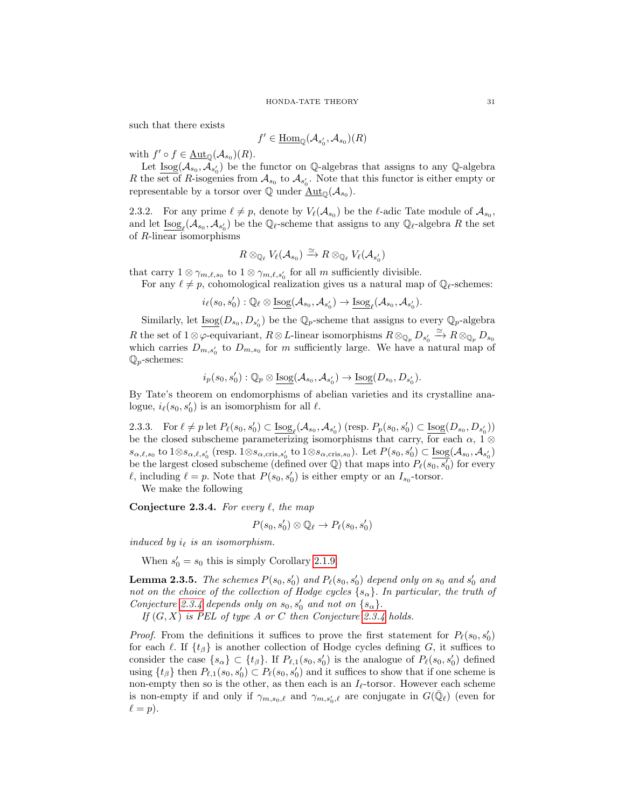such that there exists

$$
f'\in \underline{\mathrm{Hom}}_{\mathbb{Q}}(\mathcal{A}_{s'_0},\mathcal{A}_{s_0})(R)
$$

with  $f' \circ f \in \underline{\mathrm{Aut}}_{\mathbb{Q}}(\mathcal{A}_{s_0})(R)$ .

Let  $\underline{\text{Isog}}(\mathcal{A}_{s_0}, \check{\mathcal{A}}_{s'_0})$  be the functor on Q-algebras that assigns to any Q-algebra R the set of R-isogenies from  $\mathcal{A}_{s_0}$  to  $\mathcal{A}_{s'_0}$ . Note that this functor is either empty or representable by a torsor over  $\overline{Q}$  under  $\underline{\text{Aut}}_{\mathbb{Q}}(\mathcal{A}_{s_0}).$ 

2.3.2. For any prime  $\ell \neq p$ , denote by  $V_{\ell}(\mathcal{A}_{s_0})$  be the  $\ell$ -adic Tate module of  $\mathcal{A}_{s_0}$ , and let  $\underline{\text{Isog}}_{\ell}(\mathcal{A}_{s_0}, \mathcal{A}_{s'_0})$  be the  $\mathbb{Q}_{\ell}$ -scheme that assigns to any  $\mathbb{Q}_{\ell}$ -algebra R the set of R-linear isomorphisms

$$
R\otimes_{\mathbb{Q}_{\ell}} V_{\ell}(\mathcal{A}_{s_0}) \xrightarrow{\simeq} R\otimes_{\mathbb{Q}_{\ell}} V_{\ell}(\mathcal{A}_{s_0'})
$$

that carry  $1 \otimes \gamma_{m,\ell,s_0}$  to  $1 \otimes \gamma_{m,\ell,s_0'}$  for all m sufficiently divisible.

For any  $\ell \neq p$ , cohomological realization gives us a natural map of  $\mathbb{Q}_{\ell}$ -schemes:

 $i_{\ell}(s_0, s'_0) : \mathbb{Q}_{\ell} \otimes \underline{\text{Isog}}(\mathcal{A}_{s_0}, \mathcal{A}_{s'_0}) \to \underline{\text{Isog}}_{\ell}(\mathcal{A}_{s_0}, \mathcal{A}_{s'_0}).$ 

Similarly, let  $\underline{\text{Isog}}(D_{s_0}, D_{s'_0})$  be the  $\mathbb{Q}_p$ -scheme that assigns to every  $\mathbb{Q}_p$ -algebra R the set of  $1 \otimes \varphi$ -equivariant,  $R \otimes L$ -linear isomorphisms  $R \otimes_{\mathbb{Q}_p} D_{s'_0} \xrightarrow{\simeq} R \otimes_{\mathbb{Q}_p} D_{s_0}$ which carries  $D_{m,s_0}$  to  $D_{m,s_0}$  for m sufficiently large. We have a natural map of  $\mathbb{Q}_p$ -schemes:

$$
i_p(s_0,s'_0): \mathbb{Q}_p \otimes \underline{\mathrm{Isog}}(\mathcal{A}_{s_0},\mathcal{A}_{s'_0}) \to \underline{\mathrm{Isog}}(D_{s_0},D_{s'_0}).
$$

By Tate's theorem on endomorphisms of abelian varieties and its crystalline analogue,  $i_{\ell}(s_0, s'_0)$  is an isomorphism for all  $\ell$ .

<span id="page-30-1"></span>2.3.3. For  $\ell \neq p$  let  $P_{\ell}(s_0, s'_0) \subset \underline{\text{Isog}}_{\ell}(\mathcal{A}_{s_0}, \mathcal{A}_{s'_0})$  (resp.  $P_p(s_0, s'_0) \subset \underline{\text{Isog}}(D_{s_0}, D_{s'_0})$ ) be the closed subscheme parameterizing isomorphisms that carry, for each  $\alpha$ , 1 ⊗  $s_{\alpha,\ell,s_0}$  to  $1\otimes s_{\alpha,\ell,s'_0}$  (resp.  $1\otimes s_{\alpha,\text{cris},s'_0}$  to  $1\otimes s_{\alpha,\text{cris},s_0}$ ). Let  $P(s_0,s'_0) \subset \underline{\text{Isog}}(\mathcal{A}_{s_0},\mathcal{A}_{s'_0})$ be the largest closed subscheme (defined over  $\mathbb{Q}$ ) that maps into  $P_{\ell}(s_0, s'_0)$  for every  $\ell$ , including  $\ell = p$ . Note that  $P(s_0, s'_0)$  is either empty or an  $I_{s_0}$ -torsor.

We make the following

<span id="page-30-0"></span>Conjecture 2.3.4. For every  $\ell$ , the map

$$
P(s_0, s'_0) \otimes \mathbb{Q}_{\ell} \to P_{\ell}(s_0, s'_0)
$$

induced by  $i_{\ell}$  is an isomorphism.

When  $s'_0 = s_0$  this is simply Corollary [2.1.9.](#page-23-1)

<span id="page-30-2"></span>**Lemma 2.3.5.** The schemes  $P(s_0, s'_0)$  and  $P_{\ell}(s_0, s'_0)$  depend only on  $s_0$  and  $s'_0$  and not on the choice of the collection of Hodge cycles  $\{s_{\alpha}\}\$ . In particular, the truth of Conjecture [2.3.4](#page-30-0) depends only on  $s_0$ ,  $s'_0$  and not on  $\{s_\alpha\}$ .

If  $(G, X)$  is PEL of type A or C then Conjecture [2.3.4](#page-30-0) holds.

*Proof.* From the definitions it suffices to prove the first statement for  $P_{\ell}(s_0, s'_0)$ for each  $\ell$ . If  $\{t_\beta\}$  is another collection of Hodge cycles defining G, it suffices to consider the case  $\{s_{\alpha}\}\subset \{t_{\beta}\}\$ . If  $P_{\ell,1}(s_0, s'_0)$  is the analogue of  $P_{\ell}(s_0, s'_0)$  defined using  $\{t_\beta\}$  then  $P_{\ell,1}(s_0, s'_0) \subset P_{\ell}(s_0, s'_0)$  and it suffices to show that if one scheme is non-empty then so is the other, as then each is an  $I_{\ell}$ -torsor. However each scheme is non-empty if and only if  $\gamma_{m,s_0,\ell}$  and  $\gamma_{m,s_0',\ell}$  are conjugate in  $G(\bar{\mathbb{Q}}_{\ell})$  (even for  $\ell = p$ ).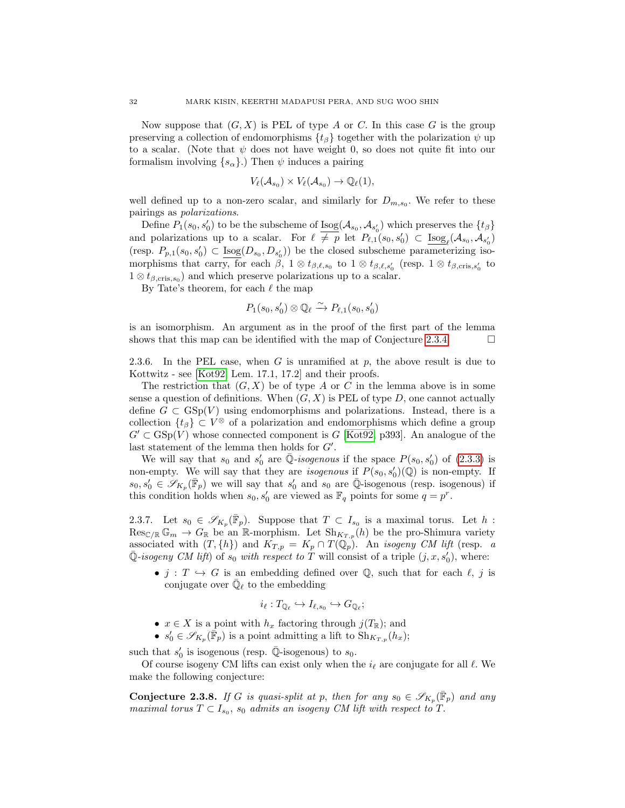Now suppose that  $(G, X)$  is PEL of type A or C. In this case G is the group preserving a collection of endomorphisms  $\{t_\beta\}$  together with the polarization  $\psi$  up to a scalar. (Note that  $\psi$  does not have weight 0, so does not quite fit into our formalism involving  $\{s_{\alpha}\}\)$ . Then  $\psi$  induces a pairing

$$
V_{\ell}(\mathcal{A}_{s_0}) \times V_{\ell}(\mathcal{A}_{s_0}) \to \mathbb{Q}_{\ell}(1),
$$

well defined up to a non-zero scalar, and similarly for  $D_{m,s_0}$ . We refer to these pairings as polarizations.

Define  $P_1(s_0, s'_0)$  to be the subscheme of  $\underline{\text{Isog}}(\mathcal{A}_{s_0}, \mathcal{A}_{s'_0})$  which preserves the  $\{t_\beta\}$ and polarizations up to a scalar. For  $\ell \neq p$  let  $P_{\ell,1}(s_0, s'_0) \subset \underline{\text{Isog}}_{\ell}(\mathcal{A}_{s_0}, \mathcal{A}_{s'_0})$ (resp.  $P_{p,1}(s_0, s'_0) \subset \underline{\text{Isog}}(D_{s_0}, D_{s'_0})$ ) be the closed subscheme parameterizing isomorphisms that carry, for each  $\beta$ ,  $1 \otimes t_{\beta,\ell,s_0}$  to  $1 \otimes t_{\beta,\ell,s_0'}$  (resp.  $1 \otimes t_{\beta,\text{cris},s_0'}$  to  $1 \otimes t_{\beta,\text{cris},s_0}$  and which preserve polarizations up to a scalar.

By Tate's theorem, for each  $\ell$  the map

$$
P_1(s_0, s'_0) \otimes \mathbb{Q}_{\ell} \xrightarrow{\sim} P_{\ell,1}(s_0, s'_0)
$$

is an isomorphism. An argument as in the proof of the first part of the lemma shows that this map can be identified with the map of Conjecture [2.3.4.](#page-30-0)  $\Box$ 

<span id="page-31-0"></span>2.3.6. In the PEL case, when G is unramified at  $p$ , the above result is due to Kottwitz - see [\[Kot92,](#page-39-7) Lem. 17.1, 17.2] and their proofs.

The restriction that  $(G, X)$  be of type A or C in the lemma above is in some sense a question of definitions. When  $(G, X)$  is PEL of type D, one cannot actually define  $G \subset \text{GSp}(V)$  using endomorphisms and polarizations. Instead, there is a collection  $\{t_\beta\} \subset V^\otimes$  of a polarization and endomorphisms which define a group  $G' \subset \text{GSp}(V)$  whose connected component is G [\[Kot92,](#page-39-7) p393]. An analogue of the last statement of the lemma then holds for  $G'$ .

We will say that  $s_0$  and  $s'_0$  are  $\overline{\mathbb{Q}}$ -isogenous if the space  $P(s_0, s'_0)$  of  $(2.3.3)$  is non-empty. We will say that they are *isogenous* if  $P(s_0, s'_0)(\mathbb{Q})$  is non-empty. If  $s_0, s'_0 \in \mathscr{S}_{K_p}(\bar{\mathbb{F}}_p)$  we will say that  $s'_0$  and  $s_0$  are  $\bar{\mathbb{Q}}$ -isogenous (resp. isogenous) if this condition holds when  $s_0, s'_0$  are viewed as  $\mathbb{F}_q$  points for some  $q = p^r$ .

2.3.7. Let  $s_0 \in \mathscr{S}_{K_p}(\bar{\mathbb{F}}_p)$ . Suppose that  $T \subset I_{s_0}$  is a maximal torus. Let h:  $\operatorname{Res}_{\mathbb{C}/\mathbb{R}}\mathbb{G}_m \to G_{\mathbb{R}}$  be an R-morphism. Let  $\operatorname{Sh}_{K_{T,p}}(h)$  be the pro-Shimura variety associated with  $(T, \{h\})$  and  $K_{T, p} = K_p \cap T(\mathbb{Q}_p)$ . An *isogeny CM lift* (resp. a  $\overline{\mathbb{Q}}$ -isogeny CM lift) of  $s_0$  with respect to T will consist of a triple  $(j, x, s'_0)$ , where:

•  $j : T \hookrightarrow G$  is an embedding defined over Q, such that for each  $\ell, j$  is conjugate over  $\bar{\mathbb{Q}}_{\ell}$  to the embedding

$$
i_{\ell}: T_{\mathbb{Q}_{\ell}} \hookrightarrow I_{\ell,s_0} \hookrightarrow G_{\mathbb{Q}_{\ell}};
$$

- $x \in X$  is a point with  $h_x$  factoring through  $j(T_{\mathbb{R}})$ ; and
- $s'_0 \in \mathscr{S}_{K_p}(\bar{\mathbb{F}}_p)$  is a point admitting a lift to  $\mathrm{Sh}_{K_{T,p}}(h_x)$ ;

such that  $s'_0$  is isogenous (resp.  $\overline{\mathbb{Q}}$ -isogenous) to  $s_0$ .

Of course isogeny CM lifts can exist only when the  $i_\ell$  are conjugate for all  $\ell$ . We make the following conjecture:

<span id="page-31-1"></span>**Conjecture 2.3.8.** If G is quasi-split at p, then for any  $s_0 \in \mathscr{S}_{K_p}(\bar{\mathbb{F}}_p)$  and any maximal torus  $T \subset I_{s_0}$ ,  $s_0$  admits an isogeny CM lift with respect to T.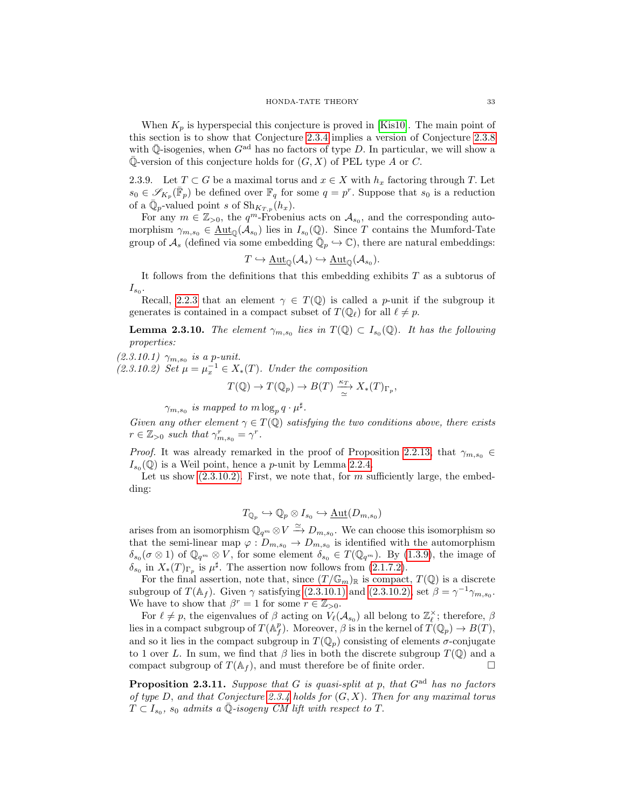When  $K_p$  is hyperspecial this conjecture is proved in [\[Kis10\]](#page-39-15). The main point of this section is to show that Conjecture [2.3.4](#page-30-0) implies a version of Conjecture [2.3.8](#page-31-1) with  $\overline{\mathbb{Q}}$ -isogenies, when  $G^{\text{ad}}$  has no factors of type D. In particular, we will show a  $\overline{\mathbb{Q}}$ -version of this conjecture holds for  $(G, X)$  of PEL type A or C.

2.3.9. Let  $T \subset G$  be a maximal torus and  $x \in X$  with  $h_x$  factoring through T. Let  $s_0 \in \mathscr{S}_{K_p}(\bar{\mathbb{F}}_p)$  be defined over  $\mathbb{F}_q$  for some  $q = p^r$ . Suppose that  $s_0$  is a reduction of a  $\overline{\mathbb{Q}}_p$ -valued point s of  $\text{Sh}_{K_{T,p}}(h_x)$ .

For any  $m \in \mathbb{Z}_{>0}$ , the  $q^m$ -Frobenius acts on  $\mathcal{A}_{s_0}$ , and the corresponding automorphism  $\gamma_{m,s_0} \in \underline{\text{Aut}}_{\mathbb{Q}}(\mathcal{A}_{s_0})$  lies in  $I_{s_0}(\mathbb{Q})$ . Since T contains the Mumford-Tate group of  $\mathcal{A}_s$  (defined via some embedding  $\overline{\mathbb{Q}}_p \hookrightarrow \mathbb{C}$ ), there are natural embeddings:

$$
T \hookrightarrow \underline{\rm Aut}_{\mathbb{Q}}(\mathcal{A}_s) \hookrightarrow \underline{\rm Aut}_{\mathbb{Q}}(\mathcal{A}_{s_0}).
$$

It follows from the definitions that this embedding exhibits  $T$  as a subtorus of  $I_{s_0}.$ 

Recall, [2.2.3](#page-24-2) that an element  $\gamma \in T(\mathbb{Q})$  is called a *p*-unit if the subgroup it generates is contained in a compact subset of  $T(\mathbb{Q}_\ell)$  for all  $\ell \neq p$ .

<span id="page-32-2"></span>**Lemma 2.3.10.** The element  $\gamma_{m,s_0}$  lies in  $T(\mathbb{Q}) \subset I_{s_0}(\mathbb{Q})$ . It has the following properties:

<span id="page-32-1"></span> $(2.3.10.1)$   $\gamma_{m,s_0}$  is a p-unit.

<span id="page-32-0"></span>(2.3.10.2) Set  $\mu = \mu_x^{-1} \in X_*(T)$ . Under the composition

$$
T(\mathbb{Q}) \to T(\mathbb{Q}_p) \to B(T) \xrightarrow{\kappa_T} X_*(T)_{\Gamma_p},
$$

 $\gamma_{m,s_0}$  is mapped to  $m \log_p q \cdot \mu^{\sharp}$ .

Given any other element  $\gamma \in T(\mathbb{Q})$  satisfying the two conditions above, there exists  $r \in \mathbb{Z}_{>0}$  such that  $\gamma_{m,s_0}^r = \gamma^r$ .

*Proof.* It was already remarked in the proof of Proposition [2.2.13,](#page-28-1) that  $\gamma_{m,s_0} \in$  $I_{s_0}(\mathbb{Q})$  is a Weil point, hence a *p*-unit by Lemma [2.2.4.](#page-24-1)

Let us show  $(2.3.10.2)$ . First, we note that, for m sufficiently large, the embedding:

$$
T_{\mathbb{Q}_p} \hookrightarrow \mathbb{Q}_p \otimes I_{s_0} \hookrightarrow \underline{\mathrm{Aut}}(D_{m,s_0})
$$

arises from an isomorphism  $\mathbb{Q}_{q^m} \otimes V \xrightarrow{\simeq} D_{m,s_0}$ . We can choose this isomorphism so that the semi-linear map  $\varphi: D_{m,s_0} \to D_{m,s_0}$  is identified with the automorphism  $\delta_{s_0}(\sigma\otimes 1)$  of  $\mathbb{Q}_{q^m}\otimes V$ , for some element  $\delta_{s_0} \in T(\mathbb{Q}_{q^m})$ . By  $(1.3.9)$ , the image of  $\delta_{s_0}$  in  $X_*(T)_{\Gamma_p}$  is  $\mu^{\sharp}$ . The assertion now follows from [\(2.1.7.2\)](#page-22-2).

For the final assertion, note that, since  $(T/\mathbb{G}_m)_{\mathbb{R}}$  is compact,  $T(\mathbb{Q})$  is a discrete subgroup of  $T(\mathbb{A}_f)$ . Given  $\gamma$  satisfying [\(2.3.10.1\)](#page-32-1) and [\(2.3.10.2\),](#page-32-0) set  $\beta = \gamma^{-1} \gamma_{m, s_0}$ . We have to show that  $\beta^r = 1$  for some  $r \in \mathbb{Z}_{>0}$ .

For  $\ell \neq p$ , the eigenvalues of  $\beta$  acting on  $V_{\ell}(\mathcal{A}_{s_0})$  all belong to  $\mathbb{Z}_{\ell}^{\times}$ ; therefore,  $\beta$ lies in a compact subgroup of  $T(\mathbb{A}_f^p)$ . Moreover,  $\beta$  is in the kernel of  $\widetilde{T}(\mathbb{Q}_p) \to B(T)$ , and so it lies in the compact subgroup in  $T(\mathbb{Q}_p)$  consisting of elements  $\sigma$ -conjugate to 1 over L. In sum, we find that  $\beta$  lies in both the discrete subgroup  $T(\mathbb{Q})$  and a compact subgroup of  $T(\mathbb{A}_f)$ , and must therefore be of finite order.

<span id="page-32-3"></span>**Proposition 2.3.11.** Suppose that G is quasi-split at p, that  $G^{ad}$  has no factors of type D, and that Conjecture [2.3.4](#page-30-0) holds for  $(G, X)$ . Then for any maximal torus  $T \subset I_{s_0}$ ,  $s_0$  admits a  $\overline{\mathbb{Q}}$ -isogeny CM lift with respect to T.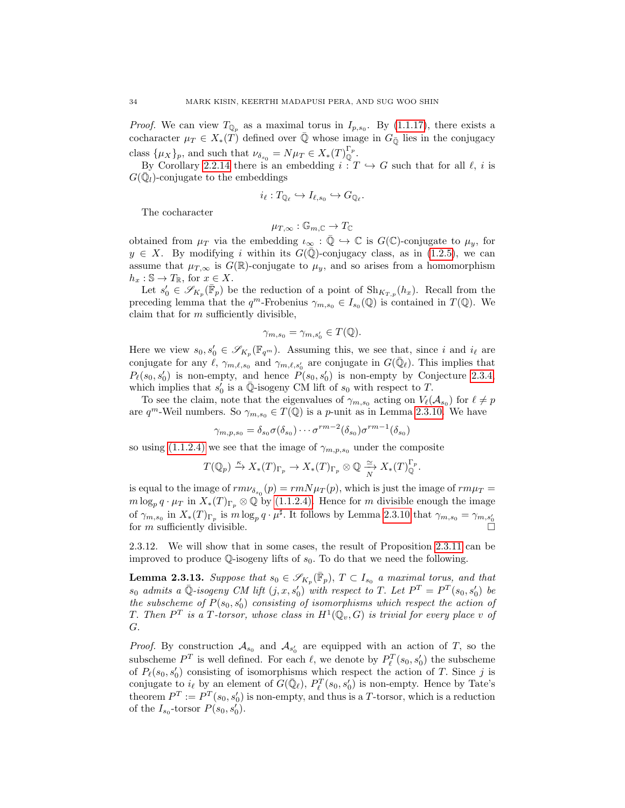*Proof.* We can view  $T_{\mathbb{Q}_p}$  as a maximal torus in  $I_{p,s_0}$ . By [\(1.1.17\)](#page-11-0), there exists a cocharacter  $\mu_T \in X_*(T)$  defined over  $\overline{Q}$  whose image in  $G_{\overline{Q}}$  lies in the conjugacy class  $\{\mu_X\}_p$ , and such that  $\nu_{\delta_{s_0}} = N\mu_T \in X_*(T)^{\Gamma_p}_{\mathbb{Q}}$ .

By Corollary [2.2.14](#page-29-1) there is an embedding  $i : T \hookrightarrow G$  such that for all  $\ell$ , i is  $G(\bar{\mathbb{Q}}_l)$ -conjugate to the embeddings

$$
i_{\ell}: T_{\mathbb{Q}_{\ell}} \hookrightarrow I_{\ell,s_0} \hookrightarrow G_{\mathbb{Q}_{\ell}}.
$$

The cocharacter

$$
\mu_{T,\infty}: \mathbb{G}_{m,\mathbb{C}} \to T_{\mathbb{C}}
$$

obtained from  $\mu_T$  via the embedding  $\iota_\infty : \overline{\mathbb{Q}} \hookrightarrow \mathbb{C}$  is  $G(\mathbb{C})$ -conjugate to  $\mu_y$ , for  $y \in X$ . By modifying i within its  $G(\mathbb{Q})$ -conjugacy class, as in [\(1.2.5\)](#page-13-2), we can assume that  $\mu_{T,\infty}$  is  $G(\mathbb{R})$ -conjugate to  $\mu_y$ , and so arises from a homomorphism  $h_x : \mathbb{S} \to T_{\mathbb{R}}$ , for  $x \in X$ .

Let  $s'_0 \in \mathscr{S}_{K_p}(\bar{\mathbb{F}}_p)$  be the reduction of a point of  $\text{Sh}_{K_{T,p}}(h_x)$ . Recall from the preceding lemma that the  $q^m$ -Frobenius  $\gamma_{m,s_0} \in I_{s_0}(\mathbb{Q})$  is contained in  $T(\mathbb{Q})$ . We claim that for  $m$  sufficiently divisible,

$$
\gamma_{m,s_0} = \gamma_{m,s'_0} \in T(\mathbb{Q}).
$$

Here we view  $s_0, s'_0 \in \mathscr{S}_{K_p}(\mathbb{F}_{q^m})$ . Assuming this, we see that, since i and  $i_{\ell}$  are conjugate for any  $\ell, \gamma_{m,\ell,s_0}$  and  $\gamma_{m,\ell,s_0'}$  are conjugate in  $G(\bar{\mathbb{Q}}_\ell)$ . This implies that  $P_{\ell}(s_0, s'_0)$  is non-empty, and hence  $\tilde{P}(s_0, s'_0)$  is non-empty by Conjecture [2.3.4,](#page-30-0) which implies that  $s'_0$  is a  $\overline{\mathbb{Q}}$ -isogeny CM lift of  $s_0$  with respect to T.

To see the claim, note that the eigenvalues of  $\gamma_{m,s_0}$  acting on  $V_{\ell}(\mathcal{A}_{s_0})$  for  $\ell \neq p$ are  $q^m$ -Weil numbers. So  $\gamma_{m,s_0} \in T(\mathbb{Q})$  is a p-unit as in Lemma [2.3.10.](#page-32-2) We have

$$
\gamma_{m,p,s_0} = \delta_{s_0} \sigma(\delta_{s_0}) \cdots \sigma^{rm-2}(\delta_{s_0}) \sigma^{rm-1}(\delta_{s_0})
$$

so using [\(1.1.2.4\)](#page-5-2) we see that the image of  $\gamma_{m,p,s_0}$  under the composite

$$
T(\mathbb{Q}_p) \xrightarrow{\kappa} X_*(T)_{\Gamma_p} \to X_*(T)_{\Gamma_p} \otimes \mathbb{Q} \xrightarrow[N]{\simeq} X_*(T)_{\mathbb{Q}}^{\Gamma_p}.
$$

is equal to the image of  $rm\nu_{\delta_{s_0}}(p) = rmN\mu_T(p)$ , which is just the image of  $rm\mu_T =$  $m \log_p q \cdot \mu_T$  in  $X_*(T)_{\Gamma_p} \otimes \mathbb{Q}$  by [\(1.1.2.4\).](#page-5-2) Hence for m divisible enough the image of  $\gamma_{m,s_0}$  in  $X_*(T)_{\Gamma_p}$  is  $m \log_p q \cdot \mu^{\sharp}$ . It follows by Lemma [2.3.10](#page-32-2) that  $\gamma_{m,s_0} = \gamma_{m,s'_0}$ for *m* sufficiently divisible.

2.3.12. We will show that in some cases, the result of Proposition [2.3.11](#page-32-3) can be improved to produce  $\mathbb Q$ -isogeny lifts of  $s_0$ . To do that we need the following.

<span id="page-33-0"></span>**Lemma 2.3.13.** Suppose that  $s_0 \in \mathscr{S}_{K_p}(\bar{\mathbb{F}}_p)$ ,  $T \subset I_{s_0}$  a maximal torus, and that  $s_0$  admits a  $\overline{\mathbb{Q}}$ -isogeny CM lift  $(j, x, s'_0)$  with respect to T. Let  $P^T = P^T(s_0, s'_0)$  be the subscheme of  $P(s_0, s'_0)$  consisting of isomorphisms which respect the action of T. Then  $P^T$  is a T-torsor, whose class in  $H^1(\mathbb{Q}_v,G)$  is trivial for every place v of G.

*Proof.* By construction  $\mathcal{A}_{s_0}$  and  $\mathcal{A}_{s'_0}$  are equipped with an action of T, so the subscheme  $P^T$  is well defined. For each  $\ell$ , we denote by  $P_\ell^T(s_0, s'_0)$  the subscheme of  $P_{\ell}(s_0, s'_0)$  consisting of isomorphisms which respect the action of T. Since j is conjugate to  $i_{\ell}$  by an element of  $G(\bar{\mathbb{Q}}_{\ell}), P_{\ell}^{T}(s_0, s'_0)$  is non-empty. Hence by Tate's theorem  $P^T := P^T(s_0, s'_0)$  is non-empty, and thus is a T-torsor, which is a reduction of the  $I_{s_0}$ -torsor  $P(s_0, s'_0)$ .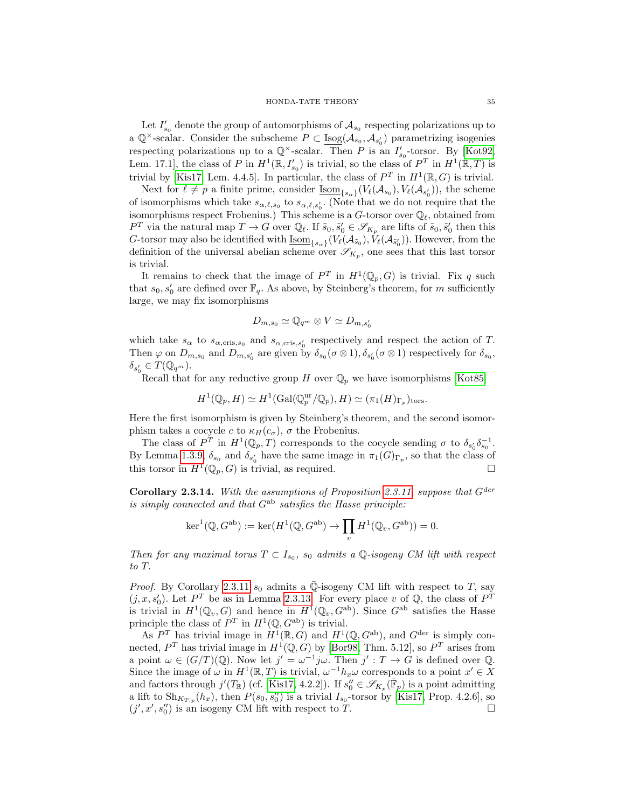Let  $I'_{s_0}$  denote the group of automorphisms of  $\mathcal{A}_{s_0}$  respecting polarizations up to a  $\mathbb{Q}^{\times}$ -scalar. Consider the subscheme  $P \subset \underline{\text{Isog}}(\mathcal{A}_{s_0}, \mathcal{A}_{s'_0})$  parametrizing isogenies respecting polarizations up to a  $\mathbb{Q}^{\times}$ -scalar. Then P is an  $I'_{s_0}$ -torsor. By [\[Kot92,](#page-39-7) Lem. 17.1], the class of P in  $H^1(\mathbb{R}, I'_{s_0})$  is trivial, so the class of  $P^T$  in  $H^1(\mathbb{R}, T)$  is trivial by [\[Kis17,](#page-39-6) Lem. 4.4.5]. In particular, the class of  $P^T$  in  $H^1(\mathbb{R}, G)$  is trivial.

Next for  $\ell \neq p$  a finite prime, consider  $\underline{\mathrm{Isom}}_{\{s_{\alpha}\}}(V_{\ell}(\mathcal{A}_{s_0}), V_{\ell}(\mathcal{A}_{s'_0}))$ , the scheme of isomorphisms which take  $s_{\alpha,\ell,s_0}$  to  $s_{\alpha,\ell,s_0'}$ . (Note that we do not require that the isomorphisms respect Frobenius.) This scheme is a  $G$ -torsor over  $\mathbb{Q}_\ell$ , obtained from  $P^T$  via the natural map  $T \to G$  over  $\mathbb{Q}_\ell$ . If  $\tilde{s}_0, \tilde{s}'_0 \in \mathscr{S}_{K_p}$  are lifts of  $\tilde{s}_0, \tilde{s}'_0$  then this G-torsor may also be identified with  $\underline{\mathrm{Isom}}_{\{s_\alpha\}}(V_{\ell}(\mathcal{A}_{\tilde{s}_0}), V_{\ell}(\mathcal{A}_{\tilde{s}'_0}))$ . However, from the definition of the universal abelian scheme over  $\mathscr{S}_{K_p}$ , one sees that this last torsor is trivial.

It remains to check that the image of  $P^T$  in  $H^1(\mathbb{Q}_p, G)$  is trivial. Fix q such that  $s_0, s'_0$  are defined over  $\mathbb{F}_q$ . As above, by Steinberg's theorem, for m sufficiently large, we may fix isomorphisms

$$
D_{m,s_0} \simeq \mathbb{Q}_{q^m} \otimes V \simeq D_{m,s'_0}
$$

which take  $s_{\alpha}$  to  $s_{\alpha,\text{cris},s_0}$  and  $s_{\alpha,\text{cris},s_0'}$  respectively and respect the action of T. Then  $\varphi$  on  $D_{m,s_0}$  and  $D_{m,s'_0}$  are given by  $\delta_{s_0}(\sigma \otimes 1), \delta_{s'_0}(\sigma \otimes 1)$  respectively for  $\delta_{s_0}$ ,  $\delta_{s'_0} \in T(\mathbb{Q}_{q^m}).$ 

Recall that for any reductive group H over  $\mathbb{Q}_p$  we have isomorphisms [\[Kot85\]](#page-39-8)

$$
H^1(\mathbb{Q}_p, H) \simeq H^1(\text{Gal}(\mathbb{Q}_p^{\text{ur}}/\mathbb{Q}_p), H) \simeq (\pi_1(H)_{\Gamma_p})_{\text{tors}}.
$$

Here the first isomorphism is given by Steinberg's theorem, and the second isomorphism takes a cocycle c to  $\kappa_H(c_\sigma)$ ,  $\sigma$  the Frobenius.

The class of  $P^T$  in  $H^1(\mathbb{Q}_p, T)$  corresponds to the cocycle sending  $\sigma$  to  $\delta_{s'_0}\delta_{s_0}^{-1}$ . By Lemma [1.3.9,](#page-17-0)  $\delta_{s_0}$  and  $\delta_{s'_0}$  have the same image in  $\pi_1(G)_{\Gamma_p}$ , so that the class of this torsor in  $H^1(\mathbb{Q}_p, G)$  is trivial, as required.

<span id="page-34-0"></span>Corollary 2.3.14. With the assumptions of Proposition [2.3.11,](#page-32-3) suppose that  $G^{der}$ is simply connected and that  $G^{ab}$  satisfies the Hasse principle:

$$
\ker^1(\mathbb{Q},G^{\text{ab}}) := \ker(H^1(\mathbb{Q},G^{\text{ab}}) \to \prod_v H^1(\mathbb{Q}_v,G^{\text{ab}})) = 0.
$$

Then for any maximal torus  $T \subset I_{s_0}$ ,  $s_0$  admits a Q-isogeny CM lift with respect to T.

*Proof.* By Corollary [2.3.11](#page-32-3)  $s_0$  admits a Q-isogeny CM lift with respect to T, say  $(j, x, s'_0)$ . Let  $P^T$  be as in Lemma [2.3.13.](#page-33-0) For every place v of Q, the class of  $P^T$ is trivial in  $H^1(\mathbb{Q}_v, G)$  and hence in  $H^1(\mathbb{Q}_v, G^{\text{ab}})$ . Since  $G^{\text{ab}}$  satisfies the Hasse principle the class of  $P^T$  in  $H^1(\mathbb{Q}, G^{\text{ab}})$  is trivial.

As  $P^T$  has trivial image in  $H^1(\mathbb{R}, G)$  and  $H^1(\mathbb{Q}, G^{\text{ab}})$ , and  $G^{\text{der}}$  is simply connected,  $P^T$  has trivial image in  $H^1(\mathbb{Q}, G)$  by [\[Bor98,](#page-38-0) Thm. 5.12], so  $P^T$  arises from a point  $\omega \in (G/T)(\mathbb{Q})$ . Now let  $j' = \omega^{-1}j\omega$ . Then  $j': T \to G$  is defined over  $\mathbb{Q}$ . Since the image of  $\omega$  in  $H^1(\mathbb{R}, T)$  is trivial,  $\omega^{-1} h_x \omega$  corresponds to a point  $x' \in X$ and factors through  $j'(T_{\mathbb{R}})$  (cf. [\[Kis17,](#page-39-6) 4.2.2]). If  $s''_0 \in \mathscr{S}_{K_p}(\bar{\mathbb{F}}_p)$  is a point admitting a lift to  $\mathrm{Sh}_{K_{T,p}}(h_x)$ , then  $P(s_0, s_0'')$  is a trivial  $I_{s_0}$ -torsor by [\[Kis17,](#page-39-6) Prop. 4.2.6], so  $(j', x', s_0'')$  is an isogeny CM lift with respect to T.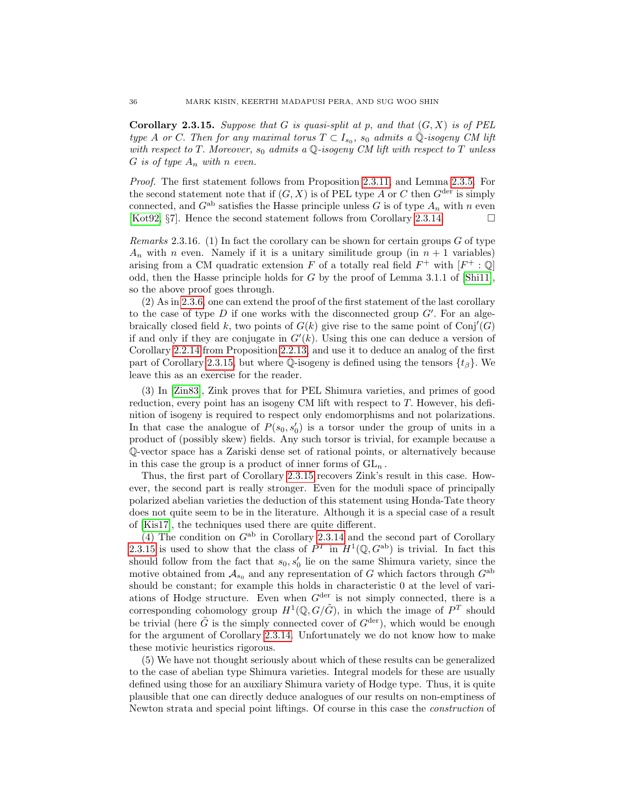<span id="page-35-1"></span>**Corollary 2.3.15.** Suppose that G is quasi-split at p, and that  $(G, X)$  is of PEL type A or C. Then for any maximal torus  $T \subset I_{s_0}$ ,  $s_0$  admits a  $\overline{\mathbb{Q}}$ -isogeny CM lift with respect to T. Moreover,  $s_0$  admits a Q-isogeny CM lift with respect to T unless G is of type  $A_n$  with n even.

Proof. The first statement follows from Proposition [2.3.11,](#page-32-3) and Lemma [2.3.5.](#page-30-2) For the second statement note that if  $(G, X)$  is of PEL type A or C then  $G^{\text{der}}$  is simply connected, and  $G^{ab}$  satisfies the Hasse principle unless G is of type  $A_n$  with n even [\[Kot92,](#page-39-7)  $\S7$ ]. Hence the second statement follows from Corollary [2.3.14.](#page-34-0)

<span id="page-35-0"></span>Remarks 2.3.16. (1) In fact the corollary can be shown for certain groups G of type  $A_n$  with n even. Namely if it is a unitary similitude group (in  $n + 1$  variables) arising from a CM quadratic extension F of a totally real field  $F^+$  with  $[F^+ : \mathbb{Q}]$ odd, then the Hasse principle holds for  $G$  by the proof of Lemma 3.1.1 of [\[Shi11\]](#page-40-10), so the above proof goes through.

(2) As in [2.3.6,](#page-31-0) one can extend the proof of the first statement of the last corollary to the case of type  $D$  if one works with the disconnected group  $G'$ . For an algebraically closed field k, two points of  $G(k)$  give rise to the same point of  $Conj'(G)$ if and only if they are conjugate in  $G'(k)$ . Using this one can deduce a version of Corollary [2.2.14](#page-29-1) from Proposition [2.2.13,](#page-28-1) and use it to deduce an analog of the first part of Corollary [2.3.15,](#page-35-1) but where  $\mathbb Q$ -isogeny is defined using the tensors  $\{t_\beta\}$ . We leave this as an exercise for the reader.

(3) In [\[Zin83\]](#page-40-6), Zink proves that for PEL Shimura varieties, and primes of good reduction, every point has an isogeny CM lift with respect to T. However, his definition of isogeny is required to respect only endomorphisms and not polarizations. In that case the analogue of  $P(s_0, s'_0)$  is a torsor under the group of units in a product of (possibly skew) fields. Any such torsor is trivial, for example because a Q-vector space has a Zariski dense set of rational points, or alternatively because in this case the group is a product of inner forms of  $GL_n$ .

Thus, the first part of Corollary [2.3.15](#page-35-1) recovers Zink's result in this case. However, the second part is really stronger. Even for the moduli space of principally polarized abelian varieties the deduction of this statement using Honda-Tate theory does not quite seem to be in the literature. Although it is a special case of a result of [\[Kis17\]](#page-39-6), the techniques used there are quite different.

(4) The condition on  $G^{ab}$  in Corollary [2.3.14](#page-34-0) and the second part of Corollary [2.3.15](#page-35-1) is used to show that the class of  $P^T$  in  $H^1(\mathbb{Q}, G^{\text{ab}})$  is trivial. In fact this should follow from the fact that  $s_0, s'_0$  lie on the same Shimura variety, since the motive obtained from  $A_{s_0}$  and any representation of G which factors through  $G^{ab}$ should be constant; for example this holds in characteristic 0 at the level of variations of Hodge structure. Even when  $G^{\text{der}}$  is not simply connected, there is a corresponding cohomology group  $H^1(\mathbb{Q}, G/\tilde{G})$ , in which the image of  $P^T$  should be trivial (here  $\tilde{G}$  is the simply connected cover of  $G^{\text{der}}$ ), which would be enough for the argument of Corollary [2.3.14.](#page-34-0) Unfortunately we do not know how to make these motivic heuristics rigorous.

(5) We have not thought seriously about which of these results can be generalized to the case of abelian type Shimura varieties. Integral models for these are usually defined using those for an auxiliary Shimura variety of Hodge type. Thus, it is quite plausible that one can directly deduce analogues of our results on non-emptiness of Newton strata and special point liftings. Of course in this case the construction of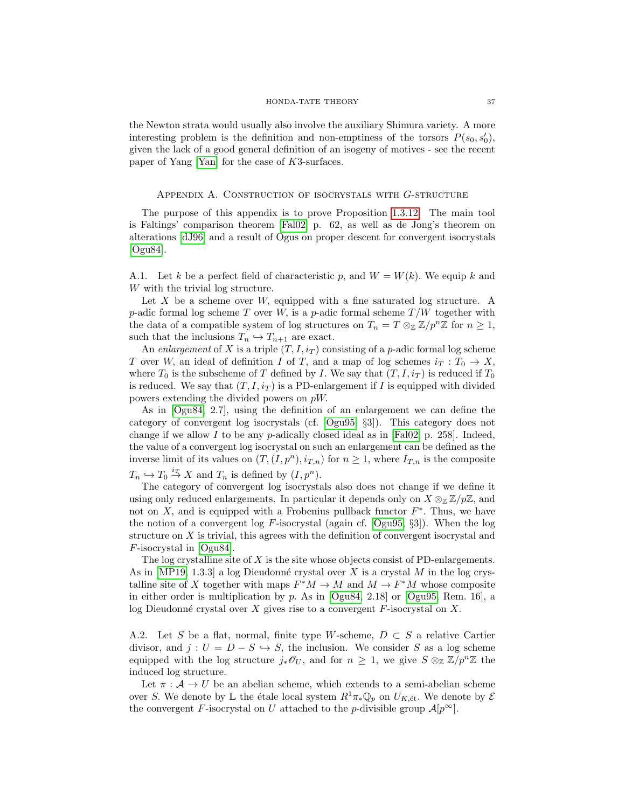the Newton strata would usually also involve the auxiliary Shimura variety. A more interesting problem is the definition and non-emptiness of the torsors  $P(s_0, s'_0)$ , given the lack of a good general definition of an isogeny of motives - see the recent paper of Yang [\[Yan\]](#page-40-11) for the case of K3-surfaces.

## Appendix A. Construction of isocrystals with G-structure

<span id="page-36-0"></span>The purpose of this appendix is to prove Proposition [1.3.12.](#page-18-1) The main tool is Faltings' comparison theorem [\[Fal02\]](#page-39-23) p. 62, as well as de Jong's theorem on alterations [\[dJ96\]](#page-39-24) and a result of Ogus on proper descent for convergent isocrystals [\[Ogu84\]](#page-39-25).

A.1. Let k be a perfect field of characteristic p, and  $W = W(k)$ . We equip k and W with the trivial log structure.

Let X be a scheme over W, equipped with a fine saturated log structure. A p-adic formal log scheme T over W, is a p-adic formal scheme  $T/W$  together with the data of a compatible system of log structures on  $T_n = T \otimes_{\mathbb{Z}} \mathbb{Z}/p^n \mathbb{Z}$  for  $n \geq 1$ , such that the inclusions  $T_n \hookrightarrow T_{n+1}$  are exact.

An enlargement of X is a triple  $(T, I, i_T)$  consisting of a p-adic formal log scheme T over W, an ideal of definition I of T, and a map of log schemes  $i_T : T_0 \to X$ , where  $T_0$  is the subscheme of T defined by I. We say that  $(T, I, i_T)$  is reduced if  $T_0$ is reduced. We say that  $(T, I, i_T)$  is a PD-enlargement if I is equipped with divided powers extending the divided powers on pW.

As in [\[Ogu84,](#page-39-25) 2.7], using the definition of an enlargement we can define the category of convergent log isocrystals (cf. [\[Ogu95,](#page-39-26) §3]). This category does not change if we allow I to be any p-adically closed ideal as in [\[Fal02,](#page-39-23) p. 258]. Indeed, the value of a convergent log isocrystal on such an enlargement can be defined as the inverse limit of its values on  $(T,(I,p^n), i_{T,n})$  for  $n \geq 1$ , where  $I_{T,n}$  is the composite  $T_n \hookrightarrow T_0 \stackrel{i_T}{\rightarrow} X$  and  $T_n$  is defined by  $(I, p^n)$ .

The category of convergent log isocrystals also does not change if we define it using only reduced enlargements. In particular it depends only on  $X \otimes_{\mathbb{Z}} \mathbb{Z}/p\mathbb{Z}$ , and not on  $X$ , and is equipped with a Frobenius pullback functor  $F^*$ . Thus, we have the notion of a convergent log F-isocrystal (again cf. [\[Ogu95,](#page-39-26) §3]). When the log structure on X is trivial, this agrees with the definition of convergent isocrystal and F-isocrystal in [\[Ogu84\]](#page-39-25).

The log crystalline site of  $X$  is the site whose objects consist of PD-enlargements. As in [\[MP19,](#page-39-18) 1.3.3] a log Dieudonné crystal over X is a crystal M in the log crystalline site of X together with maps  $F^*M \to M$  and  $M \to F^*M$  whose composite in either order is multiplication by p. As in [\[Ogu84,](#page-39-25) 2.18] or [\[Ogu95,](#page-39-26) Rem. 16], a log Dieudonné crystal over X gives rise to a convergent  $F$ -isocrystal on X.

<span id="page-36-1"></span>A.2. Let S be a flat, normal, finite type W-scheme,  $D \subset S$  a relative Cartier divisor, and  $j : U = D - S \hookrightarrow S$ , the inclusion. We consider S as a log scheme equipped with the log structure  $j_*\mathscr{O}_U$ , and for  $n \geq 1$ , we give  $S \otimes_{\mathbb{Z}} \mathbb{Z}/p^n\mathbb{Z}$  the induced log structure.

Let  $\pi : A \to U$  be an abelian scheme, which extends to a semi-abelian scheme over S. We denote by L the étale local system  $R^1\pi_*\mathbb{Q}_p$  on  $U_{K,\text{\'et}}$ . We denote by  $\mathcal E$ the convergent F-isocrystal on U attached to the p-divisible group  $\mathcal{A}[p^{\infty}]$ .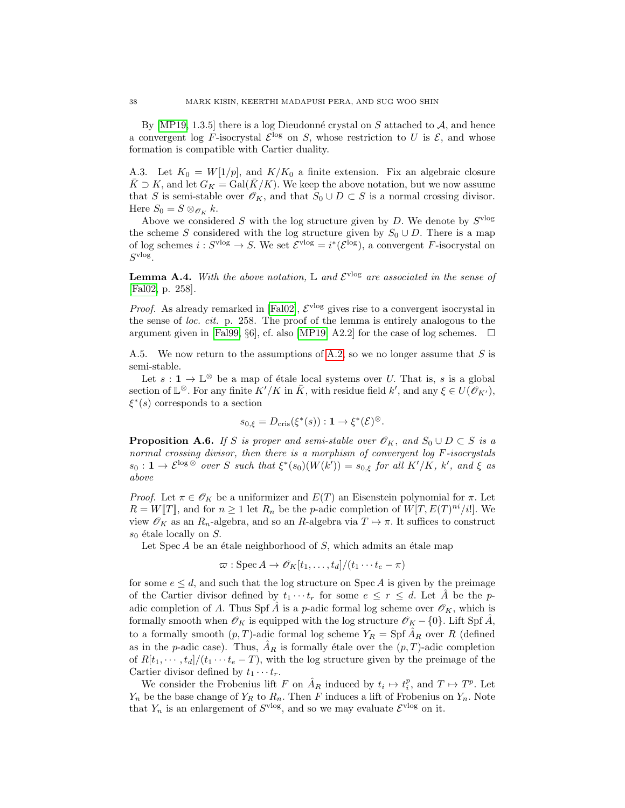By [\[MP19,](#page-39-18) 1.3.5] there is a log Dieudonné crystal on S attached to  $A$ , and hence a convergent log F-isocrystal  $\mathcal{E}^{\log}$  on S, whose restriction to U is  $\mathcal{E}$ , and whose formation is compatible with Cartier duality.

A.3. Let  $K_0 = W[1/p]$ , and  $K/K_0$  a finite extension. Fix an algebraic closure  $\bar{K} \supset K$ , and let  $G_K = \text{Gal}(\bar{K}/K)$ . We keep the above notation, but we now assume that S is semi-stable over  $\mathscr{O}_K$ , and that  $S_0 \cup D \subset S$  is a normal crossing divisor. Here  $S_0 = S \otimes_{\mathscr{O}_K} k$ .

Above we considered S with the log structure given by  $D$ . We denote by  $S<sup>vlog</sup>$ the scheme S considered with the log structure given by  $S_0 \cup D$ . There is a map of log schemes  $i: S^{\text{vlog}} \to S$ . We set  $\mathcal{E}^{\text{vlog}} = i^*(\mathcal{E}^{\text{log}})$ , a convergent F-isocrystal on  $S^{\text{vlog}}$ .

<span id="page-37-0"></span>**Lemma A.4.** With the above notation,  $\mathbb{L}$  and  $\mathcal{E}^{\text{vlog}}$  are associated in the sense of [\[Fal02,](#page-39-23) p. 258].

*Proof.* As already remarked in [\[Fal02\]](#page-39-23),  $\mathcal{E}^{\text{vlog}}$  gives rise to a convergent isocrystal in the sense of loc. cit. p. 258. The proof of the lemma is entirely analogous to the argument given in [\[Fal99,](#page-39-27) §6], cf. also [\[MP19,](#page-39-18) A2.2] for the case of log schemes.

A.5. We now return to the assumptions of [A.2,](#page-36-1) so we no longer assume that  $S$  is semi-stable.

Let  $s: \mathbf{1} \to \mathbb{L}^{\otimes}$  be a map of étale local systems over U. That is, s is a global section of  $\mathbb{L}^{\otimes}$ . For any finite  $K'/K$  in  $\overline{K}$ , with residue field  $k'$ , and any  $\xi \in U(\mathscr{O}_{K'})$ ,  $\xi^*(s)$  corresponds to a section

$$
s_{0,\xi} = D_{\mathrm{cris}}(\xi^*(s)) : \mathbf{1} \to \xi^*(\mathcal{E})^{\otimes}.
$$

<span id="page-37-1"></span>**Proposition A.6.** If S is proper and semi-stable over  $\mathcal{O}_K$ , and  $S_0 \cup D \subset S$  is a normal crossing divisor, then there is a morphism of convergent log F-isocrystals  $s_0: \mathbf{1} \to \mathcal{E}^{\log \otimes}$  over S such that  $\xi^*(s_0)(W(k')) = s_{0,\xi}$  for all  $K'/K$ ,  $k'$ , and  $\xi$  as above

*Proof.* Let  $\pi \in \mathscr{O}_K$  be a uniformizer and  $E(T)$  an Eisenstein polynomial for  $\pi$ . Let  $R = W[T]$ , and for  $n \ge 1$  let  $R_n$  be the p-adic completion of  $W[T, E(T)^{ni}/i!]$ . We view  $\mathscr{O}_K$  as an  $R_n$ -algebra, and so an  $R$ -algebra via  $T \mapsto \pi$ . It suffices to construct  $s_0$  étale locally on S.

Let  $Spec A$  be an étale neighborhood of  $S$ , which admits an étale map

$$
\varpi : \operatorname{Spec} A \to \mathscr{O}_K[t_1, \ldots, t_d]/(t_1 \cdots t_e - \pi)
$$

for some  $e \leq d$ , and such that the log structure on Spec A is given by the preimage of the Cartier divisor defined by  $t_1 \cdots t_r$  for some  $e \leq r \leq d$ . Let A<sup>†</sup> be the padic completion of A. Thus Spf  $\hat{A}$  is a p-adic formal log scheme over  $\mathscr{O}_K$ , which is formally smooth when  $\mathscr{O}_K$  is equipped with the log structure  $\mathscr{O}_K$  – {0}. Lift Spf  $\tilde{A}$ , to a formally smooth  $(p, T)$ -adic formal log scheme  $Y_R = Spf \hat{A}_R$  over R (defined as in the p-adic case). Thus,  $\hat{A}_R$  is formally étale over the  $(p, T)$ -adic completion of  $R[t_1, \dots, t_d]/(t_1 \dots t_e - T)$ , with the log structure given by the preimage of the Cartier divisor defined by  $t_1 \cdots t_r$ .

We consider the Frobenius lift F on  $\hat{A}_R$  induced by  $t_i \mapsto t_i^p$ , and  $T \mapsto T^p$ . Let  $Y_n$  be the base change of  $Y_R$  to  $R_n$ . Then F induces a lift of Frobenius on  $Y_n$ . Note that  $Y_n$  is an enlargement of  $S<sup>olog</sup>$ , and so we may evaluate  $\mathcal{E}<sup>olog</sup>$  on it.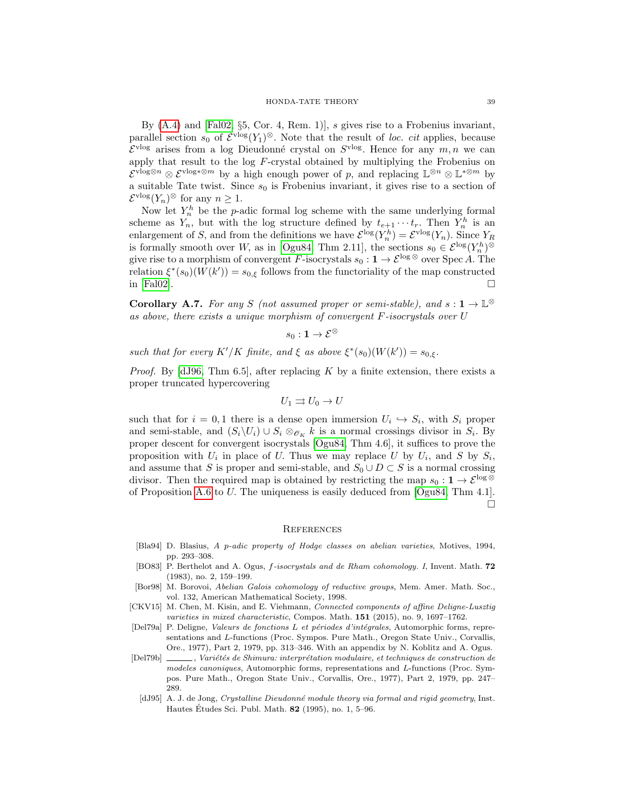By [\(A.4\)](#page-37-0) and [\[Fal02,](#page-39-23) §5, Cor. 4, Rem. 1)], s gives rise to a Frobenius invariant, parallel section  $s_0$  of  $\mathcal{E}^{\text{vlog}}(Y_1)^\otimes$ . Note that the result of loc. cit applies, because  $\mathcal{E}^{\text{vlog}}$  arises from a log Dieudonné crystal on  $S^{\text{vlog}}$ . Hence for any  $m, n$  we can apply that result to the log F-crystal obtained by multiplying the Frobenius on  $\mathcal{E}^{\text{vlog} \otimes n} \otimes \mathcal{E}^{\text{vlog} \ast \otimes m}$  by a high enough power of p, and replacing  $\mathbb{L}^{\otimes n} \otimes \mathbb{L}^{*\otimes m}$  by a suitable Tate twist. Since  $s_0$  is Frobenius invariant, it gives rise to a section of  $\mathcal{E}^{\text{vlog}}(Y_n)^\otimes$  for any  $n \geq 1$ .

Now let  $Y_n^h$  be the p-adic formal log scheme with the same underlying formal scheme as  $Y_n$ , but with the log structure defined by  $t_{e+1} \cdots t_r$ . Then  $Y_n^h$  is an enlargement of S, and from the definitions we have  $\mathcal{E}^{\log}(Y_n^h) = \mathcal{E}^{\text{vlog}}(Y_n)$ . Since  $Y_R$ is formally smooth over W, as in [\[Ogu84,](#page-39-25) Thm 2.11], the sections  $s_0 \in \mathcal{E}^{\log}(Y_n^h)$ <sup>⊗</sup> give rise to a morphism of convergent F-isocrystals  $s_0 : \mathbf{1} \to \mathcal{E}^{\log \otimes}$  over Spec A. The relation  $\xi^*(s_0)(W(k')) = s_{0,\xi}$  follows from the functoriality of the map constructed in [\[Fal02\]](#page-39-23).  $\Box$ 

<span id="page-38-5"></span>**Corollary A.7.** For any S (not assumed proper or semi-stable), and  $s: 1 \to \mathbb{L}^{\otimes}$ as above, there exists a unique morphism of convergent F-isocrystals over U

$$
s_0: \mathbf{1} \to \mathcal{E}^\otimes
$$

such that for every  $K'/K$  finite, and  $\xi$  as above  $\xi^*(s_0)(W(k')) = s_{0,\xi}$ .

*Proof.* By [\[dJ96,](#page-39-24) Thm 6.5], after replacing K by a finite extension, there exists a proper truncated hypercovering

$$
U_1 \rightrightarrows U_0 \to U
$$

such that for  $i = 0, 1$  there is a dense open immersion  $U_i \hookrightarrow S_i$ , with  $S_i$  proper and semi-stable, and  $(S_i \backslash U_i) \cup S_i \otimes_{\mathscr{O}_K} k$  is a normal crossings divisor in  $S_i$ . By proper descent for convergent isocrystals [\[Ogu84,](#page-39-25) Thm 4.6], it suffices to prove the proposition with  $U_i$  in place of U. Thus we may replace U by  $U_i$ , and S by  $S_i$ , and assume that S is proper and semi-stable, and  $S_0 \cup D \subset S$  is a normal crossing divisor. Then the required map is obtained by restricting the map  $s_0 : 1 \to \mathcal{E}^{\log \otimes}$ of Proposition [A.6](#page-37-1) to U. The uniqueness is easily deduced from [\[Ogu84,](#page-39-25) Thm 4.1].  $\Box$ 

#### **REFERENCES**

- <span id="page-38-2"></span>[Bla94] D. Blasius, A p-adic property of Hodge classes on abelian varieties, Motives, 1994, pp. 293–308.
- <span id="page-38-4"></span>[BO83] P. Berthelot and A. Ogus, f-isocrystals and de Rham cohomology. I, Invent. Math. 72 (1983), no. 2, 159–199.
- <span id="page-38-0"></span>[Bor98] M. Borovoi, Abelian Galois cohomology of reductive groups, Mem. Amer. Math. Soc., vol. 132, American Mathematical Society, 1998.
- <span id="page-38-1"></span>[CKV15] M. Chen, M. Kisin, and E. Viehmann, Connected components of affine Deligne-Lusztig varieties in mixed characteristic, Compos. Math. 151 (2015), no. 9, 1697–1762.
- <span id="page-38-6"></span>[Del79a] P. Deligne, Valeurs de fonctions L et périodes d'intégrales, Automorphic forms, representations and L-functions (Proc. Sympos. Pure Math., Oregon State Univ., Corvallis, Ore., 1977), Part 2, 1979, pp. 313–346. With an appendix by N. Koblitz and A. Ogus.
- <span id="page-38-7"></span><span id="page-38-3"></span>[Del79b] , Variétés de Shimura: interprétation modulaire, et techniques de construction de modeles canoniques, Automorphic forms, representations and L-functions (Proc. Sympos. Pure Math., Oregon State Univ., Corvallis, Ore., 1977), Part 2, 1979, pp. 247– 289.
	- [dJ95] A. J. de Jong, Crystalline Dieudonné module theory via formal and rigid geometry. Inst. Hautes Études Sci. Publ. Math.  $82$  (1995), no. 1, 5–96.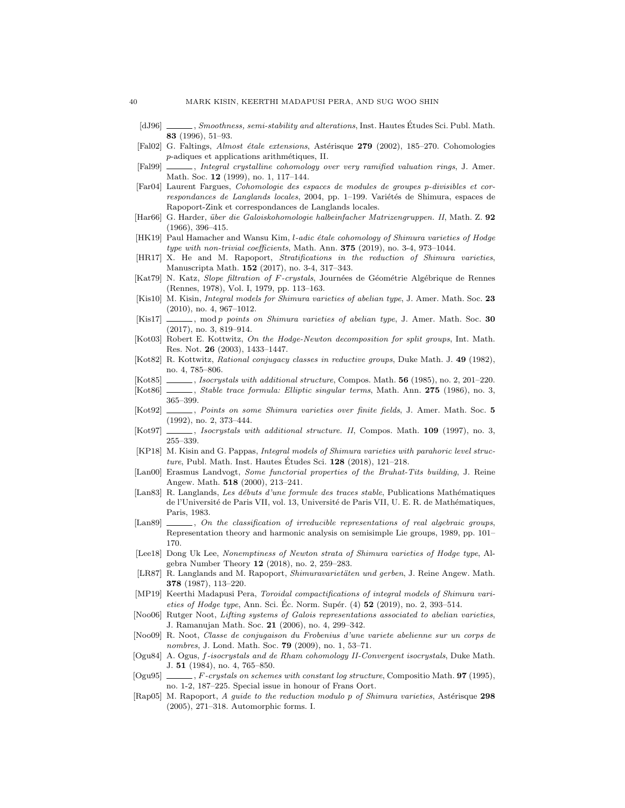- <span id="page-39-24"></span>[dJ96] , Smoothness, semi-stability and alterations, Inst. Hautes Études Sci. Publ. Math. 83 (1996), 51–93.
- <span id="page-39-23"></span>[Fal02] G. Faltings, Almost étale extensions, Astérisque 279 (2002), 185–270. Cohomologies  $p$ -adiques et applications arithmétiques, II.
- <span id="page-39-27"></span>[Fal99] , Integral crystalline cohomology over very ramified valuation rings, J. Amer. Math. Soc. **12** (1999), no. 1, 117–144.
- <span id="page-39-0"></span>[Far04] Laurent Fargues, Cohomologie des espaces de modules de groupes p-divisibles et correspondances de Langlands locales, 2004, pp. 1-199. Variétés de Shimura, espaces de Rapoport-Zink et correspondances de Langlands locales.
- <span id="page-39-14"></span>[Har66] G. Harder, über die Galoiskohomologie halbeinfacher Matrizengruppen. II, Math. Z. 92 (1966), 396–415.
- <span id="page-39-5"></span>[HK19] Paul Hamacher and Wansu Kim, *l-adic étale cohomology of Shimura varieties of Hodge* type with non-trivial coefficients, Math. Ann. 375 (2019), no. 3-4, 973–1044.
- <span id="page-39-2"></span>[HR17] X. He and M. Rapoport, Stratifications in the reduction of Shimura varieties, Manuscripta Math. 152 (2017), no. 3-4, 317–343.
- <span id="page-39-17"></span>[Kat79] N. Katz, Slope filtration of F-crystals, Journées de Géométrie Algébrique de Rennes (Rennes, 1978), Vol. I, 1979, pp. 113–163.
- <span id="page-39-15"></span>[Kis10] M. Kisin, Integral models for Shimura varieties of abelian type, J. Amer. Math. Soc. 23 (2010), no. 4, 967–1012.
- <span id="page-39-6"></span>[Kis17] , mod p points on Shimura varieties of abelian type, J. Amer. Math. Soc. 30 (2017), no. 3, 819–914.
- <span id="page-39-10"></span>[Kot03] Robert E. Kottwitz, On the Hodge-Newton decomposition for split groups, Int. Math. Res. Not. 26 (2003), 1433–1447.
- <span id="page-39-22"></span>[Kot82] R. Kottwitz, Rational conjugacy classes in reductive groups, Duke Math. J. 49 (1982), no. 4, 785–806.
- <span id="page-39-8"></span>[Kot85] , Isocrystals with additional structure, Compos. Math. **56** (1985), no. 2, 201–220.
- <span id="page-39-12"></span>[Kot86] , Stable trace formula: Elliptic singular terms, Math. Ann. 275 (1986), no. 3, 365–399.
- <span id="page-39-7"></span>[Kot92] , Points on some Shimura varieties over finite fields, J. Amer. Math. Soc. 5 (1992), no. 2, 373–444.
- <span id="page-39-9"></span>[Kot97] , Isocrystals with additional structure. II, Compos. Math. 109 (1997), no. 3, 255–339.
- <span id="page-39-19"></span>[KP18] M. Kisin and G. Pappas, Integral models of Shimura varieties with parahoric level structure, Publ. Math. Inst. Hautes Études Sci.  $128$  (2018), 121–218.
- <span id="page-39-16"></span>[Lan00] Erasmus Landvogt, Some functorial properties of the Bruhat-Tits building, J. Reine Angew. Math. 518 (2000), 213–241.
- <span id="page-39-13"></span>[Lan83] R. Langlands, Les débuts d'une formule des traces stable, Publications Mathématiques de l'Université de Paris VII, vol. 13, Université de Paris VII, U. E. R. de Mathématiques, Paris, 1983.
- <span id="page-39-11"></span>[Lan89] , On the classification of irreducible representations of real algebraic groups, Representation theory and harmonic analysis on semisimple Lie groups, 1989, pp. 101– 170.
- <span id="page-39-4"></span>[Lee18] Dong Uk Lee, Nonemptiness of Newton strata of Shimura varieties of Hodge type, Algebra Number Theory 12 (2018), no. 2, 259–283.
- <span id="page-39-3"></span>[LR87] R. Langlands and M. Rapoport, Shimuravarietäten und gerben, J. Reine Angew. Math. 378 (1987), 113–220.
- <span id="page-39-18"></span>[MP19] Keerthi Madapusi Pera, Toroidal compactifications of integral models of Shimura varieties of Hodge type, Ann. Sci. Éc. Norm. Supér. (4)  $52$  (2019), no. 2, 393-514.
- <span id="page-39-21"></span>[Noo06] Rutger Noot, Lifting systems of Galois representations associated to abelian varieties, J. Ramanujan Math. Soc. 21 (2006), no. 4, 299–342.
- <span id="page-39-20"></span>[Noo09] R. Noot, Classe de conjugaison du Frobenius d'une variete abelienne sur un corps de nombres, J. Lond. Math. Soc. 79 (2009), no. 1, 53–71.
- <span id="page-39-25"></span>[Ogu84] A. Ogus, f-isocrystals and de Rham cohomology II-Convergent isocrystals, Duke Math. J. 51 (1984), no. 4, 765–850.
- <span id="page-39-26"></span>[Ogu95] , F-crystals on schemes with constant log structure, Compositio Math. **97** (1995), no. 1-2, 187–225. Special issue in honour of Frans Oort.
- <span id="page-39-1"></span>[Rap05] M. Rapoport, A guide to the reduction modulo p of Shimura varieties, Astérisque 298 (2005), 271–318. Automorphic forms. I.